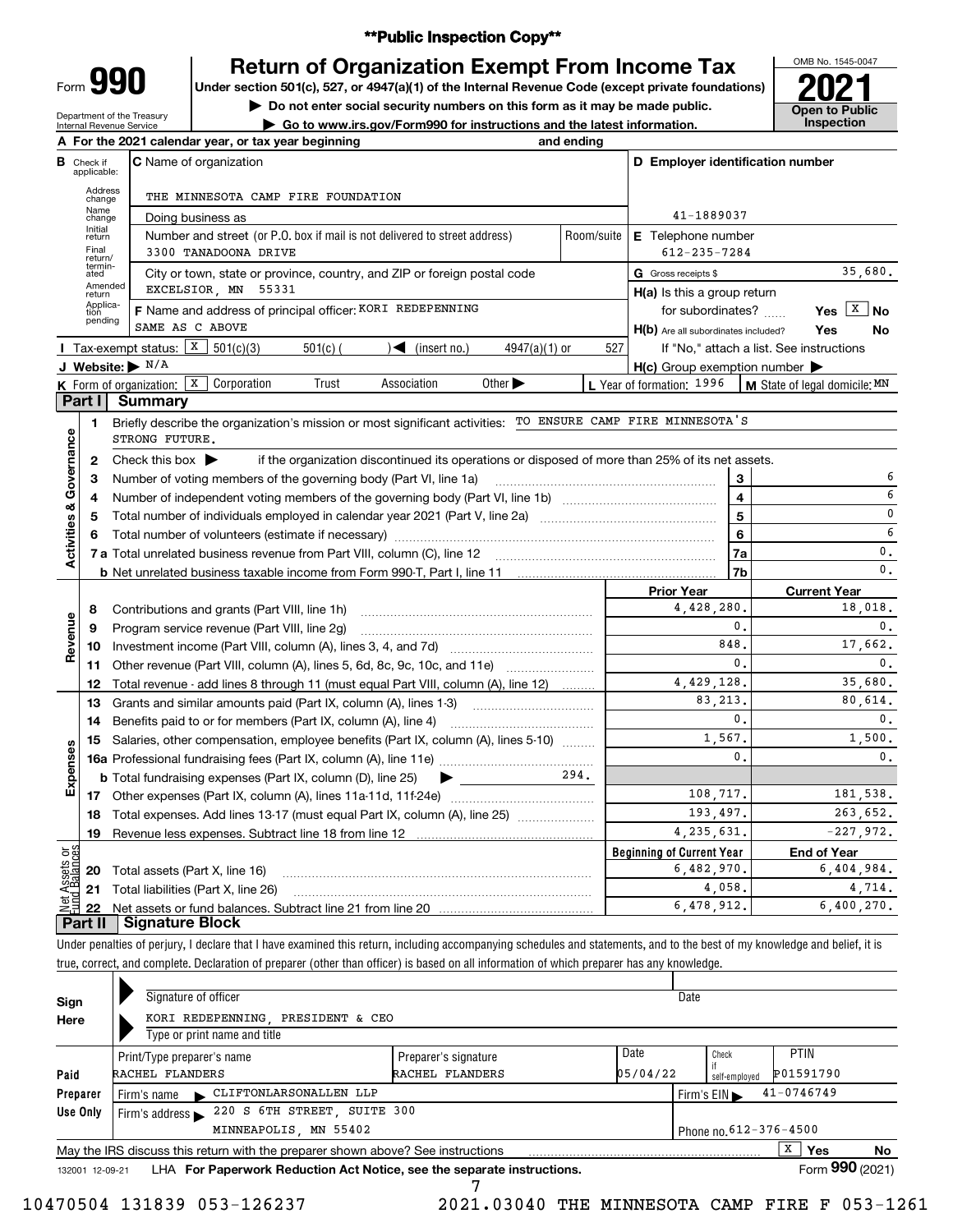### **\*\*Public Inspection Copy\*\***

Form **990**

# **Return of Organization Exempt From Income Tax**

Under section 501(c), 527, or 4947(a)(1) of the Internal Revenue Code (except private foundations) **2021** 

**| Do not enter social security numbers on this form as it may be made public.**

OMB No. 1545-0047 **Open to Public** 

| A For the 2021 calendar year, or tax year beginning<br>C Name of organization<br>THE MINNESOTA CAMP FIRE FOUNDATION<br>Doing business as<br>Number and street (or P.O. box if mail is not delivered to street address)<br>3300 TANADOONA DRIVE<br>City or town, state or province, country, and ZIP or foreign postal code<br>EXCELSIOR, MN 55331<br>F Name and address of principal officer: KORI REDEPENNING<br>SAME AS C ABOVE<br>Tax-exempt status: $X \mid 501(c)(3)$<br>$\sqrt{\frac{1}{1}}$ (insert no.)<br>$501(c)$ (<br>$4947(a)(1)$ or<br>J Website: $\blacktriangleright$ N/A<br>K Form of organization: X Corporation<br>Trust<br>Association<br>Other $\blacktriangleright$<br>Summary<br>Briefly describe the organization's mission or most significant activities: TO ENSURE CAMP FIRE MINNESOTA'S<br>STRONG FUTURE.<br>Check this box $\blacktriangleright$<br>if the organization discontinued its operations or disposed of more than 25% of its net assets.<br>Number of voting members of the governing body (Part VI, line 1a) | and ending<br>Room/suite<br>527 | D Employer identification number<br>41-1889037<br>E Telephone number<br>$612 - 235 - 7284$<br>G Gross receipts \$<br>$H(a)$ is this a group return<br>for subordinates?<br>H(b) Are all subordinates included?<br>$H(c)$ Group exemption number $\blacktriangleright$<br>L Year of formation: 1996<br>3<br>$\overline{\mathbf{4}}$<br>$\overline{5}$                                                                                                     | 35,680.<br>Yes $X$ No<br>Yes<br>No<br>If "No," attach a list. See instructions<br>M State of legal domicile: MN<br>6<br>6<br>0 |  |  |
|------------------------------------------------------------------------------------------------------------------------------------------------------------------------------------------------------------------------------------------------------------------------------------------------------------------------------------------------------------------------------------------------------------------------------------------------------------------------------------------------------------------------------------------------------------------------------------------------------------------------------------------------------------------------------------------------------------------------------------------------------------------------------------------------------------------------------------------------------------------------------------------------------------------------------------------------------------------------------------------------------------------------------------------------------|---------------------------------|----------------------------------------------------------------------------------------------------------------------------------------------------------------------------------------------------------------------------------------------------------------------------------------------------------------------------------------------------------------------------------------------------------------------------------------------------------|--------------------------------------------------------------------------------------------------------------------------------|--|--|
|                                                                                                                                                                                                                                                                                                                                                                                                                                                                                                                                                                                                                                                                                                                                                                                                                                                                                                                                                                                                                                                      |                                 |                                                                                                                                                                                                                                                                                                                                                                                                                                                          |                                                                                                                                |  |  |
|                                                                                                                                                                                                                                                                                                                                                                                                                                                                                                                                                                                                                                                                                                                                                                                                                                                                                                                                                                                                                                                      |                                 |                                                                                                                                                                                                                                                                                                                                                                                                                                                          |                                                                                                                                |  |  |
|                                                                                                                                                                                                                                                                                                                                                                                                                                                                                                                                                                                                                                                                                                                                                                                                                                                                                                                                                                                                                                                      |                                 |                                                                                                                                                                                                                                                                                                                                                                                                                                                          |                                                                                                                                |  |  |
|                                                                                                                                                                                                                                                                                                                                                                                                                                                                                                                                                                                                                                                                                                                                                                                                                                                                                                                                                                                                                                                      |                                 |                                                                                                                                                                                                                                                                                                                                                                                                                                                          |                                                                                                                                |  |  |
|                                                                                                                                                                                                                                                                                                                                                                                                                                                                                                                                                                                                                                                                                                                                                                                                                                                                                                                                                                                                                                                      |                                 |                                                                                                                                                                                                                                                                                                                                                                                                                                                          |                                                                                                                                |  |  |
|                                                                                                                                                                                                                                                                                                                                                                                                                                                                                                                                                                                                                                                                                                                                                                                                                                                                                                                                                                                                                                                      |                                 |                                                                                                                                                                                                                                                                                                                                                                                                                                                          |                                                                                                                                |  |  |
|                                                                                                                                                                                                                                                                                                                                                                                                                                                                                                                                                                                                                                                                                                                                                                                                                                                                                                                                                                                                                                                      |                                 |                                                                                                                                                                                                                                                                                                                                                                                                                                                          |                                                                                                                                |  |  |
|                                                                                                                                                                                                                                                                                                                                                                                                                                                                                                                                                                                                                                                                                                                                                                                                                                                                                                                                                                                                                                                      |                                 |                                                                                                                                                                                                                                                                                                                                                                                                                                                          |                                                                                                                                |  |  |
|                                                                                                                                                                                                                                                                                                                                                                                                                                                                                                                                                                                                                                                                                                                                                                                                                                                                                                                                                                                                                                                      |                                 |                                                                                                                                                                                                                                                                                                                                                                                                                                                          |                                                                                                                                |  |  |
|                                                                                                                                                                                                                                                                                                                                                                                                                                                                                                                                                                                                                                                                                                                                                                                                                                                                                                                                                                                                                                                      |                                 |                                                                                                                                                                                                                                                                                                                                                                                                                                                          |                                                                                                                                |  |  |
|                                                                                                                                                                                                                                                                                                                                                                                                                                                                                                                                                                                                                                                                                                                                                                                                                                                                                                                                                                                                                                                      |                                 |                                                                                                                                                                                                                                                                                                                                                                                                                                                          |                                                                                                                                |  |  |
|                                                                                                                                                                                                                                                                                                                                                                                                                                                                                                                                                                                                                                                                                                                                                                                                                                                                                                                                                                                                                                                      |                                 |                                                                                                                                                                                                                                                                                                                                                                                                                                                          |                                                                                                                                |  |  |
|                                                                                                                                                                                                                                                                                                                                                                                                                                                                                                                                                                                                                                                                                                                                                                                                                                                                                                                                                                                                                                                      |                                 |                                                                                                                                                                                                                                                                                                                                                                                                                                                          |                                                                                                                                |  |  |
|                                                                                                                                                                                                                                                                                                                                                                                                                                                                                                                                                                                                                                                                                                                                                                                                                                                                                                                                                                                                                                                      |                                 |                                                                                                                                                                                                                                                                                                                                                                                                                                                          |                                                                                                                                |  |  |
|                                                                                                                                                                                                                                                                                                                                                                                                                                                                                                                                                                                                                                                                                                                                                                                                                                                                                                                                                                                                                                                      |                                 |                                                                                                                                                                                                                                                                                                                                                                                                                                                          |                                                                                                                                |  |  |
|                                                                                                                                                                                                                                                                                                                                                                                                                                                                                                                                                                                                                                                                                                                                                                                                                                                                                                                                                                                                                                                      |                                 |                                                                                                                                                                                                                                                                                                                                                                                                                                                          |                                                                                                                                |  |  |
|                                                                                                                                                                                                                                                                                                                                                                                                                                                                                                                                                                                                                                                                                                                                                                                                                                                                                                                                                                                                                                                      |                                 |                                                                                                                                                                                                                                                                                                                                                                                                                                                          |                                                                                                                                |  |  |
|                                                                                                                                                                                                                                                                                                                                                                                                                                                                                                                                                                                                                                                                                                                                                                                                                                                                                                                                                                                                                                                      |                                 |                                                                                                                                                                                                                                                                                                                                                                                                                                                          |                                                                                                                                |  |  |
|                                                                                                                                                                                                                                                                                                                                                                                                                                                                                                                                                                                                                                                                                                                                                                                                                                                                                                                                                                                                                                                      |                                 |                                                                                                                                                                                                                                                                                                                                                                                                                                                          |                                                                                                                                |  |  |
|                                                                                                                                                                                                                                                                                                                                                                                                                                                                                                                                                                                                                                                                                                                                                                                                                                                                                                                                                                                                                                                      |                                 |                                                                                                                                                                                                                                                                                                                                                                                                                                                          |                                                                                                                                |  |  |
|                                                                                                                                                                                                                                                                                                                                                                                                                                                                                                                                                                                                                                                                                                                                                                                                                                                                                                                                                                                                                                                      |                                 | $6\phantom{a}$                                                                                                                                                                                                                                                                                                                                                                                                                                           | 6                                                                                                                              |  |  |
|                                                                                                                                                                                                                                                                                                                                                                                                                                                                                                                                                                                                                                                                                                                                                                                                                                                                                                                                                                                                                                                      |                                 | 7a                                                                                                                                                                                                                                                                                                                                                                                                                                                       | 0.                                                                                                                             |  |  |
|                                                                                                                                                                                                                                                                                                                                                                                                                                                                                                                                                                                                                                                                                                                                                                                                                                                                                                                                                                                                                                                      |                                 | 7b                                                                                                                                                                                                                                                                                                                                                                                                                                                       | 0.                                                                                                                             |  |  |
|                                                                                                                                                                                                                                                                                                                                                                                                                                                                                                                                                                                                                                                                                                                                                                                                                                                                                                                                                                                                                                                      |                                 | <b>Prior Year</b>                                                                                                                                                                                                                                                                                                                                                                                                                                        | <b>Current Year</b>                                                                                                            |  |  |
|                                                                                                                                                                                                                                                                                                                                                                                                                                                                                                                                                                                                                                                                                                                                                                                                                                                                                                                                                                                                                                                      |                                 | 4,428,280.                                                                                                                                                                                                                                                                                                                                                                                                                                               | 18,018.                                                                                                                        |  |  |
| Program service revenue (Part VIII, line 2g)                                                                                                                                                                                                                                                                                                                                                                                                                                                                                                                                                                                                                                                                                                                                                                                                                                                                                                                                                                                                         |                                 | 0.                                                                                                                                                                                                                                                                                                                                                                                                                                                       | $\mathbf{0}$ .                                                                                                                 |  |  |
|                                                                                                                                                                                                                                                                                                                                                                                                                                                                                                                                                                                                                                                                                                                                                                                                                                                                                                                                                                                                                                                      |                                 | 848.                                                                                                                                                                                                                                                                                                                                                                                                                                                     | 17,662.                                                                                                                        |  |  |
|                                                                                                                                                                                                                                                                                                                                                                                                                                                                                                                                                                                                                                                                                                                                                                                                                                                                                                                                                                                                                                                      |                                 | $\mathbf{0}$ .                                                                                                                                                                                                                                                                                                                                                                                                                                           | $\mathbf{0}$ .                                                                                                                 |  |  |
|                                                                                                                                                                                                                                                                                                                                                                                                                                                                                                                                                                                                                                                                                                                                                                                                                                                                                                                                                                                                                                                      |                                 |                                                                                                                                                                                                                                                                                                                                                                                                                                                          | 35,680.                                                                                                                        |  |  |
|                                                                                                                                                                                                                                                                                                                                                                                                                                                                                                                                                                                                                                                                                                                                                                                                                                                                                                                                                                                                                                                      |                                 | 83,213.                                                                                                                                                                                                                                                                                                                                                                                                                                                  | 80,614.                                                                                                                        |  |  |
|                                                                                                                                                                                                                                                                                                                                                                                                                                                                                                                                                                                                                                                                                                                                                                                                                                                                                                                                                                                                                                                      |                                 | $\mathbf{0}$ .                                                                                                                                                                                                                                                                                                                                                                                                                                           | $\mathbf{0}$ .                                                                                                                 |  |  |
|                                                                                                                                                                                                                                                                                                                                                                                                                                                                                                                                                                                                                                                                                                                                                                                                                                                                                                                                                                                                                                                      |                                 |                                                                                                                                                                                                                                                                                                                                                                                                                                                          | 1,500.                                                                                                                         |  |  |
|                                                                                                                                                                                                                                                                                                                                                                                                                                                                                                                                                                                                                                                                                                                                                                                                                                                                                                                                                                                                                                                      |                                 | 0.                                                                                                                                                                                                                                                                                                                                                                                                                                                       | $\mathbf{0}$ .                                                                                                                 |  |  |
| <b>b</b> Total fundraising expenses (Part IX, column (D), line 25)<br>$\blacktriangleright$ and $\blacktriangleright$                                                                                                                                                                                                                                                                                                                                                                                                                                                                                                                                                                                                                                                                                                                                                                                                                                                                                                                                |                                 |                                                                                                                                                                                                                                                                                                                                                                                                                                                          |                                                                                                                                |  |  |
| 108,717.                                                                                                                                                                                                                                                                                                                                                                                                                                                                                                                                                                                                                                                                                                                                                                                                                                                                                                                                                                                                                                             |                                 |                                                                                                                                                                                                                                                                                                                                                                                                                                                          |                                                                                                                                |  |  |
|                                                                                                                                                                                                                                                                                                                                                                                                                                                                                                                                                                                                                                                                                                                                                                                                                                                                                                                                                                                                                                                      |                                 |                                                                                                                                                                                                                                                                                                                                                                                                                                                          | 263,652.                                                                                                                       |  |  |
| Revenue less expenses. Subtract line 18 from line 12                                                                                                                                                                                                                                                                                                                                                                                                                                                                                                                                                                                                                                                                                                                                                                                                                                                                                                                                                                                                 |                                 |                                                                                                                                                                                                                                                                                                                                                                                                                                                          | $-227.972.$                                                                                                                    |  |  |
|                                                                                                                                                                                                                                                                                                                                                                                                                                                                                                                                                                                                                                                                                                                                                                                                                                                                                                                                                                                                                                                      |                                 |                                                                                                                                                                                                                                                                                                                                                                                                                                                          | <b>End of Year</b>                                                                                                             |  |  |
| Total assets (Part X, line 16)                                                                                                                                                                                                                                                                                                                                                                                                                                                                                                                                                                                                                                                                                                                                                                                                                                                                                                                                                                                                                       |                                 | 6,482,970.                                                                                                                                                                                                                                                                                                                                                                                                                                               | 6,404,984.                                                                                                                     |  |  |
|                                                                                                                                                                                                                                                                                                                                                                                                                                                                                                                                                                                                                                                                                                                                                                                                                                                                                                                                                                                                                                                      |                                 | 4,058.                                                                                                                                                                                                                                                                                                                                                                                                                                                   | 4,714.                                                                                                                         |  |  |
|                                                                                                                                                                                                                                                                                                                                                                                                                                                                                                                                                                                                                                                                                                                                                                                                                                                                                                                                                                                                                                                      |                                 |                                                                                                                                                                                                                                                                                                                                                                                                                                                          | 6,400,270.                                                                                                                     |  |  |
| <b>Signature Block</b>                                                                                                                                                                                                                                                                                                                                                                                                                                                                                                                                                                                                                                                                                                                                                                                                                                                                                                                                                                                                                               |                                 |                                                                                                                                                                                                                                                                                                                                                                                                                                                          |                                                                                                                                |  |  |
|                                                                                                                                                                                                                                                                                                                                                                                                                                                                                                                                                                                                                                                                                                                                                                                                                                                                                                                                                                                                                                                      |                                 | Other revenue (Part VIII, column (A), lines 5, 6d, 8c, 9c, 10c, and 11e)<br>Total revenue - add lines 8 through 11 (must equal Part VIII, column (A), line 12)<br>Grants and similar amounts paid (Part IX, column (A), lines 1-3)<br>15 Salaries, other compensation, employee benefits (Part IX, column (A), lines 5-10)<br>294.<br>Total expenses. Add lines 13-17 (must equal Part IX, column (A), line 25) [<br>Total liabilities (Part X, line 26) | 4,429,128.<br>1,567.<br>193,497.<br>4, 235, 631.<br><b>Beginning of Current Year</b><br>6,478,912.                             |  |  |

true, correct, and complete. Declaration of preparer (other than officer) is based on all information of which preparer has any knowledge.

| Sign<br>Here                                    | Signature of officer<br>KORI REDEPENNING, PRESIDENT & CEO<br>Type or print name and title         |                                         |                  | Date                           |                        |                          |  |  |
|-------------------------------------------------|---------------------------------------------------------------------------------------------------|-----------------------------------------|------------------|--------------------------------|------------------------|--------------------------|--|--|
| Paid                                            | Print/Type preparer's name<br>RACHEL FLANDERS                                                     | Preparer's signature<br>RACHEL FLANDERS | Date<br>05/04/22 |                                | Check<br>self-employed | <b>PTIN</b><br>P01591790 |  |  |
| Preparer                                        | CLIFTONLARSONALLEN LLP<br>Firm's name $\blacktriangleright$                                       |                                         |                  | $41 - 0746749$<br>Firm's $EIN$ |                        |                          |  |  |
| Use Only                                        | Firm's address 220 S 6TH STREET, SUITE 300                                                        |                                         |                  |                                |                        |                          |  |  |
| Phone no. 612-376-4500<br>MINNEAPOLIS, MN 55402 |                                                                                                   |                                         |                  |                                |                        |                          |  |  |
|                                                 | X<br>Yes<br>No<br>May the IRS discuss this return with the preparer shown above? See instructions |                                         |                  |                                |                        |                          |  |  |
| 132001 12-09-21                                 | LHA For Paperwork Reduction Act Notice, see the separate instructions.                            |                                         |                  |                                |                        | Form 990 (2021)          |  |  |

7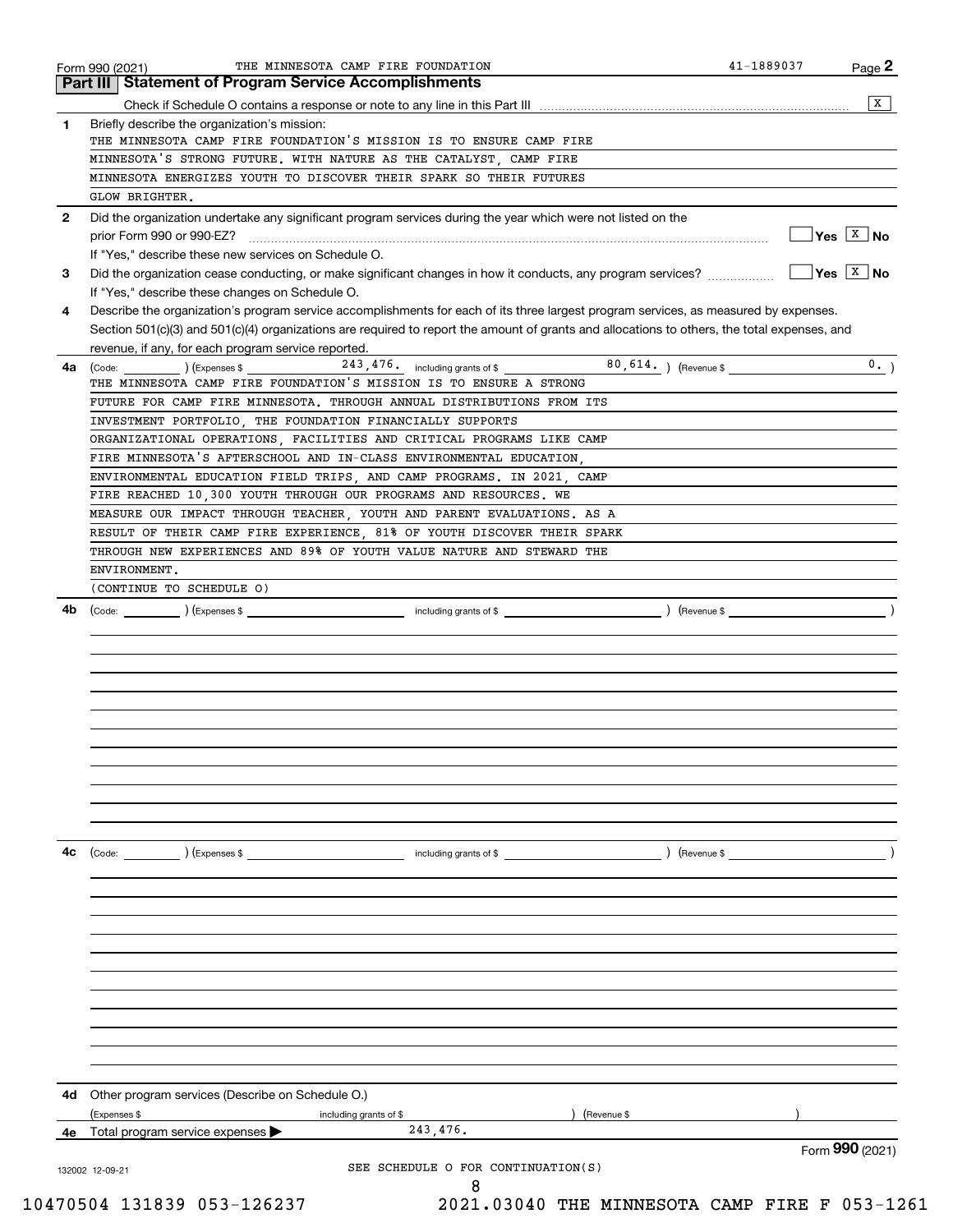|              | Part III   Statement of Program Service Accomplishments                                                                                      |                        |                        | X                                   |
|--------------|----------------------------------------------------------------------------------------------------------------------------------------------|------------------------|------------------------|-------------------------------------|
|              |                                                                                                                                              |                        |                        |                                     |
| 1.           | Briefly describe the organization's mission:<br>THE MINNESOTA CAMP FIRE FOUNDATION'S MISSION IS TO ENSURE CAMP FIRE                          |                        |                        |                                     |
|              |                                                                                                                                              |                        |                        |                                     |
|              | MINNESOTA'S STRONG FUTURE. WITH NATURE AS THE CATALYST, CAMP FIRE                                                                            |                        |                        |                                     |
|              | MINNESOTA ENERGIZES YOUTH TO DISCOVER THEIR SPARK SO THEIR FUTURES                                                                           |                        |                        |                                     |
|              | GLOW BRIGHTER.                                                                                                                               |                        |                        |                                     |
| $\mathbf{2}$ | Did the organization undertake any significant program services during the year which were not listed on the                                 |                        |                        |                                     |
|              |                                                                                                                                              |                        |                        | $\overline{Y}$ es $\overline{X}$ No |
|              | If "Yes," describe these new services on Schedule O.                                                                                         |                        |                        |                                     |
| 3            |                                                                                                                                              |                        |                        | $\overline{Y}$ es $\overline{X}$ No |
|              | If "Yes," describe these changes on Schedule O.                                                                                              |                        |                        |                                     |
| 4            | Describe the organization's program service accomplishments for each of its three largest program services, as measured by expenses.         |                        |                        |                                     |
|              | Section 501(c)(3) and 501(c)(4) organizations are required to report the amount of grants and allocations to others, the total expenses, and |                        |                        |                                     |
|              | revenue, if any, for each program service reported.                                                                                          |                        |                        |                                     |
| 4a           |                                                                                                                                              |                        | 80, 614. ) (Revenue \$ | 0.                                  |
|              | THE MINNESOTA CAMP FIRE FOUNDATION'S MISSION IS TO ENSURE A STRONG                                                                           |                        |                        |                                     |
|              | FUTURE FOR CAMP FIRE MINNESOTA. THROUGH ANNUAL DISTRIBUTIONS FROM ITS                                                                        |                        |                        |                                     |
|              | INVESTMENT PORTFOLIO, THE FOUNDATION FINANCIALLY SUPPORTS                                                                                    |                        |                        |                                     |
|              | ORGANIZATIONAL OPERATIONS, FACILITIES AND CRITICAL PROGRAMS LIKE CAMP                                                                        |                        |                        |                                     |
|              | FIRE MINNESOTA'S AFTERSCHOOL AND IN-CLASS ENVIRONMENTAL EDUCATION                                                                            |                        |                        |                                     |
|              | ENVIRONMENTAL EDUCATION FIELD TRIPS, AND CAMP PROGRAMS. IN 2021, CAMP                                                                        |                        |                        |                                     |
|              | FIRE REACHED 10,300 YOUTH THROUGH OUR PROGRAMS AND RESOURCES. WE                                                                             |                        |                        |                                     |
|              | MEASURE OUR IMPACT THROUGH TEACHER, YOUTH AND PARENT EVALUATIONS. AS A                                                                       |                        |                        |                                     |
|              | RESULT OF THEIR CAMP FIRE EXPERIENCE, 81% OF YOUTH DISCOVER THEIR SPARK                                                                      |                        |                        |                                     |
|              | THROUGH NEW EXPERIENCES AND 89% OF YOUTH VALUE NATURE AND STEWARD THE                                                                        |                        |                        |                                     |
|              | ENVIRONMENT.                                                                                                                                 |                        |                        |                                     |
|              | (CONTINUE TO SCHEDULE O)                                                                                                                     |                        |                        |                                     |
|              |                                                                                                                                              |                        |                        |                                     |
|              |                                                                                                                                              |                        |                        |                                     |
| 4с           | (Code:<br>) (Expenses \$                                                                                                                     | including grants of \$ | ) (Revenue \$          |                                     |
|              |                                                                                                                                              |                        |                        |                                     |
|              |                                                                                                                                              |                        |                        |                                     |
|              |                                                                                                                                              |                        |                        |                                     |
| 4d           | Other program services (Describe on Schedule O.)<br>(Expenses \$                                                                             | including grants of \$ | (Revenue \$            |                                     |
| 4е           | Total program service expenses                                                                                                               | 243,476.               |                        | Form 990 (2021)                     |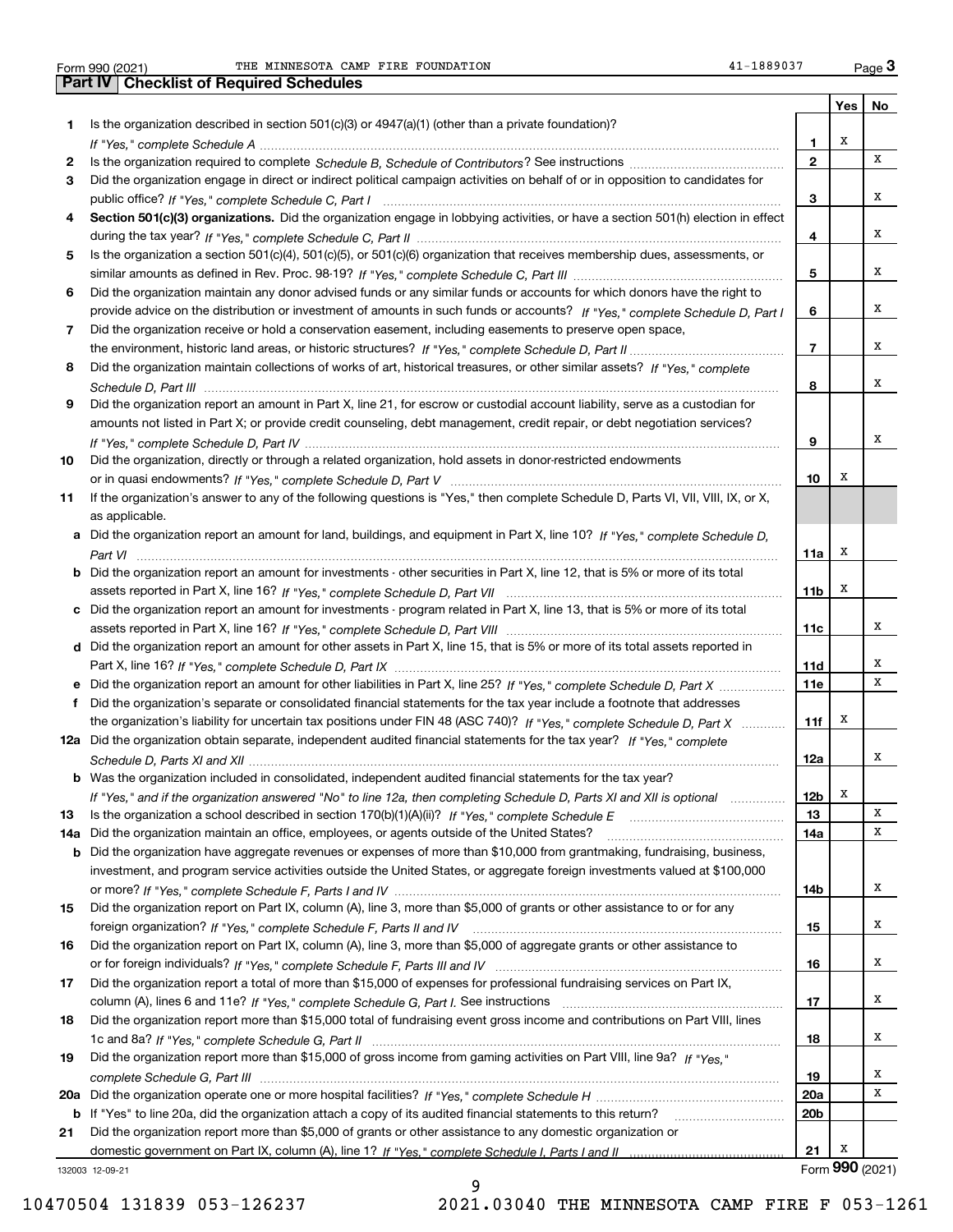Form 990 (2021) THE MINNESOTA CAMP FIRE FOUNDATION 41-1889037 Page Form 990 (2021) THE MINNESOTA CAMP FIRE FOUNDATION 41-1889037 Page 3<br> **Part IV** Checklist of Required Schedules

|     |                                                                                                                                                                                                                               |                 | Yes $ $         | No |
|-----|-------------------------------------------------------------------------------------------------------------------------------------------------------------------------------------------------------------------------------|-----------------|-----------------|----|
| 1   | Is the organization described in section $501(c)(3)$ or $4947(a)(1)$ (other than a private foundation)?                                                                                                                       |                 |                 |    |
|     |                                                                                                                                                                                                                               | 1               | X               |    |
| 2   |                                                                                                                                                                                                                               | $\mathbf{2}$    |                 | х  |
| 3   | Did the organization engage in direct or indirect political campaign activities on behalf of or in opposition to candidates for                                                                                               |                 |                 |    |
|     |                                                                                                                                                                                                                               | 3               |                 | х  |
| 4   | Section 501(c)(3) organizations. Did the organization engage in lobbying activities, or have a section 501(h) election in effect                                                                                              |                 |                 |    |
|     |                                                                                                                                                                                                                               | 4               |                 | х  |
| 5   | Is the organization a section 501(c)(4), 501(c)(5), or 501(c)(6) organization that receives membership dues, assessments, or                                                                                                  |                 |                 |    |
|     |                                                                                                                                                                                                                               | 5               |                 | х  |
| 6   | Did the organization maintain any donor advised funds or any similar funds or accounts for which donors have the right to                                                                                                     |                 |                 |    |
|     | provide advice on the distribution or investment of amounts in such funds or accounts? If "Yes," complete Schedule D, Part I                                                                                                  | 6               |                 | х  |
| 7   | Did the organization receive or hold a conservation easement, including easements to preserve open space,                                                                                                                     |                 |                 |    |
|     |                                                                                                                                                                                                                               | $\overline{7}$  |                 | х  |
| 8   | Did the organization maintain collections of works of art, historical treasures, or other similar assets? If "Yes," complete                                                                                                  |                 |                 |    |
|     |                                                                                                                                                                                                                               | 8               |                 | х  |
| 9   | Did the organization report an amount in Part X, line 21, for escrow or custodial account liability, serve as a custodian for                                                                                                 |                 |                 |    |
|     | amounts not listed in Part X; or provide credit counseling, debt management, credit repair, or debt negotiation services?                                                                                                     |                 |                 |    |
|     |                                                                                                                                                                                                                               | 9               |                 | х  |
|     |                                                                                                                                                                                                                               |                 |                 |    |
| 10  | Did the organization, directly or through a related organization, hold assets in donor-restricted endowments                                                                                                                  |                 | х               |    |
|     |                                                                                                                                                                                                                               | 10              |                 |    |
| 11  | If the organization's answer to any of the following questions is "Yes," then complete Schedule D, Parts VI, VII, VIII, IX, or X,                                                                                             |                 |                 |    |
|     | as applicable.                                                                                                                                                                                                                |                 |                 |    |
|     | a Did the organization report an amount for land, buildings, and equipment in Part X, line 10? If "Yes," complete Schedule D.                                                                                                 |                 |                 |    |
|     |                                                                                                                                                                                                                               | 11a             | х               |    |
|     | <b>b</b> Did the organization report an amount for investments - other securities in Part X, line 12, that is 5% or more of its total                                                                                         |                 |                 |    |
|     |                                                                                                                                                                                                                               | 11b             | X               |    |
|     | c Did the organization report an amount for investments - program related in Part X, line 13, that is 5% or more of its total                                                                                                 |                 |                 |    |
|     |                                                                                                                                                                                                                               | 11c             |                 | х  |
|     | d Did the organization report an amount for other assets in Part X, line 15, that is 5% or more of its total assets reported in                                                                                               |                 |                 |    |
|     |                                                                                                                                                                                                                               | 11d             |                 | х  |
|     | e Did the organization report an amount for other liabilities in Part X, line 25? If "Yes," complete Schedule D, Part X                                                                                                       | 11e             |                 | x  |
| f   | Did the organization's separate or consolidated financial statements for the tax year include a footnote that addresses                                                                                                       |                 |                 |    |
|     | the organization's liability for uncertain tax positions under FIN 48 (ASC 740)? If "Yes," complete Schedule D, Part X                                                                                                        | 11f             | х               |    |
|     | 12a Did the organization obtain separate, independent audited financial statements for the tax year? If "Yes," complete                                                                                                       |                 |                 |    |
|     |                                                                                                                                                                                                                               | 12a             |                 | х  |
|     | <b>b</b> Was the organization included in consolidated, independent audited financial statements for the tax year?                                                                                                            |                 |                 |    |
|     | If "Yes," and if the organization answered "No" to line 12a, then completing Schedule D, Parts XI and XII is optional                                                                                                         | 12 <sub>b</sub> | X               |    |
| 13  |                                                                                                                                                                                                                               | 13              |                 | х  |
| 14a | Did the organization maintain an office, employees, or agents outside of the United States?                                                                                                                                   | 14a             |                 | х  |
| b   | Did the organization have aggregate revenues or expenses of more than \$10,000 from grantmaking, fundraising, business,                                                                                                       |                 |                 |    |
|     | investment, and program service activities outside the United States, or aggregate foreign investments valued at \$100,000                                                                                                    |                 |                 |    |
|     |                                                                                                                                                                                                                               | 14b             |                 | х  |
| 15  | Did the organization report on Part IX, column (A), line 3, more than \$5,000 of grants or other assistance to or for any                                                                                                     |                 |                 |    |
|     |                                                                                                                                                                                                                               | 15              |                 | х  |
| 16  | Did the organization report on Part IX, column (A), line 3, more than \$5,000 of aggregate grants or other assistance to                                                                                                      |                 |                 |    |
|     |                                                                                                                                                                                                                               | 16              |                 | х  |
| 17  | Did the organization report a total of more than \$15,000 of expenses for professional fundraising services on Part IX,                                                                                                       |                 |                 |    |
|     |                                                                                                                                                                                                                               | 17              |                 | х  |
| 18  | Did the organization report more than \$15,000 total of fundraising event gross income and contributions on Part VIII, lines                                                                                                  |                 |                 |    |
|     |                                                                                                                                                                                                                               | 18              |                 | х  |
| 19  | Did the organization report more than \$15,000 of gross income from gaming activities on Part VIII, line 9a? If "Yes."                                                                                                        |                 |                 |    |
|     |                                                                                                                                                                                                                               | 19              |                 | x  |
|     |                                                                                                                                                                                                                               | 20a             |                 | х  |
|     |                                                                                                                                                                                                                               | 20 <sub>b</sub> |                 |    |
|     | b If "Yes" to line 20a, did the organization attach a copy of its audited financial statements to this return?<br>Did the organization report more than \$5,000 of grants or other assistance to any domestic organization or |                 |                 |    |
| 21  |                                                                                                                                                                                                                               | 21              | x               |    |
|     |                                                                                                                                                                                                                               |                 | Form 990 (2021) |    |
|     | 132003 12-09-21                                                                                                                                                                                                               |                 |                 |    |

9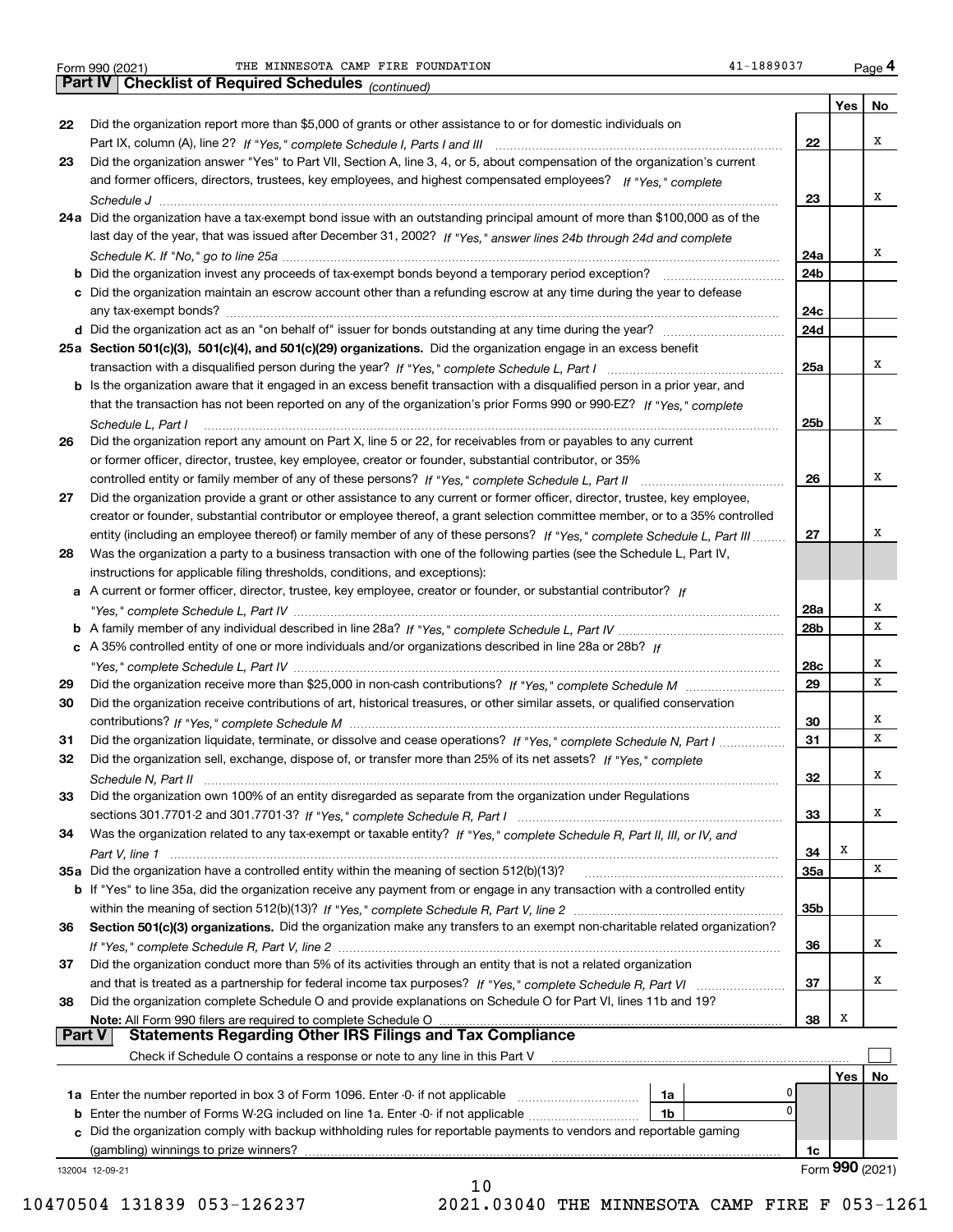*(continued)*

|               |                                                                                                                                                                                                                                                         |                 | Yes             | No |
|---------------|---------------------------------------------------------------------------------------------------------------------------------------------------------------------------------------------------------------------------------------------------------|-----------------|-----------------|----|
| 22            | Did the organization report more than \$5,000 of grants or other assistance to or for domestic individuals on                                                                                                                                           |                 |                 |    |
|               |                                                                                                                                                                                                                                                         | 22              |                 | х  |
| 23            | Did the organization answer "Yes" to Part VII, Section A, line 3, 4, or 5, about compensation of the organization's current                                                                                                                             |                 |                 |    |
|               | and former officers, directors, trustees, key employees, and highest compensated employees? If "Yes," complete                                                                                                                                          |                 |                 |    |
|               |                                                                                                                                                                                                                                                         | 23              |                 | х  |
|               | 24a Did the organization have a tax-exempt bond issue with an outstanding principal amount of more than \$100,000 as of the                                                                                                                             |                 |                 |    |
|               | last day of the year, that was issued after December 31, 2002? If "Yes," answer lines 24b through 24d and complete                                                                                                                                      |                 |                 |    |
|               |                                                                                                                                                                                                                                                         | 24a             |                 | х  |
|               |                                                                                                                                                                                                                                                         | 24b             |                 |    |
|               | c Did the organization maintain an escrow account other than a refunding escrow at any time during the year to defease                                                                                                                                  |                 |                 |    |
|               |                                                                                                                                                                                                                                                         | 24c             |                 |    |
|               |                                                                                                                                                                                                                                                         | 24d             |                 |    |
|               | 25a Section 501(c)(3), 501(c)(4), and 501(c)(29) organizations. Did the organization engage in an excess benefit                                                                                                                                        |                 |                 |    |
|               |                                                                                                                                                                                                                                                         | 25a             |                 | х  |
|               | b Is the organization aware that it engaged in an excess benefit transaction with a disqualified person in a prior year, and                                                                                                                            |                 |                 |    |
|               | that the transaction has not been reported on any of the organization's prior Forms 990 or 990-EZ? If "Yes," complete                                                                                                                                   |                 |                 |    |
|               | Schedule L, Part I                                                                                                                                                                                                                                      | 25b             |                 | х  |
| 26            | Did the organization report any amount on Part X, line 5 or 22, for receivables from or payables to any current                                                                                                                                         |                 |                 |    |
|               | or former officer, director, trustee, key employee, creator or founder, substantial contributor, or 35%                                                                                                                                                 |                 |                 | х  |
|               |                                                                                                                                                                                                                                                         | 26              |                 |    |
| 27            | Did the organization provide a grant or other assistance to any current or former officer, director, trustee, key employee,                                                                                                                             |                 |                 |    |
|               | creator or founder, substantial contributor or employee thereof, a grant selection committee member, or to a 35% controlled<br>entity (including an employee thereof) or family member of any of these persons? If "Yes," complete Schedule L, Part III | 27              |                 | х  |
| 28            | Was the organization a party to a business transaction with one of the following parties (see the Schedule L, Part IV,                                                                                                                                  |                 |                 |    |
|               | instructions for applicable filing thresholds, conditions, and exceptions):                                                                                                                                                                             |                 |                 |    |
|               | a A current or former officer, director, trustee, key employee, creator or founder, or substantial contributor? If                                                                                                                                      |                 |                 |    |
|               |                                                                                                                                                                                                                                                         | 28a             |                 | х  |
|               |                                                                                                                                                                                                                                                         | 28 <sub>b</sub> |                 | x  |
|               | c A 35% controlled entity of one or more individuals and/or organizations described in line 28a or 28b? If                                                                                                                                              |                 |                 |    |
|               |                                                                                                                                                                                                                                                         | 28c             |                 | х  |
| 29            |                                                                                                                                                                                                                                                         | 29              |                 | x  |
| 30            | Did the organization receive contributions of art, historical treasures, or other similar assets, or qualified conservation                                                                                                                             |                 |                 |    |
|               |                                                                                                                                                                                                                                                         | 30              |                 | х  |
| 31            | Did the organization liquidate, terminate, or dissolve and cease operations? If "Yes," complete Schedule N, Part I                                                                                                                                      | 31              |                 | x  |
| 32            | Did the organization sell, exchange, dispose of, or transfer more than 25% of its net assets? If "Yes," complete                                                                                                                                        |                 |                 |    |
|               |                                                                                                                                                                                                                                                         | 32              |                 | x  |
| 33            | Did the organization own 100% of an entity disregarded as separate from the organization under Regulations                                                                                                                                              |                 |                 |    |
|               |                                                                                                                                                                                                                                                         | 33              |                 | х  |
| 34            | Was the organization related to any tax-exempt or taxable entity? If "Yes," complete Schedule R, Part II, III, or IV, and                                                                                                                               |                 |                 |    |
|               |                                                                                                                                                                                                                                                         | 34              | х               |    |
|               | 35a Did the organization have a controlled entity within the meaning of section 512(b)(13)?                                                                                                                                                             | 35a             |                 | X  |
|               | b If "Yes" to line 35a, did the organization receive any payment from or engage in any transaction with a controlled entity                                                                                                                             |                 |                 |    |
|               | Section 501(c)(3) organizations. Did the organization make any transfers to an exempt non-charitable related organization?                                                                                                                              | 35b             |                 |    |
| 36            |                                                                                                                                                                                                                                                         | 36              |                 | х  |
| 37            | Did the organization conduct more than 5% of its activities through an entity that is not a related organization                                                                                                                                        |                 |                 |    |
|               |                                                                                                                                                                                                                                                         | 37              |                 | х  |
| 38            | Did the organization complete Schedule O and provide explanations on Schedule O for Part VI, lines 11b and 19?                                                                                                                                          |                 |                 |    |
|               |                                                                                                                                                                                                                                                         | 38              | х               |    |
| <b>Part V</b> |                                                                                                                                                                                                                                                         |                 |                 |    |
|               | Check if Schedule O contains a response or note to any line in this Part V                                                                                                                                                                              |                 |                 |    |
|               |                                                                                                                                                                                                                                                         |                 | Yes             | No |
|               | 0<br>1a                                                                                                                                                                                                                                                 |                 |                 |    |
|               | $\mathbf{0}$<br><b>b</b> Enter the number of Forms W-2G included on line 1a. Enter -0- if not applicable<br>1b                                                                                                                                          |                 |                 |    |
|               | c Did the organization comply with backup withholding rules for reportable payments to vendors and reportable gaming                                                                                                                                    |                 |                 |    |
|               | (gambling) winnings to prize winners?                                                                                                                                                                                                                   | 1c              |                 |    |
|               | 132004 12-09-21                                                                                                                                                                                                                                         |                 | Form 990 (2021) |    |
|               | 10                                                                                                                                                                                                                                                      |                 |                 |    |

 <sup>10470504 131839 053-126237 2021.03040</sup> THE MINNESOTA CAMP FIRE F 053-1261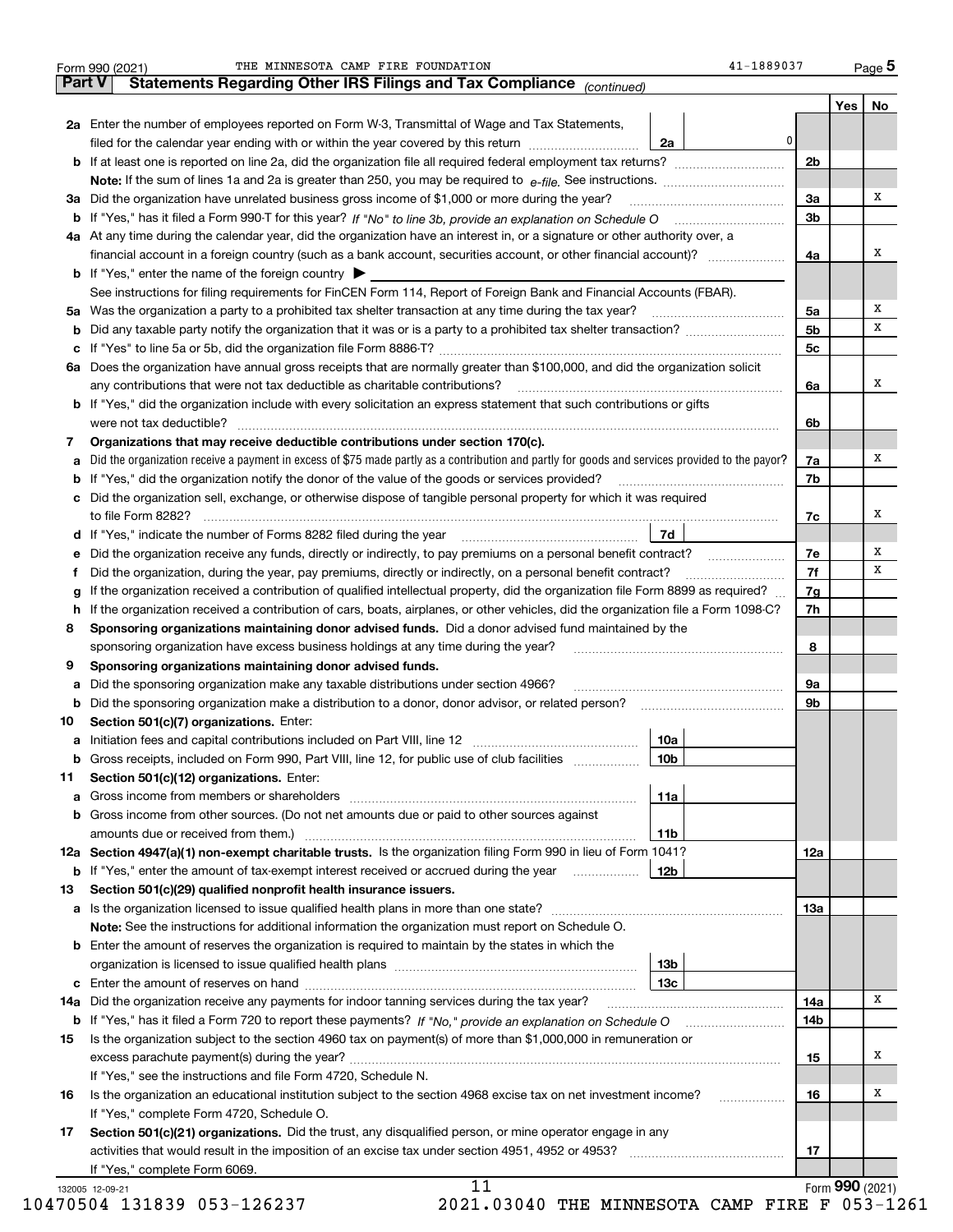| <b>Part V</b> | Statements Regarding Other IRS Filings and Tax Compliance (continued)                                                                                                                                    |     |                | Yes | No |
|---------------|----------------------------------------------------------------------------------------------------------------------------------------------------------------------------------------------------------|-----|----------------|-----|----|
|               | 2a Enter the number of employees reported on Form W-3, Transmittal of Wage and Tax Statements,                                                                                                           |     |                |     |    |
|               | filed for the calendar year ending with or within the year covered by this return                                                                                                                        | 2a  | 0              |     |    |
|               |                                                                                                                                                                                                          |     | 2 <sub>b</sub> |     |    |
|               |                                                                                                                                                                                                          |     |                |     |    |
|               | 3a Did the organization have unrelated business gross income of \$1,000 or more during the year?                                                                                                         |     | За             |     | x  |
|               |                                                                                                                                                                                                          |     | 3 <sub>b</sub> |     |    |
|               | 4a At any time during the calendar year, did the organization have an interest in, or a signature or other authority over, a                                                                             |     |                |     |    |
|               |                                                                                                                                                                                                          |     | 4a             |     | x  |
|               | <b>b</b> If "Yes," enter the name of the foreign country $\blacktriangleright$                                                                                                                           |     |                |     |    |
|               | See instructions for filing requirements for FinCEN Form 114, Report of Foreign Bank and Financial Accounts (FBAR).                                                                                      |     |                |     |    |
|               |                                                                                                                                                                                                          |     | 5a             |     | х  |
|               |                                                                                                                                                                                                          |     | 5 <sub>b</sub> |     | x  |
|               |                                                                                                                                                                                                          |     | 5c             |     |    |
|               | 6a Does the organization have annual gross receipts that are normally greater than \$100,000, and did the organization solicit                                                                           |     |                |     |    |
|               | any contributions that were not tax deductible as charitable contributions?                                                                                                                              |     | 6a             |     | X  |
|               | b If "Yes," did the organization include with every solicitation an express statement that such contributions or gifts                                                                                   |     |                |     |    |
|               | were not tax deductible?                                                                                                                                                                                 |     | 6b             |     |    |
| 7             | Organizations that may receive deductible contributions under section 170(c).                                                                                                                            |     |                |     |    |
|               | a Did the organization receive a payment in excess of \$75 made partly as a contribution and partly for goods and services provided to the payor?                                                        |     | 7a             |     | х  |
|               | <b>b</b> If "Yes," did the organization notify the donor of the value of the goods or services provided?                                                                                                 |     | 7b             |     |    |
|               | c Did the organization sell, exchange, or otherwise dispose of tangible personal property for which it was required                                                                                      |     |                |     |    |
|               |                                                                                                                                                                                                          |     | 7c             |     | x  |
|               | d If "Yes," indicate the number of Forms 8282 filed during the year [11] [11] The Sear [12] [12] Holder in the wave many contract the number of Forms 8282 filed during the year [12] [12] $\frac{1}{2}$ | 7d  |                |     |    |
|               |                                                                                                                                                                                                          |     | 7e             |     | х  |
|               | e Did the organization receive any funds, directly or indirectly, to pay premiums on a personal benefit contract?                                                                                        |     | 7f             |     | x  |
| Ť.            | Did the organization, during the year, pay premiums, directly or indirectly, on a personal benefit contract?                                                                                             |     |                |     |    |
| g             | If the organization received a contribution of qualified intellectual property, did the organization file Form 8899 as required?                                                                         |     | 7g<br>7h       |     |    |
|               | h If the organization received a contribution of cars, boats, airplanes, or other vehicles, did the organization file a Form 1098-C?                                                                     |     |                |     |    |
| 8             | Sponsoring organizations maintaining donor advised funds. Did a donor advised fund maintained by the                                                                                                     |     |                |     |    |
|               | sponsoring organization have excess business holdings at any time during the year?                                                                                                                       |     | 8              |     |    |
| 9             | Sponsoring organizations maintaining donor advised funds.                                                                                                                                                |     |                |     |    |
| а             | Did the sponsoring organization make any taxable distributions under section 4966?                                                                                                                       |     | 9a             |     |    |
|               | <b>b</b> Did the sponsoring organization make a distribution to a donor, donor advisor, or related person?                                                                                               |     | 9b             |     |    |
| 10            | Section 501(c)(7) organizations. Enter:<br><b>a</b> Initiation fees and capital contributions included on Part VIII, line 12                                                                             | 10a |                |     |    |
|               |                                                                                                                                                                                                          |     |                |     |    |
|               | <b>b</b> Gross receipts, included on Form 990, Part VIII, line 12, for public use of club facilities <i>manument</i>                                                                                     | 10b |                |     |    |
| 11            | Section 501(c)(12) organizations. Enter:                                                                                                                                                                 | 11a |                |     |    |
|               | b Gross income from other sources. (Do not net amounts due or paid to other sources against                                                                                                              |     |                |     |    |
|               |                                                                                                                                                                                                          |     |                |     |    |
|               | 12a Section 4947(a)(1) non-exempt charitable trusts. Is the organization filing Form 990 in lieu of Form 1041?                                                                                           | 11b |                |     |    |
|               |                                                                                                                                                                                                          | 12b | 12a            |     |    |
| 13            | <b>b</b> If "Yes," enter the amount of tax-exempt interest received or accrued during the year<br>Section 501(c)(29) qualified nonprofit health insurance issuers.                                       |     |                |     |    |
|               |                                                                                                                                                                                                          |     |                |     |    |
|               | Note: See the instructions for additional information the organization must report on Schedule O.                                                                                                        |     | 13а            |     |    |
|               |                                                                                                                                                                                                          |     |                |     |    |
|               | <b>b</b> Enter the amount of reserves the organization is required to maintain by the states in which the                                                                                                | 13b |                |     |    |
|               |                                                                                                                                                                                                          | 13с |                |     |    |
|               |                                                                                                                                                                                                          |     |                |     | х  |
|               | 14a Did the organization receive any payments for indoor tanning services during the tax year?                                                                                                           |     | 14a            |     |    |
|               |                                                                                                                                                                                                          |     | 14b            |     |    |
| 15            | Is the organization subject to the section 4960 tax on payment(s) of more than \$1,000,000 in remuneration or                                                                                            |     |                |     | x  |
|               |                                                                                                                                                                                                          |     | 15             |     |    |
|               | If "Yes," see the instructions and file Form 4720, Schedule N.                                                                                                                                           |     |                |     | х  |
| 16            | Is the organization an educational institution subject to the section 4968 excise tax on net investment income?                                                                                          |     | 16<br>.        |     |    |
|               | If "Yes," complete Form 4720, Schedule O.                                                                                                                                                                |     |                |     |    |
| 17            | Section 501(c)(21) organizations. Did the trust, any disqualified person, or mine operator engage in any                                                                                                 |     |                |     |    |
|               | If "Yes," complete Form 6069.                                                                                                                                                                            |     | 17             |     |    |
|               |                                                                                                                                                                                                          |     |                |     |    |

10470504 131839 053-126237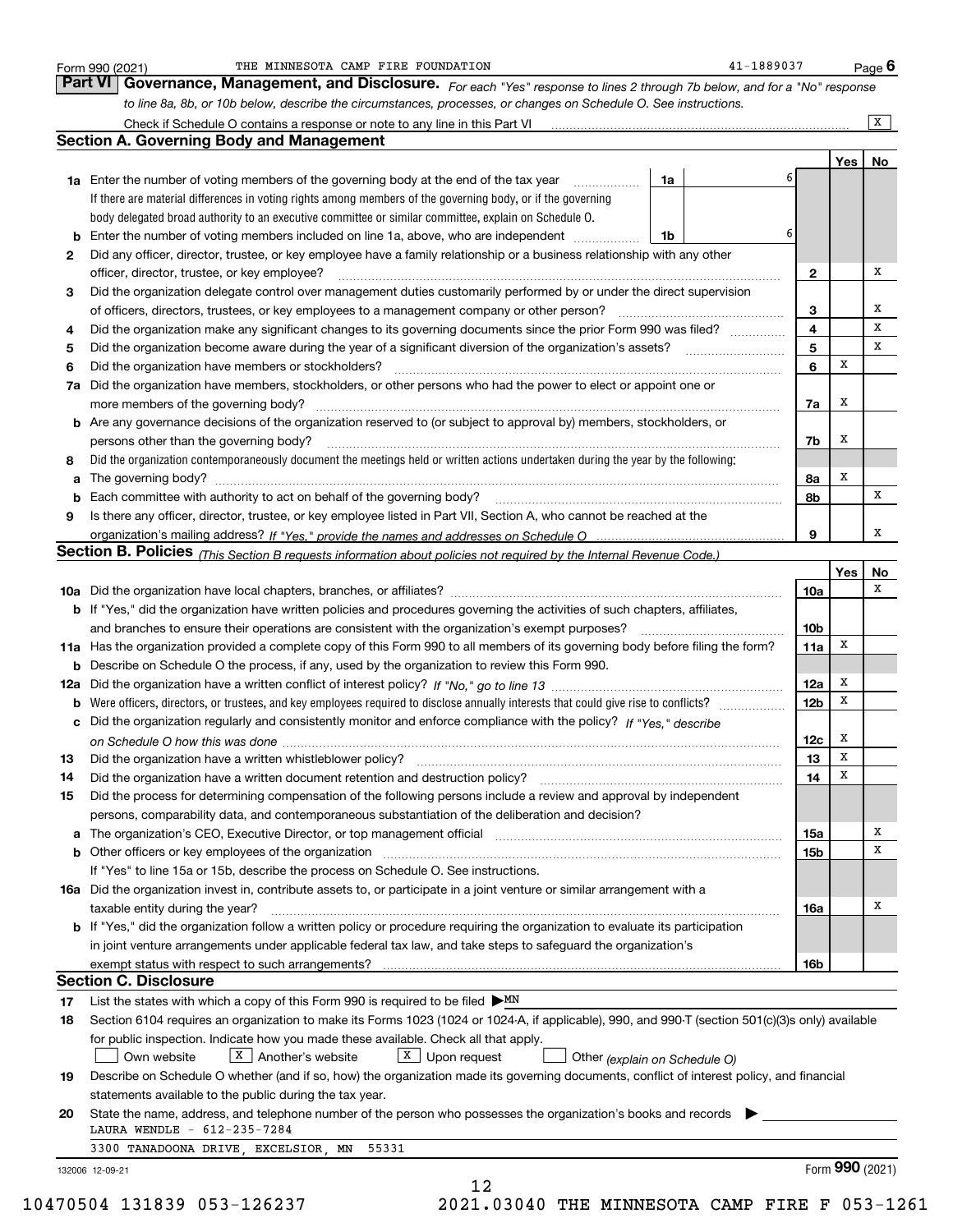|    | to line 8a, 8b, or 10b below, describe the circumstances, processes, or changes on Schedule O. See instructions.                                                                                                               |                 |        | $\overline{X}$ |
|----|--------------------------------------------------------------------------------------------------------------------------------------------------------------------------------------------------------------------------------|-----------------|--------|----------------|
|    | <b>Section A. Governing Body and Management</b>                                                                                                                                                                                |                 |        |                |
|    |                                                                                                                                                                                                                                |                 | Yes    | No             |
|    | 1a Enter the number of voting members of the governing body at the end of the tax year<br>1a                                                                                                                                   |                 |        |                |
|    | If there are material differences in voting rights among members of the governing body, or if the governing                                                                                                                    |                 |        |                |
|    | body delegated broad authority to an executive committee or similar committee, explain on Schedule O.                                                                                                                          |                 |        |                |
| b  | Enter the number of voting members included on line 1a, above, who are independent<br>1b                                                                                                                                       | 6               |        |                |
| 2  | Did any officer, director, trustee, or key employee have a family relationship or a business relationship with any other                                                                                                       |                 |        |                |
|    | officer, director, trustee, or key employee?                                                                                                                                                                                   | 2               |        | x              |
| 3  | Did the organization delegate control over management duties customarily performed by or under the direct supervision                                                                                                          |                 |        |                |
|    | of officers, directors, trustees, or key employees to a management company or other person?                                                                                                                                    | 3               |        | x              |
| 4  | Did the organization make any significant changes to its governing documents since the prior Form 990 was filed?                                                                                                               | 4               |        | x              |
| 5  |                                                                                                                                                                                                                                | 5               |        | x              |
| 6  | Did the organization have members or stockholders?                                                                                                                                                                             | 6               | x      |                |
| 7a | Did the organization have members, stockholders, or other persons who had the power to elect or appoint one or                                                                                                                 |                 |        |                |
|    |                                                                                                                                                                                                                                | 7a              | x      |                |
| b  | Are any governance decisions of the organization reserved to (or subject to approval by) members, stockholders, or                                                                                                             |                 |        |                |
|    | persons other than the governing body?                                                                                                                                                                                         | 7b              | х      |                |
| 8  | Did the organization contemporaneously document the meetings held or written actions undertaken during the year by the following:                                                                                              |                 |        |                |
| a  |                                                                                                                                                                                                                                | 8а              | x      |                |
|    | Each committee with authority to act on behalf of the governing body? [11] manufacture manufacture with authority to act on behalf of the governing body? [11] manufacture manufacture with authority of the state with an int | 8b              |        | x              |
| 9  | Is there any officer, director, trustee, or key employee listed in Part VII, Section A, who cannot be reached at the                                                                                                           |                 |        |                |
|    |                                                                                                                                                                                                                                | 9               |        | x              |
|    | Section B. Policies (This Section B requests information about policies not required by the Internal Revenue Code.)                                                                                                            |                 |        |                |
|    |                                                                                                                                                                                                                                |                 | Yes    | No             |
|    |                                                                                                                                                                                                                                | 10a             |        | x              |
|    | b If "Yes," did the organization have written policies and procedures governing the activities of such chapters, affiliates,                                                                                                   |                 |        |                |
|    | and branches to ensure their operations are consistent with the organization's exempt purposes?                                                                                                                                | 10 <sub>b</sub> |        |                |
|    | 11a Has the organization provided a complete copy of this Form 990 to all members of its governing body before filing the form?                                                                                                | 11a             | х      |                |
| b  | Describe on Schedule O the process, if any, used by the organization to review this Form 990.                                                                                                                                  |                 |        |                |
|    |                                                                                                                                                                                                                                | 12a             | X      |                |
|    |                                                                                                                                                                                                                                | 12 <sub>b</sub> | x      |                |
| b  |                                                                                                                                                                                                                                |                 |        |                |
|    | c Did the organization regularly and consistently monitor and enforce compliance with the policy? If "Yes," describe                                                                                                           |                 |        |                |
|    |                                                                                                                                                                                                                                | 12c             | х<br>X |                |
| 13 |                                                                                                                                                                                                                                | 13              |        |                |
| 14 | Did the organization have a written document retention and destruction policy? manufactured and the organization have a written document retention and destruction policy?                                                     | 14              | х      |                |
| 15 | Did the process for determining compensation of the following persons include a review and approval by independent                                                                                                             |                 |        |                |
|    | persons, comparability data, and contemporaneous substantiation of the deliberation and decision?                                                                                                                              |                 |        |                |
|    |                                                                                                                                                                                                                                | 15a             |        | х              |
|    |                                                                                                                                                                                                                                | 15b             |        | X              |
|    | If "Yes" to line 15a or 15b, describe the process on Schedule O. See instructions.                                                                                                                                             |                 |        |                |
|    | 16a Did the organization invest in, contribute assets to, or participate in a joint venture or similar arrangement with a                                                                                                      |                 |        |                |
|    | taxable entity during the year?                                                                                                                                                                                                | 16a             |        | x              |
|    | b If "Yes," did the organization follow a written policy or procedure requiring the organization to evaluate its participation                                                                                                 |                 |        |                |
|    | in joint venture arrangements under applicable federal tax law, and take steps to safeguard the organization's                                                                                                                 |                 |        |                |
|    |                                                                                                                                                                                                                                | 16b             |        |                |
|    | <b>Section C. Disclosure</b>                                                                                                                                                                                                   |                 |        |                |
| 17 | List the states with which a copy of this Form 990 is required to be filed $\triangleright$ MN                                                                                                                                 |                 |        |                |
| 18 | Section 6104 requires an organization to make its Forms 1023 (1024 or 1024-A, if applicable), 990, and 990-T (section 501(c)(3)s only) available                                                                               |                 |        |                |
|    | for public inspection. Indicate how you made these available. Check all that apply.                                                                                                                                            |                 |        |                |
|    | $X$ Upon request<br>Own website<br>$X$ Another's website<br>Other (explain on Schedule O)                                                                                                                                      |                 |        |                |
| 19 | Describe on Schedule O whether (and if so, how) the organization made its governing documents, conflict of interest policy, and financial                                                                                      |                 |        |                |
|    | statements available to the public during the tax year.                                                                                                                                                                        |                 |        |                |
| 20 | State the name, address, and telephone number of the person who possesses the organization's books and records                                                                                                                 |                 |        |                |
|    | LAURA WENDLE - 612-235-7284                                                                                                                                                                                                    |                 |        |                |
|    |                                                                                                                                                                                                                                |                 |        |                |
|    | 3300 TANADOONA DRIVE, EXCELSIOR, MN 55331                                                                                                                                                                                      |                 |        |                |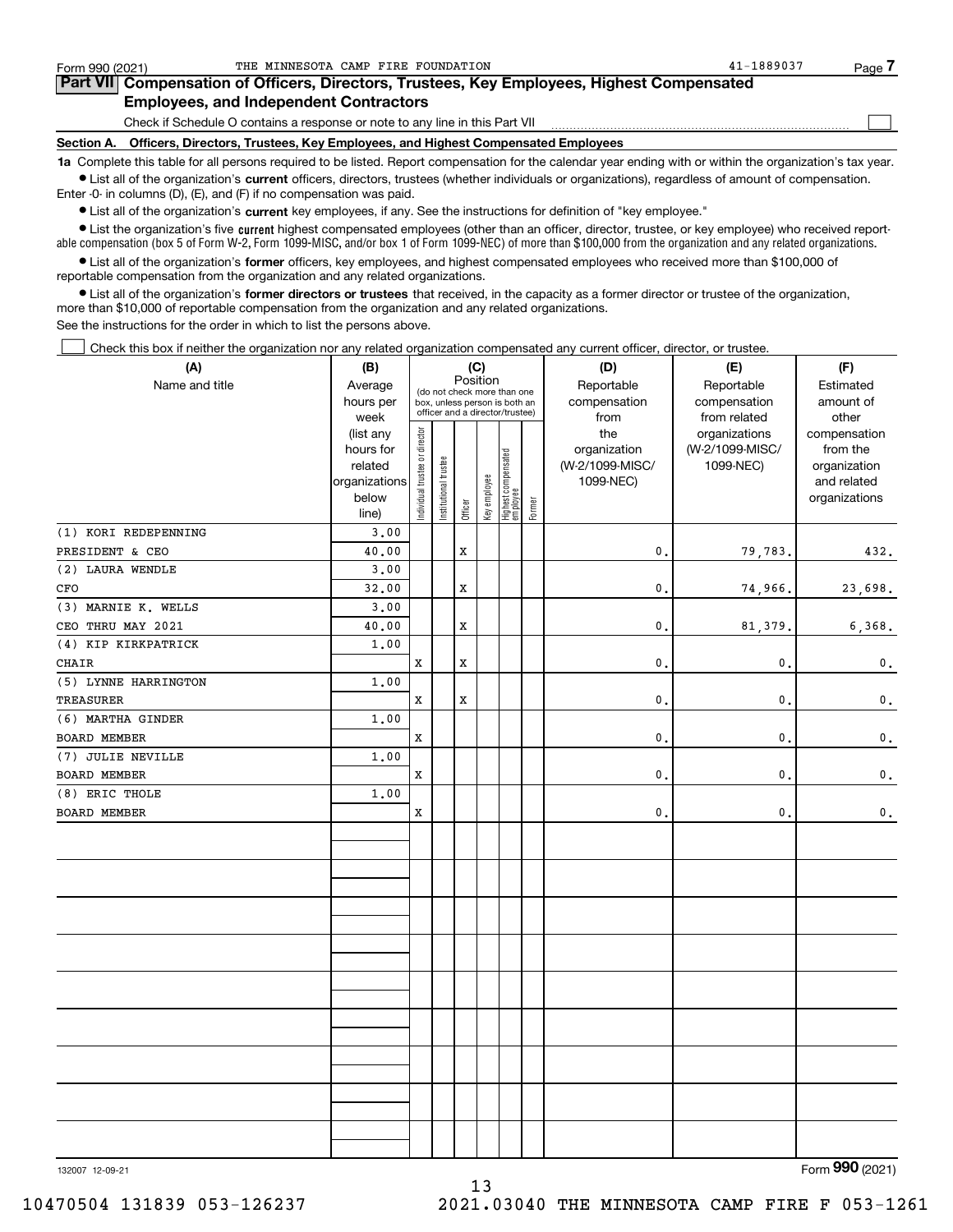| Form 990 (2021) | THE MINNESOTA CAMP FIRE FOUNDATION                                                                                                                         | 41-1889037 | Page |  |  |  |  |  |  |
|-----------------|------------------------------------------------------------------------------------------------------------------------------------------------------------|------------|------|--|--|--|--|--|--|
|                 | <b>Part VII</b> Compensation of Officers, Directors, Trustees, Key Employees, Highest Compensated                                                          |            |      |  |  |  |  |  |  |
|                 | <b>Employees, and Independent Contractors</b>                                                                                                              |            |      |  |  |  |  |  |  |
|                 | Check if Schedule O contains a response or note to any line in this Part VII                                                                               |            |      |  |  |  |  |  |  |
| Section A.      | Officers, Directors, Trustees, Key Employees, and Highest Compensated Employees                                                                            |            |      |  |  |  |  |  |  |
|                 | 1a Complete this table for all persons required to be listed. Report compensation for the calendar year ending with or within the organization's tax year. |            |      |  |  |  |  |  |  |

**•** List all of the organization's current officers, directors, trustees (whether individuals or organizations), regardless of amount of compensation. Enter -0- in columns (D), (E), and (F) if no compensation was paid.

 $\bullet$  List all of the organization's  $\sf current$  key employees, if any. See the instructions for definition of "key employee."

**•** List the organization's five current highest compensated employees (other than an officer, director, trustee, or key employee) who received reportable compensation (box 5 of Form W-2, Form 1099-MISC, and/or box 1 of Form 1099-NEC) of more than \$100,000 from the organization and any related organizations.

**•** List all of the organization's former officers, key employees, and highest compensated employees who received more than \$100,000 of reportable compensation from the organization and any related organizations.

**former directors or trustees**  ¥ List all of the organization's that received, in the capacity as a former director or trustee of the organization, more than \$10,000 of reportable compensation from the organization and any related organizations.

See the instructions for the order in which to list the persons above.

Check this box if neither the organization nor any related organization compensated any current officer, director, or trustee.  $\mathcal{L}^{\text{max}}$ 

| (A)                  | (B)               |                                |                       |             | (C)          |                                                                  |        | (D)             | (E)                           | (F)                |
|----------------------|-------------------|--------------------------------|-----------------------|-------------|--------------|------------------------------------------------------------------|--------|-----------------|-------------------------------|--------------------|
| Name and title       | Average           |                                |                       | Position    |              | (do not check more than one                                      |        | Reportable      | Reportable                    | Estimated          |
|                      | hours per<br>week |                                |                       |             |              | box, unless person is both an<br>officer and a director/trustee) |        | compensation    | compensation                  | amount of<br>other |
|                      | (list any         |                                |                       |             |              |                                                                  |        | from<br>the     | from related<br>organizations | compensation       |
|                      | hours for         |                                |                       |             |              |                                                                  |        | organization    | (W-2/1099-MISC/               | from the           |
|                      | related           |                                |                       |             |              |                                                                  |        | (W-2/1099-MISC/ | 1099-NEC)                     | organization       |
|                      | organizations     |                                |                       |             |              |                                                                  |        | 1099-NEC)       |                               | and related        |
|                      | below             | Individual trustee or director | Institutional trustee | Officer     | Key employee | Highest compensated<br>employee                                  | Former |                 |                               | organizations      |
| (1) KORI REDEPENNING | line)<br>3.00     |                                |                       |             |              |                                                                  |        |                 |                               |                    |
| PRESIDENT & CEO      | 40.00             |                                |                       | $\mathbf x$ |              |                                                                  |        | 0.              | 79,783.                       | 432.               |
| (2) LAURA WENDLE     | 3.00              |                                |                       |             |              |                                                                  |        |                 |                               |                    |
| CFO                  | 32.00             |                                |                       | $\mathbf x$ |              |                                                                  |        | 0.              | 74,966.                       | 23,698.            |
| (3) MARNIE K. WELLS  | 3.00              |                                |                       |             |              |                                                                  |        |                 |                               |                    |
| CEO THRU MAY 2021    | 40.00             |                                |                       | $\mathbf x$ |              |                                                                  |        | $\mathbf{0}$ .  | 81,379.                       | 6,368.             |
| (4) KIP KIRKPATRICK  | 1.00              |                                |                       |             |              |                                                                  |        |                 |                               |                    |
| CHAIR                |                   | $\mathbf x$                    |                       | $\mathbf x$ |              |                                                                  |        | 0.              | $\mathbf{0}$ .                | 0.                 |
| (5) LYNNE HARRINGTON | 1.00              |                                |                       |             |              |                                                                  |        |                 |                               |                    |
| TREASURER            |                   | $\mathbf x$                    |                       | X           |              |                                                                  |        | 0.              | $\mathbf{0}$ .                | $\mathbf 0$ .      |
| (6) MARTHA GINDER    | 1.00              |                                |                       |             |              |                                                                  |        |                 |                               |                    |
| BOARD MEMBER         |                   | $\mathbf x$                    |                       |             |              |                                                                  |        | 0.              | 0.                            | 0.                 |
| (7) JULIE NEVILLE    | 1.00              |                                |                       |             |              |                                                                  |        |                 |                               |                    |
| BOARD MEMBER         |                   | X                              |                       |             |              |                                                                  |        | 0.              | 0.                            | $\mathbf 0$ .      |
| (8) ERIC THOLE       | 1.00              |                                |                       |             |              |                                                                  |        |                 |                               |                    |
| BOARD MEMBER         |                   | X                              |                       |             |              |                                                                  |        | 0.              | 0.                            | $\mathbf 0$ .      |
|                      |                   |                                |                       |             |              |                                                                  |        |                 |                               |                    |
|                      |                   |                                |                       |             |              |                                                                  |        |                 |                               |                    |
|                      |                   |                                |                       |             |              |                                                                  |        |                 |                               |                    |
|                      |                   |                                |                       |             |              |                                                                  |        |                 |                               |                    |
|                      |                   |                                |                       |             |              |                                                                  |        |                 |                               |                    |
|                      |                   |                                |                       |             |              |                                                                  |        |                 |                               |                    |
|                      |                   |                                |                       |             |              |                                                                  |        |                 |                               |                    |
|                      |                   |                                |                       |             |              |                                                                  |        |                 |                               |                    |
|                      |                   |                                |                       |             |              |                                                                  |        |                 |                               |                    |
|                      |                   |                                |                       |             |              |                                                                  |        |                 |                               |                    |
|                      |                   |                                |                       |             |              |                                                                  |        |                 |                               |                    |
|                      |                   |                                |                       |             |              |                                                                  |        |                 |                               |                    |
|                      |                   |                                |                       |             |              |                                                                  |        |                 |                               |                    |
|                      |                   |                                |                       |             |              |                                                                  |        |                 |                               |                    |
|                      |                   |                                |                       |             |              |                                                                  |        |                 |                               |                    |
|                      |                   |                                |                       |             |              |                                                                  |        |                 |                               |                    |
|                      |                   |                                |                       |             |              |                                                                  |        |                 |                               |                    |

Form (2021) **990**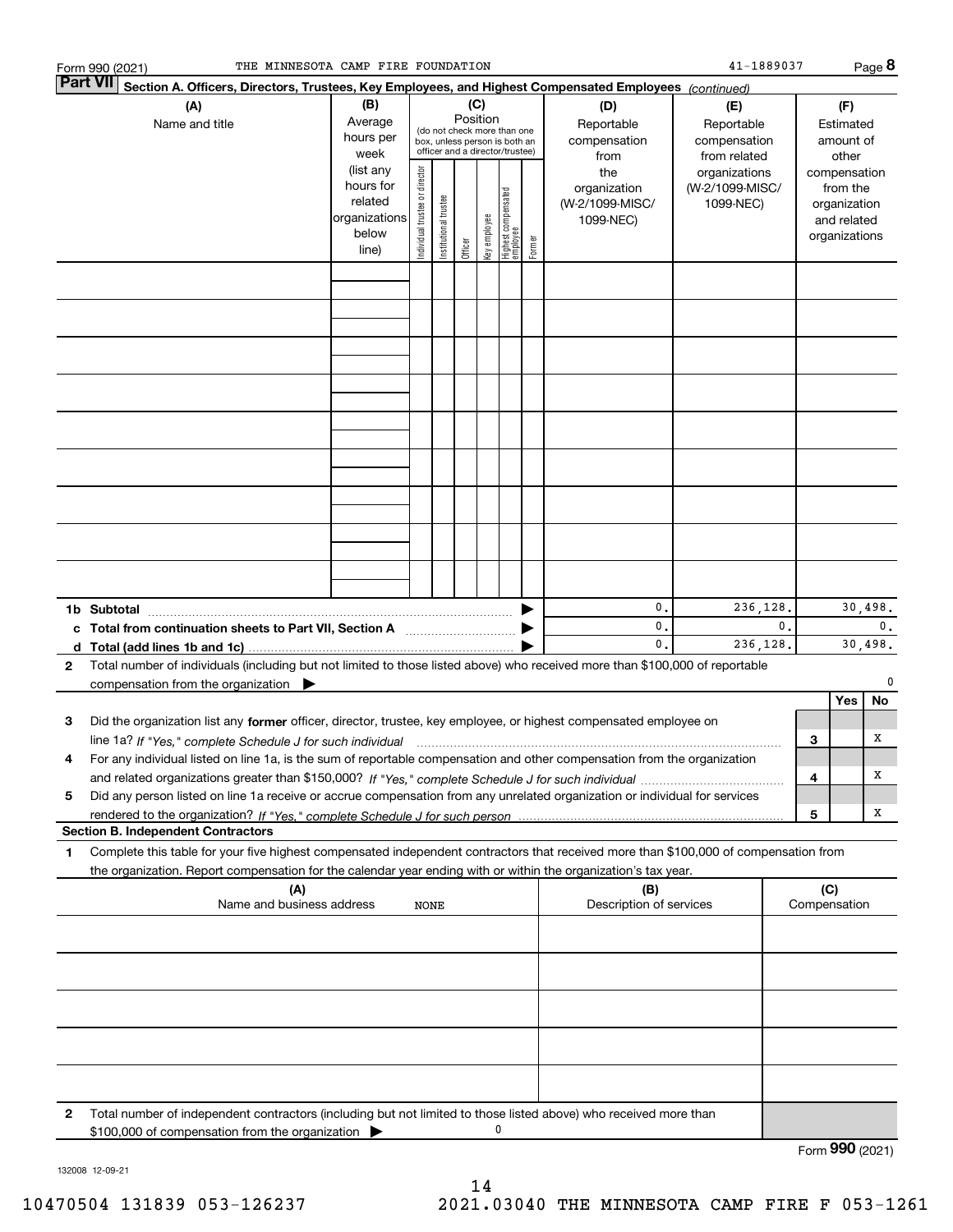|                                                                                                                               | THE MINNESOTA CAMP FIRE FOUNDATION<br>Form 990 (2021)                                                                                                                                                                                                                |                                                                      |                                |                       |                 |              |                                                                                                 |        |                                                     | 41-1889037                                        |   |                                                                          | Page 8  |
|-------------------------------------------------------------------------------------------------------------------------------|----------------------------------------------------------------------------------------------------------------------------------------------------------------------------------------------------------------------------------------------------------------------|----------------------------------------------------------------------|--------------------------------|-----------------------|-----------------|--------------|-------------------------------------------------------------------------------------------------|--------|-----------------------------------------------------|---------------------------------------------------|---|--------------------------------------------------------------------------|---------|
| <b>Part VII</b>                                                                                                               | Section A. Officers, Directors, Trustees, Key Employees, and Highest Compensated Employees (continued)                                                                                                                                                               |                                                                      |                                |                       |                 |              |                                                                                                 |        |                                                     |                                                   |   |                                                                          |         |
|                                                                                                                               | (A)<br>Name and title                                                                                                                                                                                                                                                | (B)<br>Average<br>hours per<br>week                                  |                                |                       | (C)<br>Position |              | (do not check more than one<br>box, unless person is both an<br>officer and a director/trustee) |        | (D)<br>Reportable<br>compensation<br>from           | (E)<br>Reportable<br>compensation<br>from related |   | (F)<br>Estimated<br>amount of<br>other                                   |         |
|                                                                                                                               |                                                                                                                                                                                                                                                                      | (list any<br>hours for<br>related<br>organizations<br>below<br>line) | Individual trustee or director | Institutional trustee | Officer         | key employee | Highest compensated<br>  employee                                                               | Former | the<br>organization<br>(W-2/1099-MISC/<br>1099-NEC) | organizations<br>(W-2/1099-MISC/<br>1099-NEC)     |   | compensation<br>from the<br>organization<br>and related<br>organizations |         |
|                                                                                                                               |                                                                                                                                                                                                                                                                      |                                                                      |                                |                       |                 |              |                                                                                                 |        |                                                     |                                                   |   |                                                                          |         |
|                                                                                                                               |                                                                                                                                                                                                                                                                      |                                                                      |                                |                       |                 |              |                                                                                                 |        |                                                     |                                                   |   |                                                                          |         |
|                                                                                                                               |                                                                                                                                                                                                                                                                      |                                                                      |                                |                       |                 |              |                                                                                                 |        |                                                     |                                                   |   |                                                                          |         |
|                                                                                                                               |                                                                                                                                                                                                                                                                      |                                                                      |                                |                       |                 |              |                                                                                                 |        |                                                     |                                                   |   |                                                                          |         |
|                                                                                                                               |                                                                                                                                                                                                                                                                      |                                                                      |                                |                       |                 |              |                                                                                                 |        |                                                     |                                                   |   |                                                                          |         |
|                                                                                                                               |                                                                                                                                                                                                                                                                      |                                                                      |                                |                       |                 |              |                                                                                                 |        |                                                     |                                                   |   |                                                                          |         |
|                                                                                                                               |                                                                                                                                                                                                                                                                      |                                                                      |                                |                       |                 |              |                                                                                                 |        | 0.                                                  |                                                   |   |                                                                          | 30,498. |
| 236,128.<br>0.<br>$\mathbf{0}$ .<br>c Total from continuation sheets to Part VII, Section A manufactured by<br>0.<br>236,128. |                                                                                                                                                                                                                                                                      |                                                                      |                                |                       |                 |              | $\mathbf{0}$ .<br>30,498.                                                                       |        |                                                     |                                                   |   |                                                                          |         |
| $\mathbf{2}$                                                                                                                  | Total number of individuals (including but not limited to those listed above) who received more than \$100,000 of reportable<br>compensation from the organization $\blacktriangleright$                                                                             |                                                                      |                                |                       |                 |              |                                                                                                 |        |                                                     |                                                   |   | Yes                                                                      | 0<br>No |
| 3                                                                                                                             | Did the organization list any former officer, director, trustee, key employee, or highest compensated employee on<br>line 1a? If "Yes," complete Schedule J for such individual manufactured contained and the 1a? If "Yes," complete Schedule J for such individual |                                                                      |                                |                       |                 |              |                                                                                                 |        |                                                     |                                                   | 3 |                                                                          | х       |
| 5                                                                                                                             | For any individual listed on line 1a, is the sum of reportable compensation and other compensation from the organization<br>Did any person listed on line 1a receive or accrue compensation from any unrelated organization or individual for services               |                                                                      |                                |                       |                 |              |                                                                                                 |        |                                                     |                                                   | 4 |                                                                          | х       |
|                                                                                                                               | <b>Section B. Independent Contractors</b>                                                                                                                                                                                                                            |                                                                      |                                |                       |                 |              |                                                                                                 |        |                                                     |                                                   | 5 |                                                                          | х       |
| 1                                                                                                                             | Complete this table for your five highest compensated independent contractors that received more than \$100,000 of compensation from<br>the organization. Report compensation for the calendar year ending with or within the organization's tax year.               |                                                                      |                                |                       |                 |              |                                                                                                 |        |                                                     |                                                   |   |                                                                          |         |
|                                                                                                                               | (B)<br>(A)<br>Name and business address<br>Description of services<br><b>NONE</b>                                                                                                                                                                                    |                                                                      |                                |                       |                 |              |                                                                                                 | (C)    | Compensation                                        |                                                   |   |                                                                          |         |
|                                                                                                                               |                                                                                                                                                                                                                                                                      |                                                                      |                                |                       |                 |              |                                                                                                 |        |                                                     |                                                   |   |                                                                          |         |
|                                                                                                                               |                                                                                                                                                                                                                                                                      |                                                                      |                                |                       |                 |              |                                                                                                 |        |                                                     |                                                   |   |                                                                          |         |
|                                                                                                                               |                                                                                                                                                                                                                                                                      |                                                                      |                                |                       |                 |              |                                                                                                 |        |                                                     |                                                   |   |                                                                          |         |
| 2                                                                                                                             | Total number of independent contractors (including but not limited to those listed above) who received more than                                                                                                                                                     |                                                                      |                                |                       |                 |              |                                                                                                 |        |                                                     |                                                   |   |                                                                          |         |
|                                                                                                                               | \$100,000 of compensation from the organization                                                                                                                                                                                                                      |                                                                      |                                |                       |                 |              | 0                                                                                               |        |                                                     |                                                   |   |                                                                          |         |

132008 12-09-21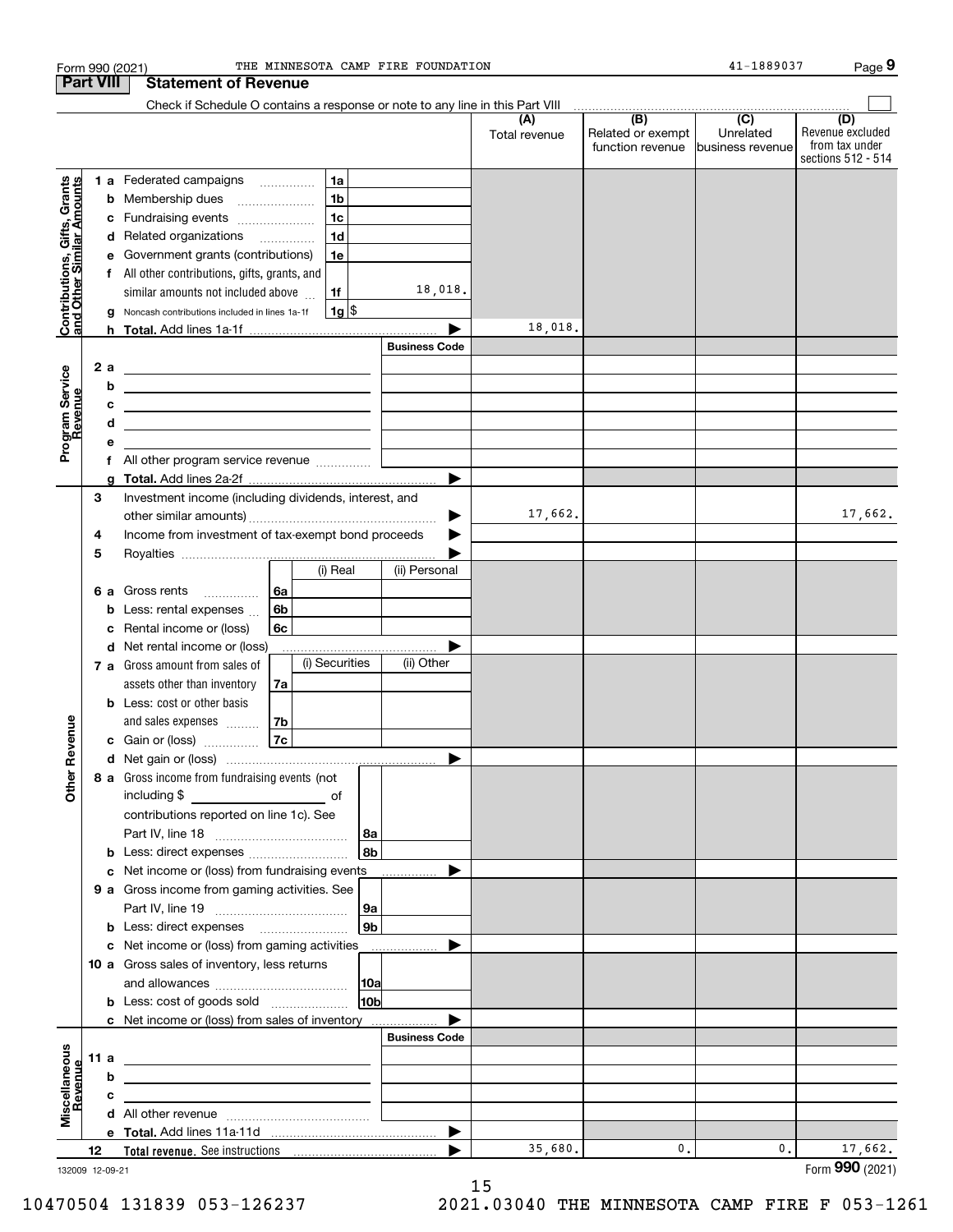|                                                           |                  |   | THE MINNESOTA CAMP FIRE FOUNDATION<br>Form 990 (2021)                                                                  |                      |                      |                                              | 41-1889037                                       | Page 9                                                          |
|-----------------------------------------------------------|------------------|---|------------------------------------------------------------------------------------------------------------------------|----------------------|----------------------|----------------------------------------------|--------------------------------------------------|-----------------------------------------------------------------|
|                                                           | <b>Part VIII</b> |   | <b>Statement of Revenue</b>                                                                                            |                      |                      |                                              |                                                  |                                                                 |
|                                                           |                  |   | Check if Schedule O contains a response or note to any line in this Part VIII                                          |                      |                      |                                              |                                                  |                                                                 |
|                                                           |                  |   |                                                                                                                        |                      | (A)<br>Total revenue | (B)<br>Related or exempt<br>function revenue | $\overline{C}$<br>Unrelated<br>Ibusiness revenue | (D)<br>Revenue excluded<br>from tax under<br>sections 512 - 514 |
|                                                           |                  |   | 1a<br>1 a Federated campaigns                                                                                          |                      |                      |                                              |                                                  |                                                                 |
|                                                           |                  |   | 1 <sub>b</sub><br><b>b</b> Membership dues                                                                             |                      |                      |                                              |                                                  |                                                                 |
| Contributions, Gifts, Grants<br>and Other Similar Amounts |                  |   | 1 <sub>c</sub><br>c Fundraising events                                                                                 |                      |                      |                                              |                                                  |                                                                 |
|                                                           |                  |   | 1 <sub>d</sub><br>d Related organizations                                                                              |                      |                      |                                              |                                                  |                                                                 |
|                                                           |                  |   | e Government grants (contributions)<br>1e                                                                              |                      |                      |                                              |                                                  |                                                                 |
|                                                           |                  |   | f All other contributions, gifts, grants, and                                                                          |                      |                      |                                              |                                                  |                                                                 |
|                                                           |                  |   | similar amounts not included above<br>1f                                                                               | 18,018.              |                      |                                              |                                                  |                                                                 |
|                                                           |                  |   | $1g$ \$<br>g Noncash contributions included in lines 1a-1f                                                             |                      |                      |                                              |                                                  |                                                                 |
|                                                           |                  |   |                                                                                                                        |                      | 18,018.              |                                              |                                                  |                                                                 |
|                                                           |                  |   |                                                                                                                        | <b>Business Code</b> |                      |                                              |                                                  |                                                                 |
|                                                           | 2 a              |   | <u> 1989 - Johann Barn, mars ann an t-Amhainn an t-Amhainn an t-Amhainn an t-Amhainn an t-Amhainn an t-Amhainn an </u> |                      |                      |                                              |                                                  |                                                                 |
|                                                           |                  | b | <u> 1989 - Johann Barn, mars ann an t-Amhain ann an t-Amhain an t-Amhain an t-Amhain an t-Amhain an t-Amhain an t-</u> |                      |                      |                                              |                                                  |                                                                 |
|                                                           |                  | c | <u> 1989 - Jan Sterling von Berling von Berling von Berling von Berling von Berling von Berling von Berling von B</u>  |                      |                      |                                              |                                                  |                                                                 |
| Program Service<br>Revenue                                |                  | d | <u> 1980 - Jan Barnett, fransk politiker (d. 1980)</u>                                                                 |                      |                      |                                              |                                                  |                                                                 |
|                                                           |                  | е |                                                                                                                        |                      |                      |                                              |                                                  |                                                                 |
|                                                           |                  |   |                                                                                                                        |                      |                      |                                              |                                                  |                                                                 |
|                                                           |                  | a |                                                                                                                        |                      |                      |                                              |                                                  |                                                                 |
|                                                           | 3                |   | Investment income (including dividends, interest, and                                                                  |                      | 17,662.              |                                              |                                                  | 17,662.                                                         |
|                                                           | 4                |   | Income from investment of tax-exempt bond proceeds                                                                     | ▶                    |                      |                                              |                                                  |                                                                 |
|                                                           | 5                |   |                                                                                                                        |                      |                      |                                              |                                                  |                                                                 |
|                                                           |                  |   | (i) Real                                                                                                               | (ii) Personal        |                      |                                              |                                                  |                                                                 |
|                                                           |                  |   | 6 a Gross rents<br>6a                                                                                                  |                      |                      |                                              |                                                  |                                                                 |
|                                                           |                  |   | 6b<br><b>b</b> Less: rental expenses                                                                                   |                      |                      |                                              |                                                  |                                                                 |
|                                                           |                  | c | 6c<br>Rental income or (loss)                                                                                          |                      |                      |                                              |                                                  |                                                                 |
|                                                           |                  |   | d Net rental income or (loss)                                                                                          |                      |                      |                                              |                                                  |                                                                 |
|                                                           |                  |   | (i) Securities<br><b>7 a</b> Gross amount from sales of                                                                | (ii) Other           |                      |                                              |                                                  |                                                                 |
|                                                           |                  |   | assets other than inventory<br>7a                                                                                      |                      |                      |                                              |                                                  |                                                                 |
|                                                           |                  |   | <b>b</b> Less: cost or other basis                                                                                     |                      |                      |                                              |                                                  |                                                                 |
|                                                           |                  |   | and sales expenses<br>7b                                                                                               |                      |                      |                                              |                                                  |                                                                 |
| venue                                                     |                  |   | 7c<br>c Gain or (loss)                                                                                                 |                      |                      |                                              |                                                  |                                                                 |
|                                                           |                  |   |                                                                                                                        |                      |                      |                                              |                                                  |                                                                 |
| Other Re                                                  |                  |   | 8 a Gross income from fundraising events (not                                                                          |                      |                      |                                              |                                                  |                                                                 |
|                                                           |                  |   | including \$                                                                                                           |                      |                      |                                              |                                                  |                                                                 |
|                                                           |                  |   | contributions reported on line 1c). See                                                                                |                      |                      |                                              |                                                  |                                                                 |
|                                                           |                  |   | 8a                                                                                                                     |                      |                      |                                              |                                                  |                                                                 |
|                                                           |                  |   | ∣8b∣                                                                                                                   |                      |                      |                                              |                                                  |                                                                 |
|                                                           |                  |   | c Net income or (loss) from fundraising events                                                                         |                      |                      |                                              |                                                  |                                                                 |
|                                                           |                  |   | 9 a Gross income from gaming activities. See                                                                           |                      |                      |                                              |                                                  |                                                                 |
|                                                           |                  |   | 9a  <br> 9b                                                                                                            |                      |                      |                                              |                                                  |                                                                 |
|                                                           |                  |   | <b>b</b> Less: direct expenses <i>manually contained</i><br>c Net income or (loss) from gaming activities              |                      |                      |                                              |                                                  |                                                                 |
|                                                           |                  |   | 10 a Gross sales of inventory, less returns                                                                            |                      |                      |                                              |                                                  |                                                                 |
|                                                           |                  |   |                                                                                                                        |                      |                      |                                              |                                                  |                                                                 |
|                                                           |                  |   | 10 <sub>b</sub>                                                                                                        |                      |                      |                                              |                                                  |                                                                 |
|                                                           |                  |   | c Net income or (loss) from sales of inventory                                                                         |                      |                      |                                              |                                                  |                                                                 |
|                                                           |                  |   |                                                                                                                        | <b>Business Code</b> |                      |                                              |                                                  |                                                                 |
|                                                           | 11 a             |   | <u> 1980 - Andrea Andrew Maria (h. 1980).</u>                                                                          |                      |                      |                                              |                                                  |                                                                 |
|                                                           |                  | b |                                                                                                                        |                      |                      |                                              |                                                  |                                                                 |
|                                                           |                  | с |                                                                                                                        |                      |                      |                                              |                                                  |                                                                 |
| Miscellaneous<br>Revenue                                  |                  |   |                                                                                                                        |                      |                      |                                              |                                                  |                                                                 |
|                                                           |                  |   |                                                                                                                        | ▶                    |                      |                                              |                                                  |                                                                 |
|                                                           | 12               |   |                                                                                                                        |                      | 35,680.              | 0.                                           | $\mathbf{0}$ .                                   | 17,662.                                                         |
| 132009 12-09-21                                           |                  |   |                                                                                                                        |                      |                      |                                              |                                                  | Form 990 (2021)                                                 |

15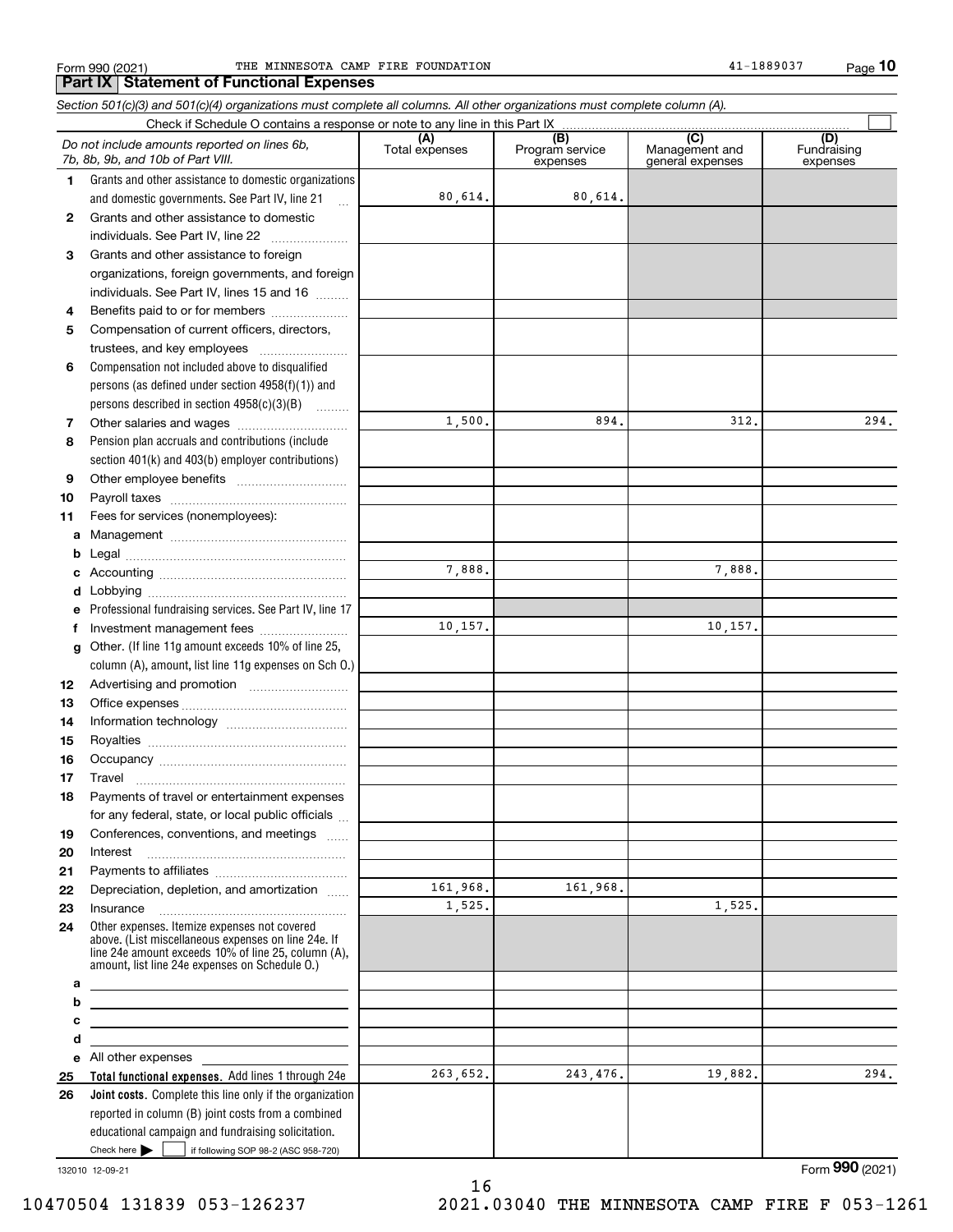Form 990 (2021) THE MINNESOTA CAMP FIRE FOUNDATION 41-1889037 Page

*Section 501(c)(3) and 501(c)(4) organizations must complete all columns. All other organizations must complete column (A).*

**10**

#### Check here  $\bullet$  if following SOP 98-2 (ASC 958-720) **Total functional expenses.**  Add lines 1 through 24e **Joint costs.** Complete this line only if the organization **(A)**<br>Total expenses **(B) (C) (D) 1234567891011abcdefg12131415161718192021222324abcde2526**Grants and other assistance to domestic organizations and domestic governments. See Part IV, line 21 Compensation not included above to disqualified persons (as defined under section 4958(f)(1)) and persons described in section 4958(c)(3)(B)  $\quad \ldots \ldots \ldots$ Pension plan accruals and contributions (include section 401(k) and 403(b) employer contributions) Professional fundraising services. See Part IV, line 17 Other. (If line 11g amount exceeds 10% of line 25, column (A), amount, list line 11g expenses on Sch O.) Other expenses. Itemize expenses not covered above. (List miscellaneous expenses on line 24e. If line 24e amount exceeds 10% of line 25, column (A), amount, list line 24e expenses on Schedule O.) reported in column (B) joint costs from a combined educational campaign and fundraising solicitation. Check if Schedule O contains a response or note to any line in this Part IX (C) (C) (C) (C) (C) (C) Program service expensesManagement and general expenses Fundraising expensesGrants and other assistance to domestic individuals. See Part IV, line 22 ...................... Grants and other assistance to foreign organizations, foreign governments, and foreign individuals. See Part IV, lines 15 and 16  $\ldots$ Benefits paid to or for members .................... Compensation of current officers, directors, trustees, and key employees  $\ldots$   $\ldots$   $\ldots$   $\ldots$   $\ldots$ Other salaries and wages ~~~~~~~~~~ Other employee benefits ~~~~~~~~~~ Payroll taxes ~~~~~~~~~~~~~~~~ Fees for services (nonemployees): Management ~~~~~~~~~~~~~~~~ Legal ~~~~~~~~~~~~~~~~~~~~Accounting ~~~~~~~~~~~~~~~~~ Lobbying ~~~~~~~~~~~~~~~~~~ lnvestment management fees ....................... Advertising and promotion \_\_\_\_\_\_\_\_\_\_\_\_\_\_\_\_\_\_\_ Office expenses ~~~~~~~~~~~~~~~ Information technology ~~~~~~~~~~~ Royalties ~~~~~~~~~~~~~~~~~~ Occupancy ~~~~~~~~~~~~~~~~~ Travel ……………………………………………… Payments of travel or entertainment expenses for any federal, state, or local public officials ... Conferences, conventions, and meetings InterestPayments to affiliates [*[[[[[[[[[[[[[]]]]]* ~~~~~~~~~~~~~~~~~~Depreciation, depletion, and amortization  $\,\,\ldots\,\,$ Insurance~~~~~~~~~~~~~~~~~All other expenses Check here  $\blacktriangleright$ *Do not include amounts reported on lines 6b, 7b, 8b, 9b, and 10b of Part VIII.*  $\mathcal{L}^{\text{max}}$ 80,614. 1,500. 7,888. 161,968. 1,525. 263,652. 10,157. 80,614. 894. 312. 294. 7,888. 10,157. 161,968. 1,525. 243,476. 19,882. 294.

132010 12-09-21

10470504 131839 053-126237 2021.03040 THE MINNESOTA CAMP FIRE F 053-1261

Form (2021) **990**

16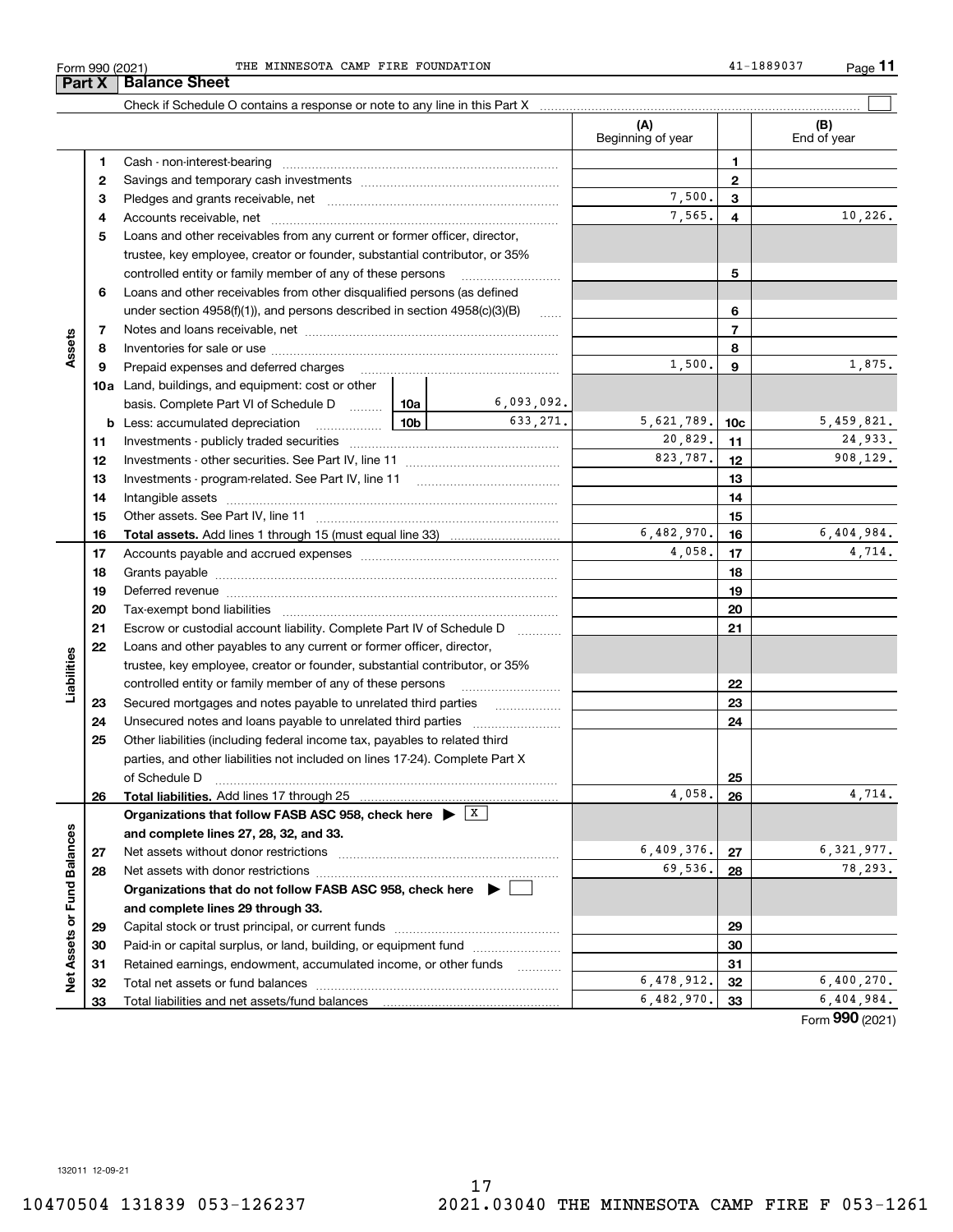| Form 990 (2021 |  |  |
|----------------|--|--|
|----------------|--|--|

**Part X** | Balance Sheet

|                             |              |                                                                                            |            |              | (A)<br>Beginning of year |                | (B)<br>End of year |
|-----------------------------|--------------|--------------------------------------------------------------------------------------------|------------|--------------|--------------------------|----------------|--------------------|
|                             | 1            |                                                                                            |            |              |                          | 1              |                    |
|                             | $\mathbf{2}$ |                                                                                            |            | $\mathbf{2}$ |                          |                |                    |
|                             | 3            |                                                                                            | 7,500.     | 3            |                          |                |                    |
|                             | 4            |                                                                                            |            | 7,565.       | 4                        | 10,226.        |                    |
|                             | 5            | Loans and other receivables from any current or former officer, director,                  |            |              |                          |                |                    |
|                             |              | trustee, key employee, creator or founder, substantial contributor, or 35%                 |            |              |                          |                |                    |
|                             |              | controlled entity or family member of any of these persons                                 |            | 5            |                          |                |                    |
|                             | 6            | Loans and other receivables from other disqualified persons (as defined                    |            |              |                          |                |                    |
|                             |              | under section $4958(f)(1)$ , and persons described in section $4958(c)(3)(B)$              |            | 6            |                          |                |                    |
|                             | 7            |                                                                                            |            |              |                          | $\overline{7}$ |                    |
| Assets                      | 8            |                                                                                            |            |              |                          | 8              |                    |
|                             | 9            | Prepaid expenses and deferred charges                                                      | 1,500.     | 9            | 1,875.                   |                |                    |
|                             |              | <b>10a</b> Land, buildings, and equipment: cost or other                                   |            |              |                          |                |                    |
|                             |              | basis. Complete Part VI of Schedule D  10a                                                 |            | 6,093,092.   |                          |                |                    |
|                             |              | $\frac{10b}{10b}$<br><b>b</b> Less: accumulated depreciation                               |            | 633, 271.    | 5,621,789.               | 10c            | 5,459,821.         |
|                             | 11           |                                                                                            | 20,829.    | 11           | 24,933.                  |                |                    |
|                             | 12           |                                                                                            | 823,787.   | 12           | 908,129.                 |                |                    |
|                             | 13           |                                                                                            |            | 13           |                          |                |                    |
|                             | 14           |                                                                                            |            | 14           |                          |                |                    |
|                             | 15           |                                                                                            |            | 15           |                          |                |                    |
|                             | 16           |                                                                                            |            |              | 6,482,970.               | 16             | 6,404,984.         |
|                             | 17           |                                                                                            |            | 4,058.       | 17                       | 4,714.         |                    |
|                             | 18           |                                                                                            |            |              | 18                       |                |                    |
|                             | 19           |                                                                                            |            |              | 19                       |                |                    |
|                             | 20           |                                                                                            |            |              | 20                       |                |                    |
|                             | 21           | Escrow or custodial account liability. Complete Part IV of Schedule D                      |            |              |                          | 21             |                    |
|                             | 22           | Loans and other payables to any current or former officer, director,                       |            |              |                          |                |                    |
|                             |              | trustee, key employee, creator or founder, substantial contributor, or 35%                 |            |              |                          |                |                    |
| Liabilities                 |              | controlled entity or family member of any of these persons                                 |            |              |                          | 22             |                    |
|                             | 23           |                                                                                            |            |              |                          | 23             |                    |
|                             | 24           |                                                                                            |            |              |                          | 24             |                    |
|                             | 25           | Other liabilities (including federal income tax, payables to related third                 |            |              |                          |                |                    |
|                             |              | parties, and other liabilities not included on lines 17-24). Complete Part X               |            |              |                          |                |                    |
|                             |              | of Schedule D                                                                              |            |              |                          | 25             |                    |
|                             | 26           | Total liabilities. Add lines 17 through 25                                                 |            |              | 4,058.                   | 26             | 4,714.             |
|                             |              | Organizations that follow FASB ASC 958, check here $\blacktriangleright \lfloor x \rfloor$ |            |              |                          |                |                    |
|                             |              | and complete lines 27, 28, 32, and 33.                                                     |            |              |                          |                |                    |
|                             | 27           |                                                                                            |            |              | 6,409,376.               | 27             | 6,321,977.         |
|                             | 28           | Net assets with donor restrictions                                                         |            |              | 69,536.                  | 28             | 78,293.            |
|                             |              | Organizations that do not follow FASB ASC 958, check here $\blacktriangleright$            |            |              |                          |                |                    |
|                             |              | and complete lines 29 through 33.                                                          |            |              |                          |                |                    |
|                             | 29           |                                                                                            |            |              |                          | 29             |                    |
|                             | 30           | Paid-in or capital surplus, or land, building, or equipment fund                           |            |              |                          | 30             |                    |
| Net Assets or Fund Balances | 31           | Retained earnings, endowment, accumulated income, or other funds                           |            |              |                          | 31             |                    |
|                             | 32           | Total net assets or fund balances                                                          |            |              | 6,478,912.               | 32             | 6,400,270.         |
|                             | 33           | Total liabilities and net assets/fund balances                                             | 6,482,970. | 33           | 6,404,984.               |                |                    |

Form (2021) **990**

132011 12-09-21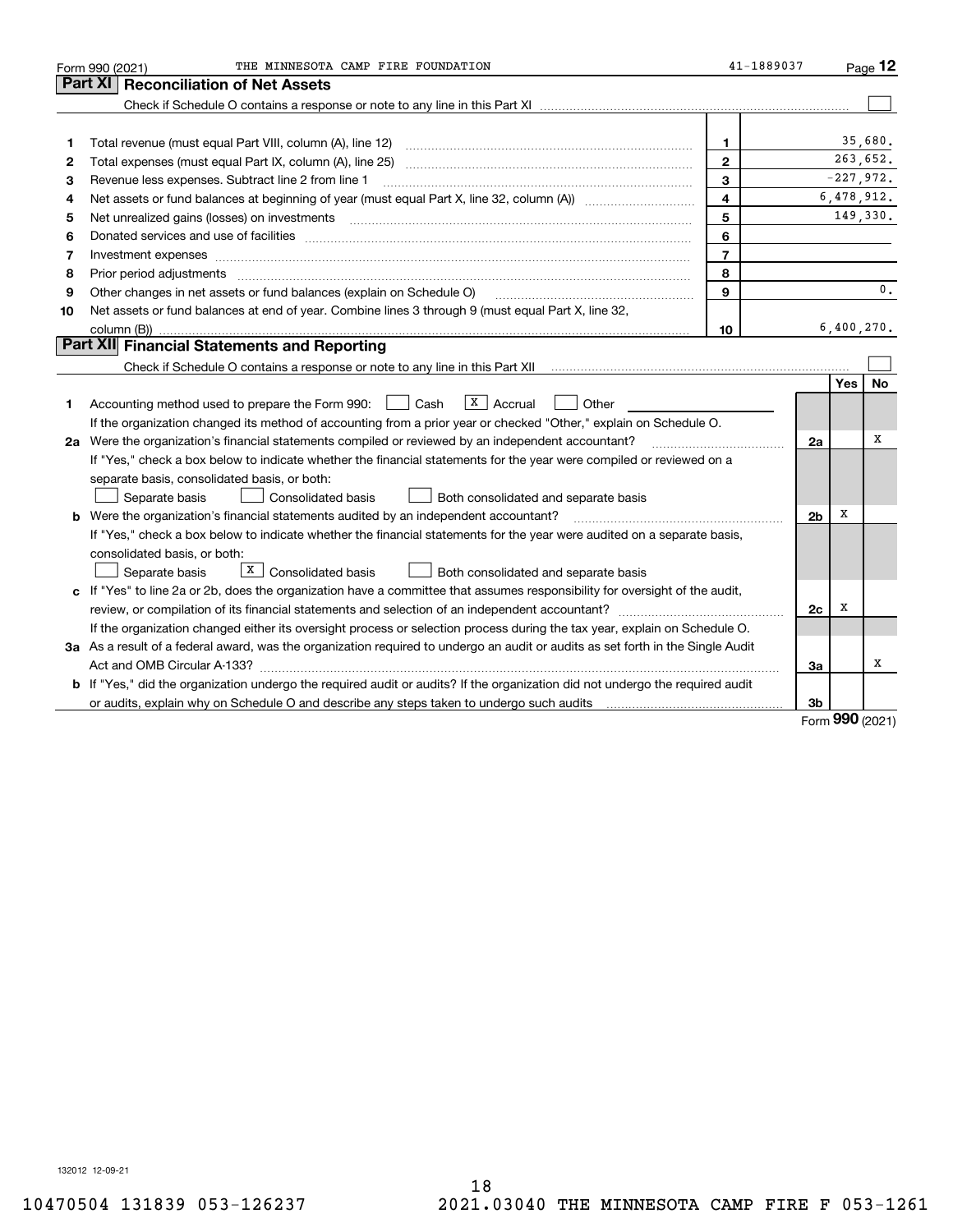|    | THE MINNESOTA CAMP FIRE FOUNDATION<br>Form 990 (2021)                                                                           | 41-1889037              |                |            | $Page$ 12   |
|----|---------------------------------------------------------------------------------------------------------------------------------|-------------------------|----------------|------------|-------------|
|    | Part XI<br><b>Reconciliation of Net Assets</b>                                                                                  |                         |                |            |             |
|    |                                                                                                                                 |                         |                |            |             |
|    |                                                                                                                                 |                         |                |            |             |
| 1  | Total revenue (must equal Part VIII, column (A), line 12)                                                                       | 1                       |                |            | 35,680.     |
| 2  | Total expenses (must equal Part IX, column (A), line 25) [11] manufactured expenses (must equal Part IX, column (A), line 25)   | $\mathbf{2}$            |                |            | 263,652.    |
| з  | Revenue less expenses. Subtract line 2 from line 1                                                                              | 3                       |                |            | $-227,972.$ |
| 4  |                                                                                                                                 | $\overline{\mathbf{4}}$ |                |            | 6,478,912.  |
| 5  |                                                                                                                                 | 5                       |                |            | 149,330.    |
| 6  |                                                                                                                                 | 6                       |                |            |             |
| 7  | Investment expenses www.communication.com/www.communication.com/www.communication.com/www.com                                   | $\overline{7}$          |                |            |             |
| 8  | Prior period adjustments www.communication.communication.com/news/communication.com/news/communication.com/news/                | 8                       |                |            |             |
| 9  | Other changes in net assets or fund balances (explain on Schedule O)                                                            | 9                       |                |            | 0.          |
| 10 | Net assets or fund balances at end of year. Combine lines 3 through 9 (must equal Part X, line 32,                              |                         |                |            |             |
|    |                                                                                                                                 | 10                      |                |            | 6,400,270.  |
|    | Part XII Financial Statements and Reporting                                                                                     |                         |                |            |             |
|    |                                                                                                                                 |                         |                |            |             |
|    |                                                                                                                                 |                         |                | Yes        | <b>No</b>   |
| 1. | $X$ Accrual<br>Accounting method used to prepare the Form 990: <u>June</u> Cash<br>Other                                        |                         |                |            |             |
|    | If the organization changed its method of accounting from a prior year or checked "Other," explain on Schedule O.               |                         |                |            |             |
|    | 2a Were the organization's financial statements compiled or reviewed by an independent accountant?                              |                         | 2a             |            | х           |
|    | If "Yes," check a box below to indicate whether the financial statements for the year were compiled or reviewed on a            |                         |                |            |             |
|    | separate basis, consolidated basis, or both:                                                                                    |                         |                |            |             |
|    | Separate basis<br>Consolidated basis<br>Both consolidated and separate basis                                                    |                         |                |            |             |
|    | b Were the organization's financial statements audited by an independent accountant?                                            |                         | 2 <sub>b</sub> | X          |             |
|    | If "Yes," check a box below to indicate whether the financial statements for the year were audited on a separate basis,         |                         |                |            |             |
|    | consolidated basis, or both:                                                                                                    |                         |                |            |             |
|    | $X$ Consolidated basis<br>Separate basis<br>Both consolidated and separate basis                                                |                         |                |            |             |
|    | c If "Yes" to line 2a or 2b, does the organization have a committee that assumes responsibility for oversight of the audit,     |                         |                |            |             |
|    |                                                                                                                                 |                         | 2c             | х          |             |
|    | If the organization changed either its oversight process or selection process during the tax year, explain on Schedule O.       |                         |                |            |             |
|    | 3a As a result of a federal award, was the organization required to undergo an audit or audits as set forth in the Single Audit |                         |                |            |             |
|    |                                                                                                                                 |                         | За             |            | x           |
|    | b If "Yes," did the organization undergo the required audit or audits? If the organization did not undergo the required audit   |                         |                |            |             |
|    |                                                                                                                                 |                         | 3b             | <u>nnn</u> |             |

Form (2021) **990**

132012 12-09-21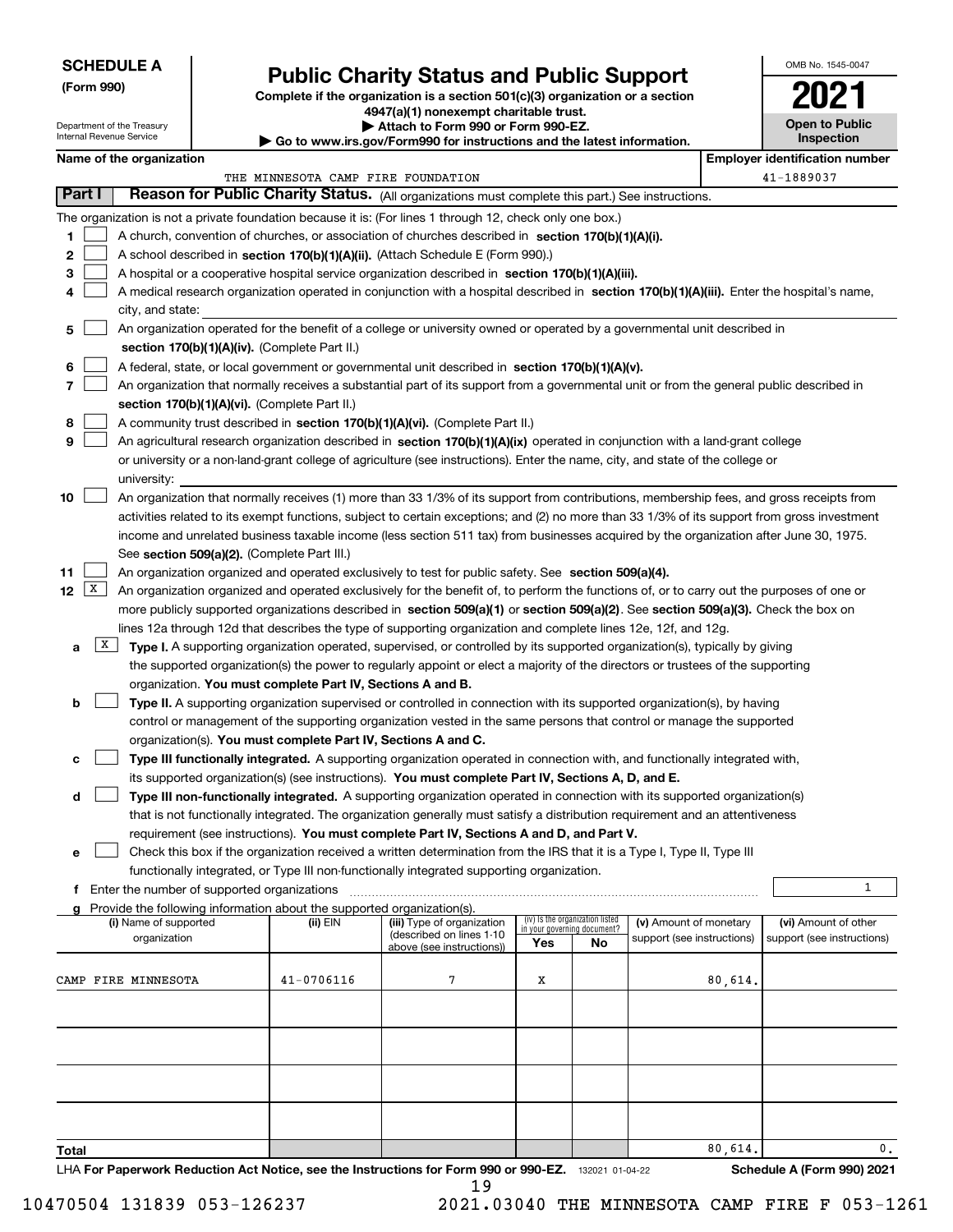| <b>SCHEDULE A</b> |
|-------------------|
|-------------------|

**(Form 990)**

## **Public Charity Status and Public Support**

**Complete if the organization is a section 501(c)(3) organization or a section 4947(a)(1) nonexempt charitable trust.**

**| Attach to Form 990 or Form 990-EZ.** 

| Name of the organizati |  |
|------------------------|--|

|        |   | Department of the Treasury<br>Internal Revenue Service                                                                                                                                                                                                                                |                                               |                                                                                      | ▶ Attach to Form 990 or Form 990-EZ.<br>Go to www.irs.gov/Form990 for instructions and the latest information.                             |                                    |                                 |                            |         |  | <b>Open to Public</b><br><b>Inspection</b> |  |  |
|--------|---|---------------------------------------------------------------------------------------------------------------------------------------------------------------------------------------------------------------------------------------------------------------------------------------|-----------------------------------------------|--------------------------------------------------------------------------------------|--------------------------------------------------------------------------------------------------------------------------------------------|------------------------------------|---------------------------------|----------------------------|---------|--|--------------------------------------------|--|--|
|        |   | Name of the organization                                                                                                                                                                                                                                                              |                                               |                                                                                      |                                                                                                                                            |                                    |                                 |                            |         |  | <b>Employer identification number</b>      |  |  |
|        |   |                                                                                                                                                                                                                                                                                       |                                               | THE MINNESOTA CAMP FIRE FOUNDATION                                                   |                                                                                                                                            |                                    |                                 |                            |         |  | 41-1889037                                 |  |  |
| Part I |   |                                                                                                                                                                                                                                                                                       |                                               |                                                                                      | Reason for Public Charity Status. (All organizations must complete this part.) See instructions.                                           |                                    |                                 |                            |         |  |                                            |  |  |
|        |   |                                                                                                                                                                                                                                                                                       |                                               |                                                                                      | The organization is not a private foundation because it is: (For lines 1 through 12, check only one box.)                                  |                                    |                                 |                            |         |  |                                            |  |  |
| 1      |   |                                                                                                                                                                                                                                                                                       |                                               |                                                                                      | A church, convention of churches, or association of churches described in section 170(b)(1)(A)(i).                                         |                                    |                                 |                            |         |  |                                            |  |  |
| 2      |   |                                                                                                                                                                                                                                                                                       |                                               |                                                                                      | A school described in section 170(b)(1)(A)(ii). (Attach Schedule E (Form 990).)                                                            |                                    |                                 |                            |         |  |                                            |  |  |
| 3      |   |                                                                                                                                                                                                                                                                                       |                                               |                                                                                      | A hospital or a cooperative hospital service organization described in section $170(b)(1)(A)(iii)$ .                                       |                                    |                                 |                            |         |  |                                            |  |  |
| 4      |   |                                                                                                                                                                                                                                                                                       |                                               |                                                                                      | A medical research organization operated in conjunction with a hospital described in section 170(b)(1)(A)(iii). Enter the hospital's name, |                                    |                                 |                            |         |  |                                            |  |  |
|        |   | city, and state:                                                                                                                                                                                                                                                                      |                                               |                                                                                      |                                                                                                                                            |                                    |                                 |                            |         |  |                                            |  |  |
| 5      |   |                                                                                                                                                                                                                                                                                       |                                               |                                                                                      | An organization operated for the benefit of a college or university owned or operated by a governmental unit described in                  |                                    |                                 |                            |         |  |                                            |  |  |
|        |   | section 170(b)(1)(A)(iv). (Complete Part II.)                                                                                                                                                                                                                                         |                                               |                                                                                      |                                                                                                                                            |                                    |                                 |                            |         |  |                                            |  |  |
| 6      |   | A federal, state, or local government or governmental unit described in section 170(b)(1)(A)(v).                                                                                                                                                                                      |                                               |                                                                                      |                                                                                                                                            |                                    |                                 |                            |         |  |                                            |  |  |
| 7      |   | An organization that normally receives a substantial part of its support from a governmental unit or from the general public described in                                                                                                                                             |                                               |                                                                                      |                                                                                                                                            |                                    |                                 |                            |         |  |                                            |  |  |
|        |   |                                                                                                                                                                                                                                                                                       |                                               | section 170(b)(1)(A)(vi). (Complete Part II.)                                        |                                                                                                                                            |                                    |                                 |                            |         |  |                                            |  |  |
| 8      |   |                                                                                                                                                                                                                                                                                       |                                               |                                                                                      | A community trust described in section 170(b)(1)(A)(vi). (Complete Part II.)                                                               |                                    |                                 |                            |         |  |                                            |  |  |
| 9      |   |                                                                                                                                                                                                                                                                                       |                                               |                                                                                      | An agricultural research organization described in section 170(b)(1)(A)(ix) operated in conjunction with a land-grant college              |                                    |                                 |                            |         |  |                                            |  |  |
|        |   |                                                                                                                                                                                                                                                                                       |                                               |                                                                                      | or university or a non-land-grant college of agriculture (see instructions). Enter the name, city, and state of the college or             |                                    |                                 |                            |         |  |                                            |  |  |
|        |   | university:                                                                                                                                                                                                                                                                           |                                               |                                                                                      |                                                                                                                                            |                                    |                                 |                            |         |  |                                            |  |  |
| 10     |   |                                                                                                                                                                                                                                                                                       |                                               |                                                                                      | An organization that normally receives (1) more than 33 1/3% of its support from contributions, membership fees, and gross receipts from   |                                    |                                 |                            |         |  |                                            |  |  |
|        |   | activities related to its exempt functions, subject to certain exceptions; and (2) no more than 33 1/3% of its support from gross investment<br>income and unrelated business taxable income (less section 511 tax) from businesses acquired by the organization after June 30, 1975. |                                               |                                                                                      |                                                                                                                                            |                                    |                                 |                            |         |  |                                            |  |  |
|        |   |                                                                                                                                                                                                                                                                                       |                                               | See section 509(a)(2). (Complete Part III.)                                          |                                                                                                                                            |                                    |                                 |                            |         |  |                                            |  |  |
| 11     |   |                                                                                                                                                                                                                                                                                       |                                               |                                                                                      | An organization organized and operated exclusively to test for public safety. See section 509(a)(4).                                       |                                    |                                 |                            |         |  |                                            |  |  |
| 12     | X |                                                                                                                                                                                                                                                                                       |                                               |                                                                                      | An organization organized and operated exclusively for the benefit of, to perform the functions of, or to carry out the purposes of one or |                                    |                                 |                            |         |  |                                            |  |  |
|        |   |                                                                                                                                                                                                                                                                                       |                                               |                                                                                      | more publicly supported organizations described in section 509(a)(1) or section 509(a)(2). See section 509(a)(3). Check the box on         |                                    |                                 |                            |         |  |                                            |  |  |
|        |   |                                                                                                                                                                                                                                                                                       |                                               |                                                                                      | lines 12a through 12d that describes the type of supporting organization and complete lines 12e, 12f, and 12g.                             |                                    |                                 |                            |         |  |                                            |  |  |
| a      | X |                                                                                                                                                                                                                                                                                       |                                               |                                                                                      | Type I. A supporting organization operated, supervised, or controlled by its supported organization(s), typically by giving                |                                    |                                 |                            |         |  |                                            |  |  |
|        |   |                                                                                                                                                                                                                                                                                       |                                               |                                                                                      | the supported organization(s) the power to regularly appoint or elect a majority of the directors or trustees of the supporting            |                                    |                                 |                            |         |  |                                            |  |  |
|        |   |                                                                                                                                                                                                                                                                                       |                                               | organization. You must complete Part IV, Sections A and B.                           |                                                                                                                                            |                                    |                                 |                            |         |  |                                            |  |  |
| b      |   |                                                                                                                                                                                                                                                                                       |                                               |                                                                                      | Type II. A supporting organization supervised or controlled in connection with its supported organization(s), by having                    |                                    |                                 |                            |         |  |                                            |  |  |
|        |   |                                                                                                                                                                                                                                                                                       |                                               |                                                                                      | control or management of the supporting organization vested in the same persons that control or manage the supported                       |                                    |                                 |                            |         |  |                                            |  |  |
|        |   |                                                                                                                                                                                                                                                                                       |                                               | organization(s). You must complete Part IV, Sections A and C.                        |                                                                                                                                            |                                    |                                 |                            |         |  |                                            |  |  |
| с      |   |                                                                                                                                                                                                                                                                                       |                                               |                                                                                      | Type III functionally integrated. A supporting organization operated in connection with, and functionally integrated with,                 |                                    |                                 |                            |         |  |                                            |  |  |
|        |   |                                                                                                                                                                                                                                                                                       |                                               |                                                                                      | its supported organization(s) (see instructions). You must complete Part IV, Sections A, D, and E.                                         |                                    |                                 |                            |         |  |                                            |  |  |
| d      |   |                                                                                                                                                                                                                                                                                       |                                               |                                                                                      | Type III non-functionally integrated. A supporting organization operated in connection with its supported organization(s)                  |                                    |                                 |                            |         |  |                                            |  |  |
|        |   |                                                                                                                                                                                                                                                                                       |                                               |                                                                                      | that is not functionally integrated. The organization generally must satisfy a distribution requirement and an attentiveness               |                                    |                                 |                            |         |  |                                            |  |  |
|        |   |                                                                                                                                                                                                                                                                                       |                                               |                                                                                      | requirement (see instructions). You must complete Part IV, Sections A and D, and Part V.                                                   |                                    |                                 |                            |         |  |                                            |  |  |
| е      |   |                                                                                                                                                                                                                                                                                       |                                               |                                                                                      | Check this box if the organization received a written determination from the IRS that it is a Type I, Type II, Type III                    |                                    |                                 |                            |         |  |                                            |  |  |
|        |   |                                                                                                                                                                                                                                                                                       |                                               |                                                                                      | functionally integrated, or Type III non-functionally integrated supporting organization.                                                  |                                    |                                 |                            |         |  | 1                                          |  |  |
|        |   |                                                                                                                                                                                                                                                                                       | f Enter the number of supported organizations |                                                                                      |                                                                                                                                            |                                    |                                 |                            |         |  |                                            |  |  |
|        |   | (i) Name of supported                                                                                                                                                                                                                                                                 |                                               | g Provide the following information about the supported organization(s).<br>(ii) EIN | (iii) Type of organization                                                                                                                 |                                    | (iv) Is the organization listed | (v) Amount of monetary     |         |  | (vi) Amount of other                       |  |  |
|        |   | organization                                                                                                                                                                                                                                                                          |                                               |                                                                                      | (described on lines 1-10<br>above (see instructions))                                                                                      | in your governing document?<br>Yes | No                              | support (see instructions) |         |  | support (see instructions)                 |  |  |
|        |   |                                                                                                                                                                                                                                                                                       |                                               |                                                                                      |                                                                                                                                            |                                    |                                 |                            |         |  |                                            |  |  |
|        |   | CAMP FIRE MINNESOTA                                                                                                                                                                                                                                                                   |                                               | $41 - 0706116$                                                                       | 7                                                                                                                                          | x                                  |                                 |                            | 80,614. |  |                                            |  |  |
|        |   |                                                                                                                                                                                                                                                                                       |                                               |                                                                                      |                                                                                                                                            |                                    |                                 |                            |         |  |                                            |  |  |
|        |   |                                                                                                                                                                                                                                                                                       |                                               |                                                                                      |                                                                                                                                            |                                    |                                 |                            |         |  |                                            |  |  |
|        |   |                                                                                                                                                                                                                                                                                       |                                               |                                                                                      |                                                                                                                                            |                                    |                                 |                            |         |  |                                            |  |  |
|        |   |                                                                                                                                                                                                                                                                                       |                                               |                                                                                      |                                                                                                                                            |                                    |                                 |                            |         |  |                                            |  |  |
|        |   |                                                                                                                                                                                                                                                                                       |                                               |                                                                                      |                                                                                                                                            |                                    |                                 |                            |         |  |                                            |  |  |
|        |   |                                                                                                                                                                                                                                                                                       |                                               |                                                                                      |                                                                                                                                            |                                    |                                 |                            |         |  |                                            |  |  |
|        |   |                                                                                                                                                                                                                                                                                       |                                               |                                                                                      |                                                                                                                                            |                                    |                                 |                            |         |  |                                            |  |  |
|        |   |                                                                                                                                                                                                                                                                                       |                                               |                                                                                      |                                                                                                                                            |                                    |                                 |                            |         |  |                                            |  |  |
| Total  |   |                                                                                                                                                                                                                                                                                       |                                               |                                                                                      |                                                                                                                                            |                                    |                                 |                            | 80,614. |  | 0.                                         |  |  |

LHA For Paperwork Reduction Act Notice, see the Instructions for Form 990 or 990-EZ. <sub>132021</sub> o1-04-22 Schedule A (Form 990) 2021 19

 $\overline{\phantom{a}}$ 

OMB No. 1545-0047

**2021**

**Open to Public**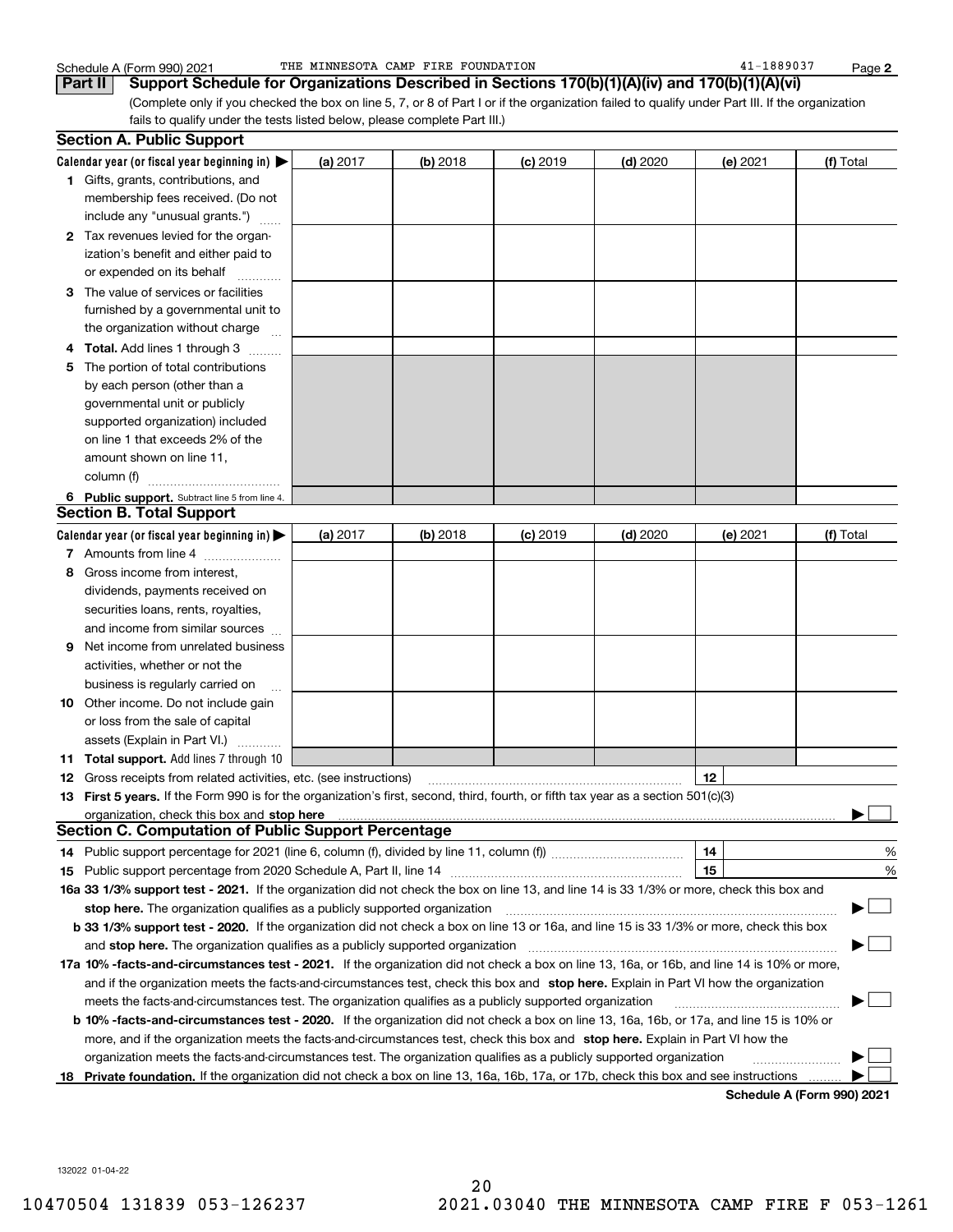**2**

|     | Schedule A (Form 990) 2021                                                                                                                                                                                                                                                                   | THE MINNESOTA CAMP FIRE FOUNDATION |          |            |            | 41-1889037 | Page 2    |
|-----|----------------------------------------------------------------------------------------------------------------------------------------------------------------------------------------------------------------------------------------------------------------------------------------------|------------------------------------|----------|------------|------------|------------|-----------|
|     | Support Schedule for Organizations Described in Sections 170(b)(1)(A)(iv) and 170(b)(1)(A)(vi)<br>Part II                                                                                                                                                                                    |                                    |          |            |            |            |           |
|     | (Complete only if you checked the box on line 5, 7, or 8 of Part I or if the organization failed to qualify under Part III. If the organization                                                                                                                                              |                                    |          |            |            |            |           |
|     | fails to qualify under the tests listed below, please complete Part III.)                                                                                                                                                                                                                    |                                    |          |            |            |            |           |
|     | <b>Section A. Public Support</b>                                                                                                                                                                                                                                                             |                                    |          |            |            |            |           |
|     | Calendar year (or fiscal year beginning in) $\blacktriangleright$                                                                                                                                                                                                                            | (a) 2017                           | (b) 2018 | $(c)$ 2019 | $(d)$ 2020 | (e) 2021   | (f) Total |
|     | 1 Gifts, grants, contributions, and                                                                                                                                                                                                                                                          |                                    |          |            |            |            |           |
|     | membership fees received. (Do not                                                                                                                                                                                                                                                            |                                    |          |            |            |            |           |
|     | include any "unusual grants.")                                                                                                                                                                                                                                                               |                                    |          |            |            |            |           |
|     | 2 Tax revenues levied for the organ-                                                                                                                                                                                                                                                         |                                    |          |            |            |            |           |
|     | ization's benefit and either paid to                                                                                                                                                                                                                                                         |                                    |          |            |            |            |           |
|     | or expended on its behalf                                                                                                                                                                                                                                                                    |                                    |          |            |            |            |           |
|     |                                                                                                                                                                                                                                                                                              |                                    |          |            |            |            |           |
|     | 3 The value of services or facilities                                                                                                                                                                                                                                                        |                                    |          |            |            |            |           |
|     | furnished by a governmental unit to                                                                                                                                                                                                                                                          |                                    |          |            |            |            |           |
|     | the organization without charge                                                                                                                                                                                                                                                              |                                    |          |            |            |            |           |
| 4   | Total. Add lines 1 through 3<br>.                                                                                                                                                                                                                                                            |                                    |          |            |            |            |           |
| 5   | The portion of total contributions                                                                                                                                                                                                                                                           |                                    |          |            |            |            |           |
|     | by each person (other than a                                                                                                                                                                                                                                                                 |                                    |          |            |            |            |           |
|     | governmental unit or publicly                                                                                                                                                                                                                                                                |                                    |          |            |            |            |           |
|     | supported organization) included                                                                                                                                                                                                                                                             |                                    |          |            |            |            |           |
|     | on line 1 that exceeds 2% of the                                                                                                                                                                                                                                                             |                                    |          |            |            |            |           |
|     | amount shown on line 11,                                                                                                                                                                                                                                                                     |                                    |          |            |            |            |           |
|     | column (f)                                                                                                                                                                                                                                                                                   |                                    |          |            |            |            |           |
|     | 6 Public support. Subtract line 5 from line 4.                                                                                                                                                                                                                                               |                                    |          |            |            |            |           |
|     | <b>Section B. Total Support</b>                                                                                                                                                                                                                                                              |                                    |          |            |            |            |           |
|     | Calendar year (or fiscal year beginning in)                                                                                                                                                                                                                                                  | (a) $2017$                         | (b) 2018 | $(c)$ 2019 | $(d)$ 2020 | (e) 2021   | (f) Total |
|     | 7 Amounts from line 4                                                                                                                                                                                                                                                                        |                                    |          |            |            |            |           |
| 8   | Gross income from interest,                                                                                                                                                                                                                                                                  |                                    |          |            |            |            |           |
|     | dividends, payments received on                                                                                                                                                                                                                                                              |                                    |          |            |            |            |           |
|     | securities loans, rents, royalties,                                                                                                                                                                                                                                                          |                                    |          |            |            |            |           |
|     | and income from similar sources                                                                                                                                                                                                                                                              |                                    |          |            |            |            |           |
| 9   | Net income from unrelated business                                                                                                                                                                                                                                                           |                                    |          |            |            |            |           |
|     | activities, whether or not the                                                                                                                                                                                                                                                               |                                    |          |            |            |            |           |
|     | business is regularly carried on                                                                                                                                                                                                                                                             |                                    |          |            |            |            |           |
|     | 10 Other income. Do not include gain                                                                                                                                                                                                                                                         |                                    |          |            |            |            |           |
|     | or loss from the sale of capital                                                                                                                                                                                                                                                             |                                    |          |            |            |            |           |
|     | assets (Explain in Part VI.)                                                                                                                                                                                                                                                                 |                                    |          |            |            |            |           |
|     | <b>11 Total support.</b> Add lines 7 through 10                                                                                                                                                                                                                                              |                                    |          |            |            |            |           |
| 12  | Gross receipts from related activities, etc. (see instructions)                                                                                                                                                                                                                              |                                    |          |            |            | 12         |           |
| 13. | First 5 years. If the Form 990 is for the organization's first, second, third, fourth, or fifth tax year as a section 501(c)(3)                                                                                                                                                              |                                    |          |            |            |            |           |
|     |                                                                                                                                                                                                                                                                                              |                                    |          |            |            |            |           |
|     | organization, check this box and stop here manufactured and according to the state of the contract of the contract of the contract of the contract of the contract of the contract of the contract of the contract of the cont<br><b>Section C. Computation of Public Support Percentage</b> |                                    |          |            |            |            |           |
|     |                                                                                                                                                                                                                                                                                              |                                    |          |            |            | 14         | ℀         |
|     |                                                                                                                                                                                                                                                                                              |                                    |          |            |            |            | %         |
| 15  | 16a 33 1/3% support test - 2021. If the organization did not check the box on line 13, and line 14 is 33 1/3% or more, check this box and                                                                                                                                                    |                                    |          |            |            |            |           |
|     |                                                                                                                                                                                                                                                                                              |                                    |          |            |            |            | $\sim$    |
|     | stop here. The organization qualifies as a publicly supported organization                                                                                                                                                                                                                   |                                    |          |            |            |            | ▶∣        |
|     | b 33 1/3% support test - 2020. If the organization did not check a box on line 13 or 16a, and line 15 is 33 1/3% or more, check this box                                                                                                                                                     |                                    |          |            |            |            |           |
|     | and stop here. The organization qualifies as a publicly supported organization [11] [11] [11] [11] [11] [12] [                                                                                                                                                                               |                                    |          |            |            |            |           |
|     | 17a 10% -facts-and-circumstances test - 2021. If the organization did not check a box on line 13, 16a, or 16b, and line 14 is 10% or more,                                                                                                                                                   |                                    |          |            |            |            |           |
|     | and if the organization meets the facts-and-circumstances test, check this box and stop here. Explain in Part VI how the organization                                                                                                                                                        |                                    |          |            |            |            |           |
|     | meets the facts-and-circumstances test. The organization qualifies as a publicly supported organization                                                                                                                                                                                      |                                    |          |            |            |            |           |
|     | <b>b 10% -facts-and-circumstances test - 2020.</b> If the organization did not check a box on line 13, 16a, 16b, or 17a, and line 15 is 10% or                                                                                                                                               |                                    |          |            |            |            |           |
|     | more, and if the organization meets the facts-and-circumstances test, check this box and stop here. Explain in Part VI how the                                                                                                                                                               |                                    |          |            |            |            |           |
|     | organization meets the facts-and-circumstances test. The organization qualifies as a publicly supported organization                                                                                                                                                                         |                                    |          |            |            |            |           |
|     | 18 Private foundation. If the organization did not check a box on line 13, 16a, 16b, 17a, or 17b, check this box and see instructions                                                                                                                                                        |                                    |          |            |            |            |           |

**Schedule A (Form 990) 2021**

 $\frac{1}{1}$ 

132022 01-04-22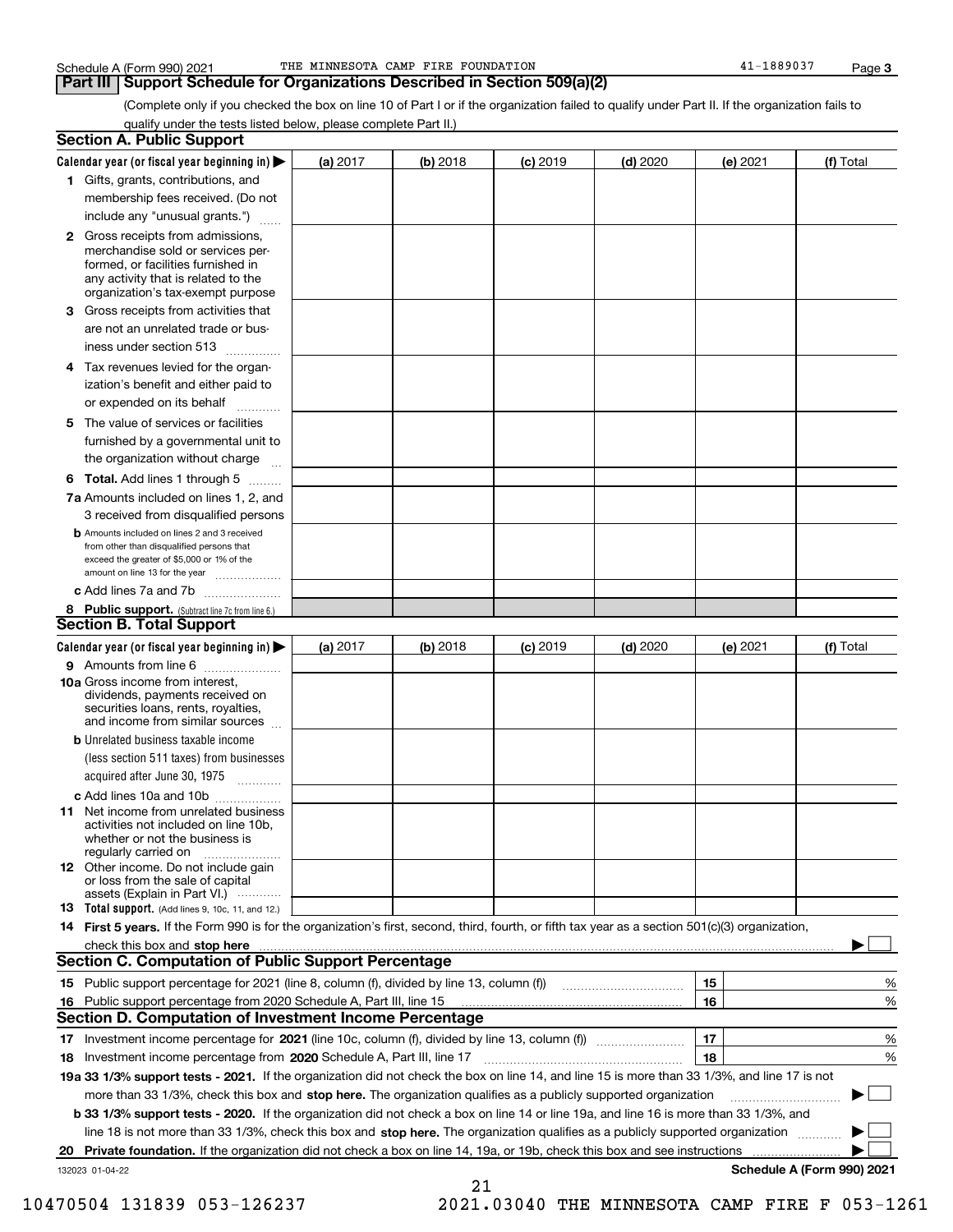### **Part III Support Schedule for Organizations Described in Section 509(a)(2)**

(Complete only if you checked the box on line 10 of Part I or if the organization failed to qualify under Part II. If the organization fails to qualify under the tests listed below, please complete Part II.)

| <b>Section A. Public Support</b>                                                                                                                                                                                               |          |          |            |            |          |                            |
|--------------------------------------------------------------------------------------------------------------------------------------------------------------------------------------------------------------------------------|----------|----------|------------|------------|----------|----------------------------|
| Calendar year (or fiscal year beginning in) $\blacktriangleright$                                                                                                                                                              | (a) 2017 | (b) 2018 | $(c)$ 2019 | $(d)$ 2020 | (e) 2021 | (f) Total                  |
| 1 Gifts, grants, contributions, and                                                                                                                                                                                            |          |          |            |            |          |                            |
| membership fees received. (Do not                                                                                                                                                                                              |          |          |            |            |          |                            |
| include any "unusual grants.")                                                                                                                                                                                                 |          |          |            |            |          |                            |
| 2 Gross receipts from admissions,<br>merchandise sold or services per-<br>formed, or facilities furnished in<br>any activity that is related to the<br>organization's tax-exempt purpose                                       |          |          |            |            |          |                            |
| 3 Gross receipts from activities that<br>are not an unrelated trade or bus-                                                                                                                                                    |          |          |            |            |          |                            |
| iness under section 513                                                                                                                                                                                                        |          |          |            |            |          |                            |
| 4 Tax revenues levied for the organ-<br>ization's benefit and either paid to<br>or expended on its behalf                                                                                                                      |          |          |            |            |          |                            |
| .<br>5 The value of services or facilities<br>furnished by a governmental unit to                                                                                                                                              |          |          |            |            |          |                            |
| the organization without charge                                                                                                                                                                                                |          |          |            |            |          |                            |
| <b>6 Total.</b> Add lines 1 through 5                                                                                                                                                                                          |          |          |            |            |          |                            |
| 7a Amounts included on lines 1, 2, and<br>3 received from disqualified persons                                                                                                                                                 |          |          |            |            |          |                            |
| <b>b</b> Amounts included on lines 2 and 3 received<br>from other than disqualified persons that<br>exceed the greater of \$5,000 or 1% of the<br>amount on line 13 for the year                                               |          |          |            |            |          |                            |
| c Add lines 7a and 7b                                                                                                                                                                                                          |          |          |            |            |          |                            |
| 8 Public support. (Subtract line 7c from line 6.)<br><b>Section B. Total Support</b>                                                                                                                                           |          |          |            |            |          |                            |
| Calendar year (or fiscal year beginning in)                                                                                                                                                                                    | (a) 2017 | (b) 2018 | $(c)$ 2019 | $(d)$ 2020 | (e) 2021 | (f) Total                  |
| 9 Amounts from line 6                                                                                                                                                                                                          |          |          |            |            |          |                            |
| <b>10a</b> Gross income from interest,<br>dividends, payments received on<br>securities loans, rents, royalties,<br>and income from similar sources                                                                            |          |          |            |            |          |                            |
| <b>b</b> Unrelated business taxable income<br>(less section 511 taxes) from businesses<br>acquired after June 30, 1975                                                                                                         |          |          |            |            |          |                            |
| c Add lines 10a and 10b                                                                                                                                                                                                        |          |          |            |            |          |                            |
| 11 Net income from unrelated business<br>activities not included on line 10b,<br>whether or not the business is<br>regularly carried on                                                                                        |          |          |            |            |          |                            |
| <b>12</b> Other income. Do not include gain<br>or loss from the sale of capital<br>assets (Explain in Part VI.)                                                                                                                |          |          |            |            |          |                            |
| <b>13</b> Total support. (Add lines 9, 10c, 11, and 12.)                                                                                                                                                                       |          |          |            |            |          |                            |
| 14 First 5 years. If the Form 990 is for the organization's first, second, third, fourth, or fifth tax year as a section 501(c)(3) organization,                                                                               |          |          |            |            |          |                            |
| check this box and stop here measurements and the control of the state of the change of the change of the change of the change of the change of the change of the change of the change of the change of the change of the chan |          |          |            |            |          |                            |
| <b>Section C. Computation of Public Support Percentage</b>                                                                                                                                                                     |          |          |            |            |          |                            |
| 15 Public support percentage for 2021 (line 8, column (f), divided by line 13, column (f))                                                                                                                                     |          |          |            |            | 15       | %                          |
| 16 Public support percentage from 2020 Schedule A, Part III, line 15                                                                                                                                                           |          |          |            |            | 16       | %                          |
| <b>Section D. Computation of Investment Income Percentage</b>                                                                                                                                                                  |          |          |            |            |          |                            |
| 17 Investment income percentage for 2021 (line 10c, column (f), divided by line 13, column (f))<br>18 Investment income percentage from 2020 Schedule A, Part III, line 17                                                     |          |          |            |            | 17<br>18 | %<br>%                     |
| 19a 33 1/3% support tests - 2021. If the organization did not check the box on line 14, and line 15 is more than 33 1/3%, and line 17 is not                                                                                   |          |          |            |            |          |                            |
| more than 33 1/3%, check this box and stop here. The organization qualifies as a publicly supported organization                                                                                                               |          |          |            |            |          | ▶                          |
| <b>b 33 1/3% support tests - 2020.</b> If the organization did not check a box on line 14 or line 19a, and line 16 is more than 33 1/3%, and                                                                                   |          |          |            |            |          |                            |
| line 18 is not more than 33 1/3%, check this box and stop here. The organization qualifies as a publicly supported organization <i>machi</i> on                                                                                |          |          |            |            |          |                            |
| 20 Private foundation. If the organization did not check a box on line 14, 19a, or 19b, check this box and see instructions                                                                                                    |          |          |            |            |          |                            |
| 132023 01-04-22                                                                                                                                                                                                                |          | 21       |            |            |          | Schedule A (Form 990) 2021 |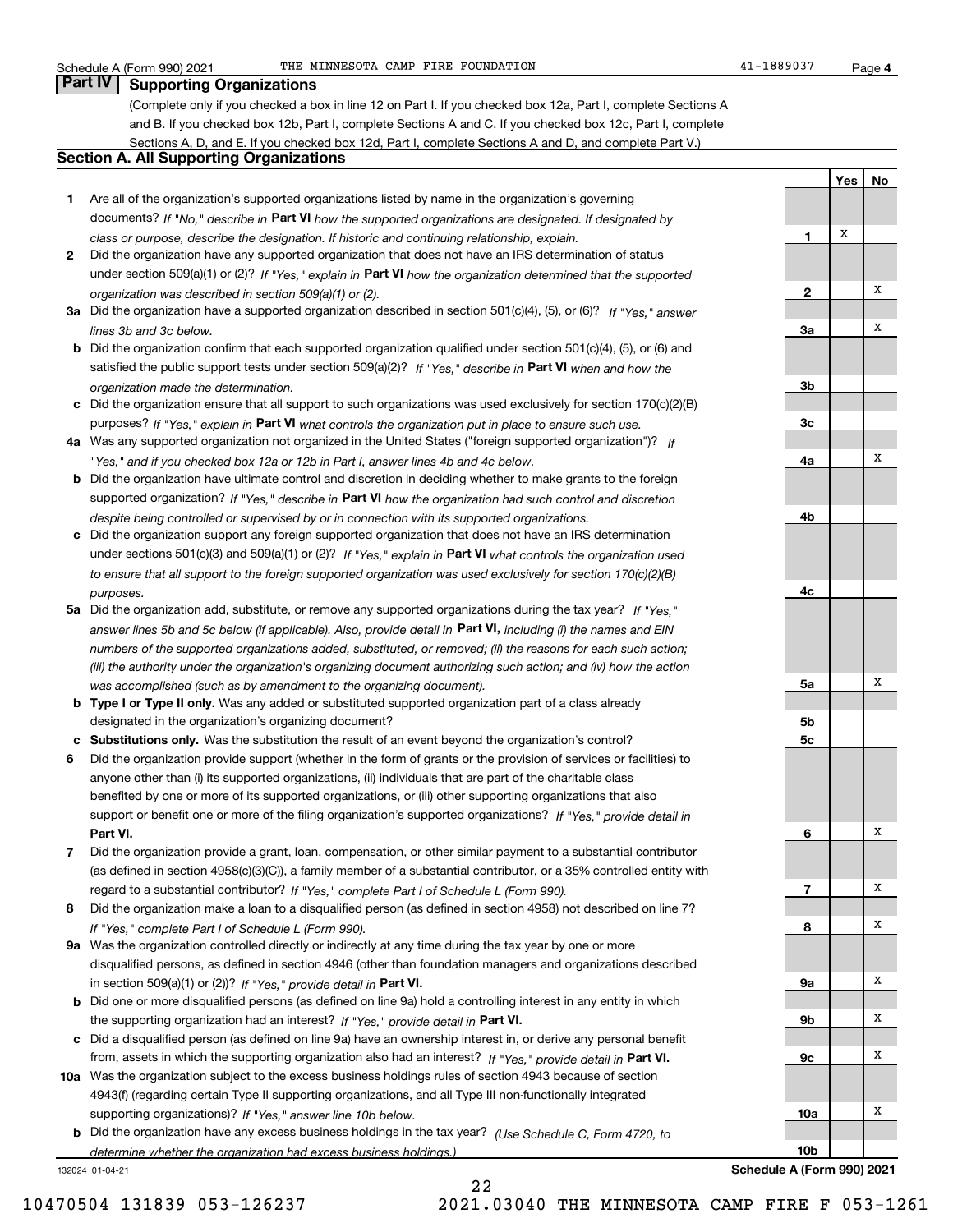**YesNo**

## **Part IV Supporting Organizations**

(Complete only if you checked a box in line 12 on Part I. If you checked box 12a, Part I, complete Sections A and B. If you checked box 12b, Part I, complete Sections A and C. If you checked box 12c, Part I, complete Sections A, D, and E. If you checked box 12d, Part I, complete Sections A and D, and complete Part V.)

## **Section A. All Supporting Organizations**

- **1** Are all of the organization's supported organizations listed by name in the organization's governing documents? If "No," describe in **Part VI** how the supported organizations are designated. If designated by *class or purpose, describe the designation. If historic and continuing relationship, explain.*
- **2** Did the organization have any supported organization that does not have an IRS determination of status under section 509(a)(1) or (2)? If "Yes," explain in Part VI how the organization determined that the supported *organization was described in section 509(a)(1) or (2).*
- **3a** Did the organization have a supported organization described in section 501(c)(4), (5), or (6)? If "Yes," answer *lines 3b and 3c below.*
- **b** Did the organization confirm that each supported organization qualified under section 501(c)(4), (5), or (6) and satisfied the public support tests under section 509(a)(2)? If "Yes," describe in **Part VI** when and how the *organization made the determination.*
- **c**Did the organization ensure that all support to such organizations was used exclusively for section 170(c)(2)(B) purposes? If "Yes," explain in **Part VI** what controls the organization put in place to ensure such use.
- **4a***If* Was any supported organization not organized in the United States ("foreign supported organization")? *"Yes," and if you checked box 12a or 12b in Part I, answer lines 4b and 4c below.*
- **b** Did the organization have ultimate control and discretion in deciding whether to make grants to the foreign supported organization? If "Yes," describe in **Part VI** how the organization had such control and discretion *despite being controlled or supervised by or in connection with its supported organizations.*
- **c** Did the organization support any foreign supported organization that does not have an IRS determination under sections 501(c)(3) and 509(a)(1) or (2)? If "Yes," explain in **Part VI** what controls the organization used *to ensure that all support to the foreign supported organization was used exclusively for section 170(c)(2)(B) purposes.*
- **5a** Did the organization add, substitute, or remove any supported organizations during the tax year? If "Yes," answer lines 5b and 5c below (if applicable). Also, provide detail in **Part VI,** including (i) the names and EIN *numbers of the supported organizations added, substituted, or removed; (ii) the reasons for each such action; (iii) the authority under the organization's organizing document authorizing such action; and (iv) how the action was accomplished (such as by amendment to the organizing document).*
- **b** Type I or Type II only. Was any added or substituted supported organization part of a class already designated in the organization's organizing document?
- **cSubstitutions only.**  Was the substitution the result of an event beyond the organization's control?
- **6** Did the organization provide support (whether in the form of grants or the provision of services or facilities) to **Part VI.** *If "Yes," provide detail in* support or benefit one or more of the filing organization's supported organizations? anyone other than (i) its supported organizations, (ii) individuals that are part of the charitable class benefited by one or more of its supported organizations, or (iii) other supporting organizations that also
- **7**Did the organization provide a grant, loan, compensation, or other similar payment to a substantial contributor *If "Yes," complete Part I of Schedule L (Form 990).* regard to a substantial contributor? (as defined in section 4958(c)(3)(C)), a family member of a substantial contributor, or a 35% controlled entity with
- **8** Did the organization make a loan to a disqualified person (as defined in section 4958) not described on line 7? *If "Yes," complete Part I of Schedule L (Form 990).*
- **9a** Was the organization controlled directly or indirectly at any time during the tax year by one or more in section 509(a)(1) or (2))? If "Yes," *provide detail in* <code>Part VI.</code> disqualified persons, as defined in section 4946 (other than foundation managers and organizations described
- **b**the supporting organization had an interest? If "Yes," provide detail in P**art VI**. Did one or more disqualified persons (as defined on line 9a) hold a controlling interest in any entity in which
- **c**Did a disqualified person (as defined on line 9a) have an ownership interest in, or derive any personal benefit from, assets in which the supporting organization also had an interest? If "Yes," provide detail in P**art VI.**
- **10a** Was the organization subject to the excess business holdings rules of section 4943 because of section supporting organizations)? If "Yes," answer line 10b below. 4943(f) (regarding certain Type II supporting organizations, and all Type III non-functionally integrated
- **b** Did the organization have any excess business holdings in the tax year? (Use Schedule C, Form 4720, to *determine whether the organization had excess business holdings.)*

22

132024 01-04-21

**123a3b3c4a4b4c5a 5b5c6789a 9b9c10a10b**XXXXXXXXXXXX

**Schedule A (Form 990) 2021**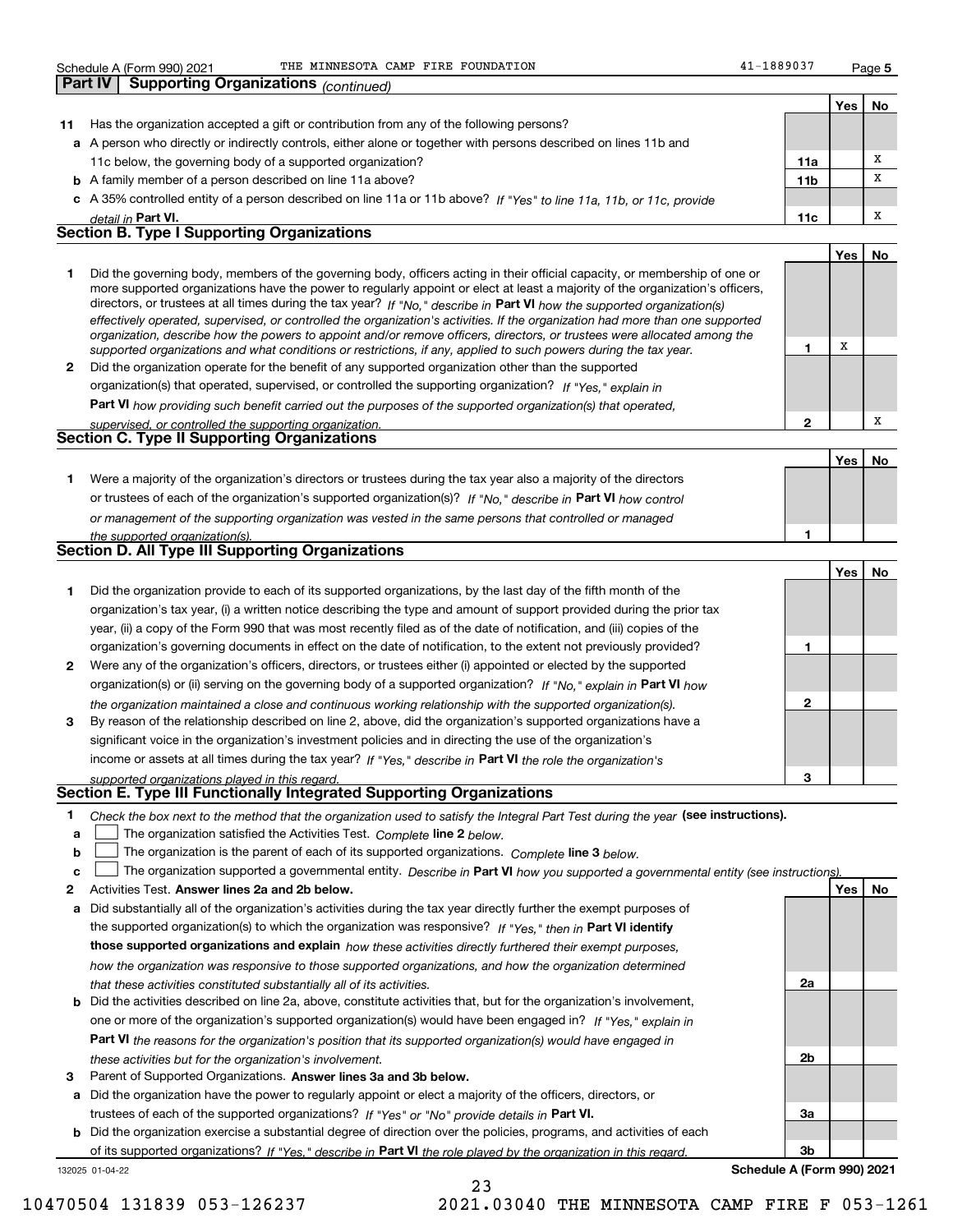### Schedule A (Form 990) 2021 THE MINNESOTA CAMP FIRE FOUNDATION 41-1889037 Page

**Yes**

X

**YesNo**

**1**

**1**

**2a**

**2b**

**3a**

**3b**

**No**

X

| <b>Part IV</b> | <b>Supporting Organizations (continued)</b>                                                                          |                 |     |    |
|----------------|----------------------------------------------------------------------------------------------------------------------|-----------------|-----|----|
|                |                                                                                                                      |                 | Yes | No |
| -11            | Has the organization accepted a gift or contribution from any of the following persons?                              |                 |     |    |
|                | a A person who directly or indirectly controls, either alone or together with persons described on lines 11b and     |                 |     |    |
|                | 11c below, the governing body of a supported organization?                                                           | 11a             |     |    |
|                | <b>b</b> A family member of a person described on line 11a above?                                                    | 11 <sub>b</sub> |     | X  |
|                | c A 35% controlled entity of a person described on line 11a or 11b above? If "Yes" to line 11a, 11b, or 11c, provide |                 |     |    |
|                | detail in Part VI.                                                                                                   | 11c             |     | x  |
|                | <b>Section B. Type I Supporting Organizations</b>                                                                    |                 |     |    |

| Did the governing body, members of the governing body, officers acting in their official capacity, or membership of one or<br>more supported organizations have the power to regularly appoint or elect at least a majority of the organization's officers,<br>directors, or trustees at all times during the tax year? If "No," describe in Part VI how the supported organization(s)<br>effectively operated, supervised, or controlled the organization's activities. If the organization had more than one supported<br>organization, describe how the powers to appoint and/or remove officers, directors, or trustees were allocated among the<br>supported organizations and what conditions or restrictions, if any, applied to such powers during the tax year. |
|--------------------------------------------------------------------------------------------------------------------------------------------------------------------------------------------------------------------------------------------------------------------------------------------------------------------------------------------------------------------------------------------------------------------------------------------------------------------------------------------------------------------------------------------------------------------------------------------------------------------------------------------------------------------------------------------------------------------------------------------------------------------------|
| Did the organization operate for the benefit of any supported organization other than the supported                                                                                                                                                                                                                                                                                                                                                                                                                                                                                                                                                                                                                                                                      |

*If "Yes," explain in* organization(s) that operated, supervised, or controlled the supporting organization?

**Part VI**  *how providing such benefit carried out the purposes of the supported organization(s) that operated,*

| supervised, or controlled the supporting organization. |  |  |  |  |
|--------------------------------------------------------|--|--|--|--|
| <b>Section C. Type II Supporting Organizations</b>     |  |  |  |  |
|                                                        |  |  |  |  |

**1**or trustees of each of the organization's supported organization(s)? If "No," describe in **Part VI** how control *or management of the supporting organization was vested in the same persons that controlled or managed the supported organization(s).* Were a majority of the organization's directors or trustees during the tax year also a majority of the directors

|  |  |  |  | Section D. All Type III Supporting Organizations |  |
|--|--|--|--|--------------------------------------------------|--|

|              |                                                                                                                        |   | Yes | No |
|--------------|------------------------------------------------------------------------------------------------------------------------|---|-----|----|
|              | Did the organization provide to each of its supported organizations, by the last day of the fifth month of the         |   |     |    |
|              | organization's tax year, (i) a written notice describing the type and amount of support provided during the prior tax  |   |     |    |
|              | year, (ii) a copy of the Form 990 that was most recently filed as of the date of notification, and (iii) copies of the |   |     |    |
|              | organization's governing documents in effect on the date of notification, to the extent not previously provided?       |   |     |    |
| $\mathbf{2}$ | Were any of the organization's officers, directors, or trustees either (i) appointed or elected by the supported       |   |     |    |
|              | organization(s) or (ii) serving on the governing body of a supported organization? If "No," explain in Part VI how     |   |     |    |
|              | the organization maintained a close and continuous working relationship with the supported organization(s).            | 2 |     |    |
| 3            | By reason of the relationship described on line 2, above, did the organization's supported organizations have a        |   |     |    |
|              | significant voice in the organization's investment policies and in directing the use of the organization's             |   |     |    |
|              | income or assets at all times during the tax year? If "Yes," describe in Part VI the role the organization's           |   |     |    |
|              | supported organizations played in this regard.                                                                         | з |     |    |

# *supported organizations played in this regard.* **Section E. Type III Functionally Integrated Supporting Organizations**

- **1**Check the box next to the method that the organization used to satisfy the Integral Part Test during the year (see instructions).
- **alinupy** The organization satisfied the Activities Test. Complete line 2 below.
- **bThe organization is the parent of each of its supported organizations. Complete line 3 below.**

|  |  |  | $\mathbf{c}$ The organization supported a governmental entity. Describe in Part VI how you supported a governmental entity (see instructions). |  |
|--|--|--|------------------------------------------------------------------------------------------------------------------------------------------------|--|
|--|--|--|------------------------------------------------------------------------------------------------------------------------------------------------|--|

23

- **2Answer lines 2a and 2b below. Yes No** Activities Test.
- **a** Did substantially all of the organization's activities during the tax year directly further the exempt purposes of the supported organization(s) to which the organization was responsive? If "Yes," then in **Part VI identify those supported organizations and explain**  *how these activities directly furthered their exempt purposes, how the organization was responsive to those supported organizations, and how the organization determined that these activities constituted substantially all of its activities.*
- **b** Did the activities described on line 2a, above, constitute activities that, but for the organization's involvement, **Part VI**  *the reasons for the organization's position that its supported organization(s) would have engaged in* one or more of the organization's supported organization(s) would have been engaged in? If "Yes," e*xplain in these activities but for the organization's involvement.*
- **3** Parent of Supported Organizations. Answer lines 3a and 3b below.
- **a** Did the organization have the power to regularly appoint or elect a majority of the officers, directors, or trustees of each of the supported organizations? If "Yes" or "No" provide details in P**art VI.**

132025 01-04-22 **b** Did the organization exercise a substantial degree of direction over the policies, programs, and activities of each of its supported organizations? If "Yes," describe in Part VI the role played by the organization in this regard.

**Schedule A (Form 990) 2021**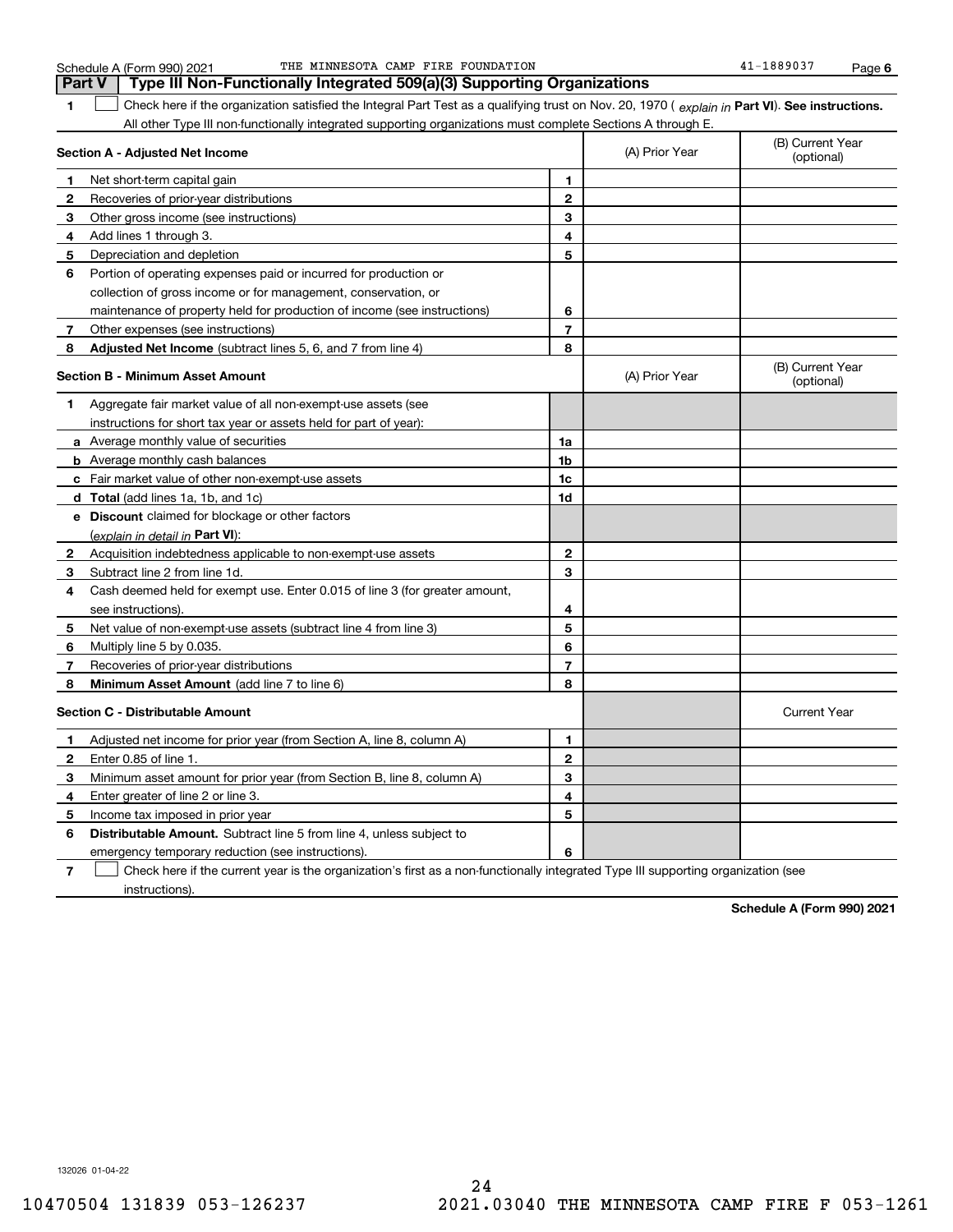|              | Part V<br>Type III Non-Functionally Integrated 509(a)(3) Supporting Organizations                                                              |                |                                |                                |  |  |
|--------------|------------------------------------------------------------------------------------------------------------------------------------------------|----------------|--------------------------------|--------------------------------|--|--|
| 1            | Check here if the organization satisfied the Integral Part Test as a qualifying trust on Nov. 20, 1970 (explain in Part VI). See instructions. |                |                                |                                |  |  |
|              | All other Type III non-functionally integrated supporting organizations must complete Sections A through E.                                    |                |                                |                                |  |  |
|              | Section A - Adjusted Net Income                                                                                                                | (A) Prior Year | (B) Current Year<br>(optional) |                                |  |  |
| 1            | Net short-term capital gain                                                                                                                    | 1              |                                |                                |  |  |
| 2            | Recoveries of prior-year distributions                                                                                                         | $\mathbf 2$    |                                |                                |  |  |
| 3            | Other gross income (see instructions)                                                                                                          | 3              |                                |                                |  |  |
| 4            | Add lines 1 through 3.                                                                                                                         | 4              |                                |                                |  |  |
| 5            | Depreciation and depletion                                                                                                                     | 5              |                                |                                |  |  |
| 6            | Portion of operating expenses paid or incurred for production or                                                                               |                |                                |                                |  |  |
|              | collection of gross income or for management, conservation, or                                                                                 |                |                                |                                |  |  |
|              | maintenance of property held for production of income (see instructions)                                                                       | 6              |                                |                                |  |  |
| 7            | Other expenses (see instructions)                                                                                                              | 7              |                                |                                |  |  |
| 8            | Adjusted Net Income (subtract lines 5, 6, and 7 from line 4)                                                                                   | 8              |                                |                                |  |  |
|              | <b>Section B - Minimum Asset Amount</b>                                                                                                        |                | (A) Prior Year                 | (B) Current Year<br>(optional) |  |  |
| 1            | Aggregate fair market value of all non-exempt-use assets (see                                                                                  |                |                                |                                |  |  |
|              | instructions for short tax year or assets held for part of year):                                                                              |                |                                |                                |  |  |
|              | <b>a</b> Average monthly value of securities                                                                                                   | 1a             |                                |                                |  |  |
|              | <b>b</b> Average monthly cash balances                                                                                                         | 1 <sub>b</sub> |                                |                                |  |  |
|              | c Fair market value of other non-exempt-use assets                                                                                             | 1c             |                                |                                |  |  |
|              | <b>d</b> Total (add lines 1a, 1b, and 1c)                                                                                                      | 1d             |                                |                                |  |  |
|              | <b>e</b> Discount claimed for blockage or other factors                                                                                        |                |                                |                                |  |  |
|              | (explain in detail in Part VI):                                                                                                                |                |                                |                                |  |  |
| $\mathbf{2}$ | Acquisition indebtedness applicable to non-exempt-use assets                                                                                   | $\mathbf{2}$   |                                |                                |  |  |
| 3            | Subtract line 2 from line 1d.                                                                                                                  | 3              |                                |                                |  |  |
| 4            | Cash deemed held for exempt use. Enter 0.015 of line 3 (for greater amount,                                                                    |                |                                |                                |  |  |
|              | see instructions).                                                                                                                             | 4              |                                |                                |  |  |
| 5            | Net value of non-exempt-use assets (subtract line 4 from line 3)                                                                               | 5              |                                |                                |  |  |
| 6            | Multiply line 5 by 0.035.                                                                                                                      | 6              |                                |                                |  |  |
| 7            | Recoveries of prior-year distributions                                                                                                         | $\overline{7}$ |                                |                                |  |  |
| 8            | Minimum Asset Amount (add line 7 to line 6)                                                                                                    | 8              |                                |                                |  |  |
|              | <b>Section C - Distributable Amount</b>                                                                                                        |                |                                | <b>Current Year</b>            |  |  |
| 1            | Adjusted net income for prior year (from Section A, line 8, column A)                                                                          | 1              |                                |                                |  |  |
| 2            | Enter 0.85 of line 1.                                                                                                                          | $\overline{2}$ |                                |                                |  |  |
| з            | Minimum asset amount for prior year (from Section B, line 8, column A)                                                                         | 3              |                                |                                |  |  |
| 4            | Enter greater of line 2 or line 3.                                                                                                             | 4              |                                |                                |  |  |
| 5            | Income tax imposed in prior year                                                                                                               | 5              |                                |                                |  |  |
| 6            | <b>Distributable Amount.</b> Subtract line 5 from line 4, unless subject to                                                                    |                |                                |                                |  |  |
|              | emergency temporary reduction (see instructions).                                                                                              | 6              |                                |                                |  |  |

**7**Check here if the current year is the organization's first as a non-functionally integrated Type III supporting organization (see instructions).

**Schedule A (Form 990) 2021**

132026 01-04-22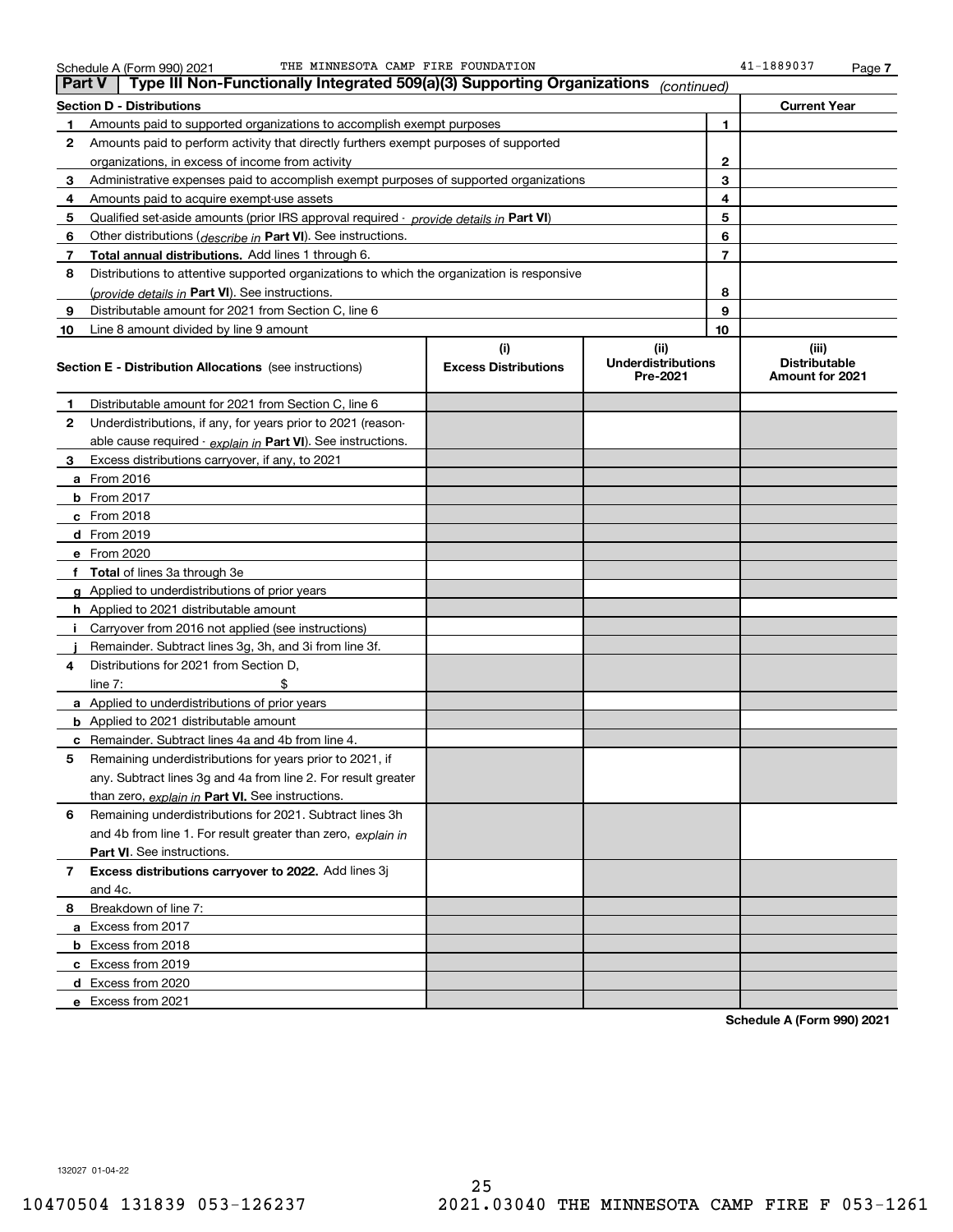|    | Type III Non-Functionally Integrated 509(a)(3) Supporting Organizations<br>∣ Part V<br>(continued) |                             |                                       |                                         |  |  |  |
|----|----------------------------------------------------------------------------------------------------|-----------------------------|---------------------------------------|-----------------------------------------|--|--|--|
|    | <b>Section D - Distributions</b>                                                                   |                             |                                       | <b>Current Year</b>                     |  |  |  |
| 1  | Amounts paid to supported organizations to accomplish exempt purposes                              | 1                           |                                       |                                         |  |  |  |
| 2  | Amounts paid to perform activity that directly furthers exempt purposes of supported               |                             |                                       |                                         |  |  |  |
|    | organizations, in excess of income from activity                                                   | 2                           |                                       |                                         |  |  |  |
| 3  | Administrative expenses paid to accomplish exempt purposes of supported organizations              |                             | 3                                     |                                         |  |  |  |
| 4  | Amounts paid to acquire exempt-use assets                                                          |                             | 4                                     |                                         |  |  |  |
| 5  | Qualified set-aside amounts (prior IRS approval required - provide details in Part VI)             |                             | 5                                     |                                         |  |  |  |
| 6  | Other distributions ( <i>describe in</i> Part VI). See instructions.                               |                             | 6                                     |                                         |  |  |  |
| 7  | <b>Total annual distributions.</b> Add lines 1 through 6.                                          |                             | 7                                     |                                         |  |  |  |
| 8  | Distributions to attentive supported organizations to which the organization is responsive         |                             |                                       |                                         |  |  |  |
|    | (provide details in Part VI). See instructions.                                                    |                             | 8                                     |                                         |  |  |  |
| 9  | Distributable amount for 2021 from Section C, line 6                                               |                             | 9                                     |                                         |  |  |  |
| 10 | Line 8 amount divided by line 9 amount                                                             |                             | 10                                    |                                         |  |  |  |
|    |                                                                                                    | (i)                         | (ii)                                  | (iii)                                   |  |  |  |
|    | <b>Section E - Distribution Allocations</b> (see instructions)                                     | <b>Excess Distributions</b> | <b>Underdistributions</b><br>Pre-2021 | <b>Distributable</b><br>Amount for 2021 |  |  |  |
| 1  | Distributable amount for 2021 from Section C, line 6                                               |                             |                                       |                                         |  |  |  |
| 2  | Underdistributions, if any, for years prior to 2021 (reason-                                       |                             |                                       |                                         |  |  |  |
|    | able cause required - explain in Part VI). See instructions.                                       |                             |                                       |                                         |  |  |  |
| 3  | Excess distributions carryover, if any, to 2021                                                    |                             |                                       |                                         |  |  |  |
|    | <b>a</b> From 2016                                                                                 |                             |                                       |                                         |  |  |  |
|    | $b$ From 2017                                                                                      |                             |                                       |                                         |  |  |  |
|    | $c$ From 2018                                                                                      |                             |                                       |                                         |  |  |  |
|    | d From 2019                                                                                        |                             |                                       |                                         |  |  |  |
|    | e From 2020                                                                                        |                             |                                       |                                         |  |  |  |
|    | f Total of lines 3a through 3e                                                                     |                             |                                       |                                         |  |  |  |
|    | g Applied to underdistributions of prior years                                                     |                             |                                       |                                         |  |  |  |
|    | <b>h</b> Applied to 2021 distributable amount                                                      |                             |                                       |                                         |  |  |  |
|    | Carryover from 2016 not applied (see instructions)                                                 |                             |                                       |                                         |  |  |  |
|    | Remainder. Subtract lines 3g, 3h, and 3i from line 3f.                                             |                             |                                       |                                         |  |  |  |
| 4  | Distributions for 2021 from Section D,                                                             |                             |                                       |                                         |  |  |  |
|    | line $7:$                                                                                          |                             |                                       |                                         |  |  |  |
|    | <b>a</b> Applied to underdistributions of prior years                                              |                             |                                       |                                         |  |  |  |
|    | <b>b</b> Applied to 2021 distributable amount                                                      |                             |                                       |                                         |  |  |  |
|    | <b>c</b> Remainder. Subtract lines 4a and 4b from line 4.                                          |                             |                                       |                                         |  |  |  |
| 5  | Remaining underdistributions for years prior to 2021, if                                           |                             |                                       |                                         |  |  |  |
|    | any. Subtract lines 3g and 4a from line 2. For result greater                                      |                             |                                       |                                         |  |  |  |
|    | than zero, explain in Part VI. See instructions.                                                   |                             |                                       |                                         |  |  |  |
| 6  | Remaining underdistributions for 2021. Subtract lines 3h                                           |                             |                                       |                                         |  |  |  |
|    | and 4b from line 1. For result greater than zero, explain in                                       |                             |                                       |                                         |  |  |  |
|    | Part VI. See instructions.                                                                         |                             |                                       |                                         |  |  |  |
| 7  | Excess distributions carryover to 2022. Add lines 3j                                               |                             |                                       |                                         |  |  |  |
|    | and 4c.                                                                                            |                             |                                       |                                         |  |  |  |
| 8  | Breakdown of line 7:                                                                               |                             |                                       |                                         |  |  |  |
|    | a Excess from 2017                                                                                 |                             |                                       |                                         |  |  |  |
|    | <b>b</b> Excess from 2018                                                                          |                             |                                       |                                         |  |  |  |
|    | c Excess from 2019                                                                                 |                             |                                       |                                         |  |  |  |
|    | d Excess from 2020                                                                                 |                             |                                       |                                         |  |  |  |
|    | e Excess from 2021                                                                                 |                             |                                       |                                         |  |  |  |

**Schedule A (Form 990) 2021**

132027 01-04-22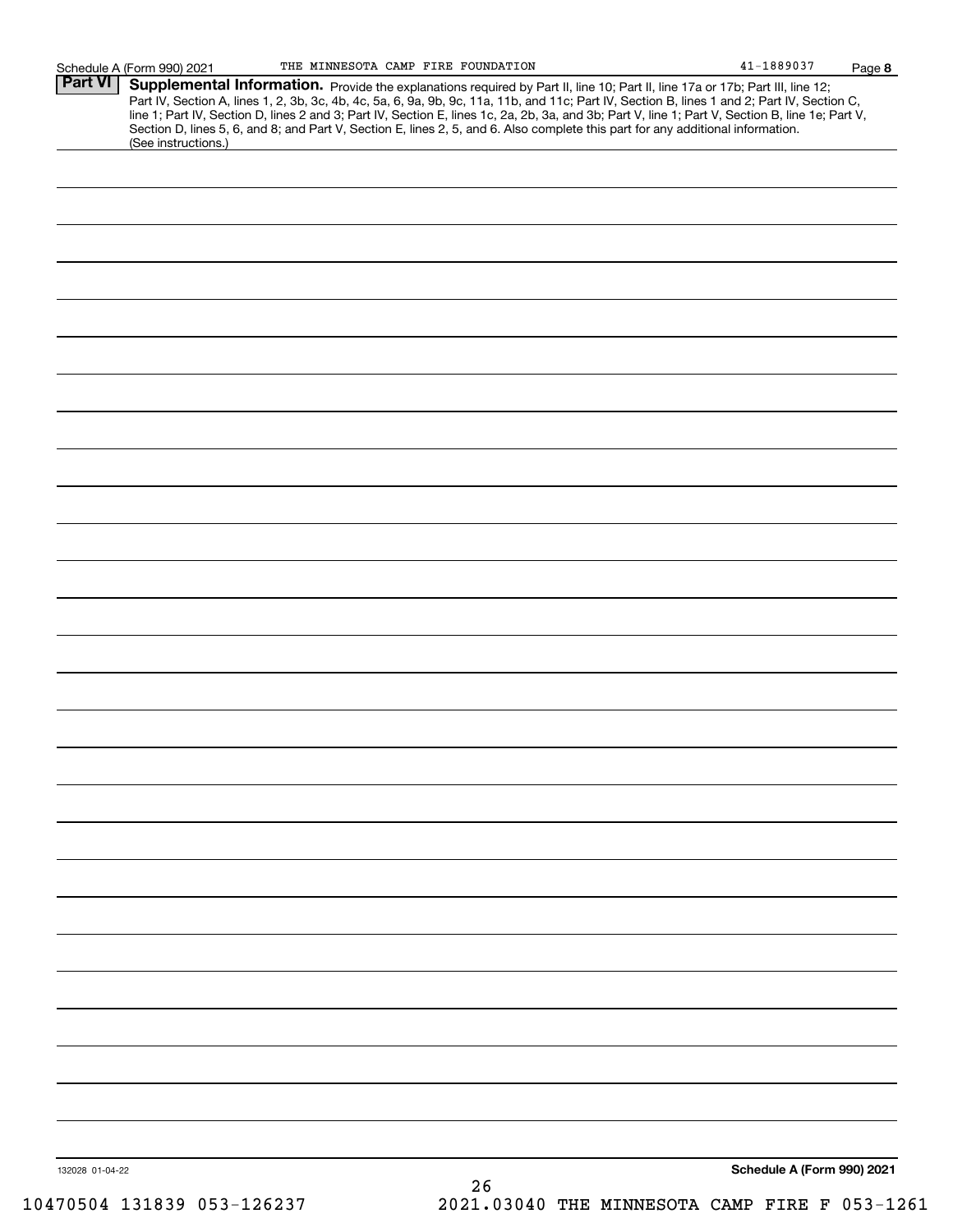|                 | (See instructions.) | Supplemental Information. Provide the explanations required by Part II, line 10; Part II, line 17a or 17b; Part III, line 12;<br>Part IV, Section A, lines 1, 2, 3b, 3c, 4b, 4c, 5a, 6, 9a, 9b, 9c, 11a, 11b, and 11c; Part IV, Section B, lines 1 and 2; Part IV, Section C,<br>line 1; Part IV, Section D, lines 2 and 3; Part IV, Section E, lines 1c, 2a, 2b, 3a, and 3b; Part V, line 1; Part V, Section B, line 1e; Part V,<br>Section D, lines 5, 6, and 8; and Part V, Section E, lines 2, 5, and 6. Also complete this part for any additional information. |
|-----------------|---------------------|----------------------------------------------------------------------------------------------------------------------------------------------------------------------------------------------------------------------------------------------------------------------------------------------------------------------------------------------------------------------------------------------------------------------------------------------------------------------------------------------------------------------------------------------------------------------|
|                 |                     |                                                                                                                                                                                                                                                                                                                                                                                                                                                                                                                                                                      |
|                 |                     |                                                                                                                                                                                                                                                                                                                                                                                                                                                                                                                                                                      |
|                 |                     |                                                                                                                                                                                                                                                                                                                                                                                                                                                                                                                                                                      |
|                 |                     |                                                                                                                                                                                                                                                                                                                                                                                                                                                                                                                                                                      |
|                 |                     |                                                                                                                                                                                                                                                                                                                                                                                                                                                                                                                                                                      |
|                 |                     |                                                                                                                                                                                                                                                                                                                                                                                                                                                                                                                                                                      |
|                 |                     |                                                                                                                                                                                                                                                                                                                                                                                                                                                                                                                                                                      |
|                 |                     |                                                                                                                                                                                                                                                                                                                                                                                                                                                                                                                                                                      |
|                 |                     |                                                                                                                                                                                                                                                                                                                                                                                                                                                                                                                                                                      |
|                 |                     |                                                                                                                                                                                                                                                                                                                                                                                                                                                                                                                                                                      |
|                 |                     |                                                                                                                                                                                                                                                                                                                                                                                                                                                                                                                                                                      |
|                 |                     |                                                                                                                                                                                                                                                                                                                                                                                                                                                                                                                                                                      |
|                 |                     |                                                                                                                                                                                                                                                                                                                                                                                                                                                                                                                                                                      |
|                 |                     |                                                                                                                                                                                                                                                                                                                                                                                                                                                                                                                                                                      |
|                 |                     |                                                                                                                                                                                                                                                                                                                                                                                                                                                                                                                                                                      |
|                 |                     |                                                                                                                                                                                                                                                                                                                                                                                                                                                                                                                                                                      |
|                 |                     |                                                                                                                                                                                                                                                                                                                                                                                                                                                                                                                                                                      |
|                 |                     |                                                                                                                                                                                                                                                                                                                                                                                                                                                                                                                                                                      |
|                 |                     |                                                                                                                                                                                                                                                                                                                                                                                                                                                                                                                                                                      |
|                 |                     |                                                                                                                                                                                                                                                                                                                                                                                                                                                                                                                                                                      |
|                 |                     |                                                                                                                                                                                                                                                                                                                                                                                                                                                                                                                                                                      |
|                 |                     |                                                                                                                                                                                                                                                                                                                                                                                                                                                                                                                                                                      |
|                 |                     |                                                                                                                                                                                                                                                                                                                                                                                                                                                                                                                                                                      |
|                 |                     |                                                                                                                                                                                                                                                                                                                                                                                                                                                                                                                                                                      |
|                 |                     |                                                                                                                                                                                                                                                                                                                                                                                                                                                                                                                                                                      |
|                 |                     |                                                                                                                                                                                                                                                                                                                                                                                                                                                                                                                                                                      |
|                 |                     |                                                                                                                                                                                                                                                                                                                                                                                                                                                                                                                                                                      |
|                 |                     |                                                                                                                                                                                                                                                                                                                                                                                                                                                                                                                                                                      |
|                 |                     |                                                                                                                                                                                                                                                                                                                                                                                                                                                                                                                                                                      |
|                 |                     |                                                                                                                                                                                                                                                                                                                                                                                                                                                                                                                                                                      |
|                 |                     |                                                                                                                                                                                                                                                                                                                                                                                                                                                                                                                                                                      |
|                 |                     |                                                                                                                                                                                                                                                                                                                                                                                                                                                                                                                                                                      |
|                 |                     |                                                                                                                                                                                                                                                                                                                                                                                                                                                                                                                                                                      |
|                 |                     |                                                                                                                                                                                                                                                                                                                                                                                                                                                                                                                                                                      |
|                 |                     |                                                                                                                                                                                                                                                                                                                                                                                                                                                                                                                                                                      |
|                 |                     |                                                                                                                                                                                                                                                                                                                                                                                                                                                                                                                                                                      |
|                 |                     |                                                                                                                                                                                                                                                                                                                                                                                                                                                                                                                                                                      |
|                 |                     |                                                                                                                                                                                                                                                                                                                                                                                                                                                                                                                                                                      |
|                 |                     |                                                                                                                                                                                                                                                                                                                                                                                                                                                                                                                                                                      |
|                 |                     |                                                                                                                                                                                                                                                                                                                                                                                                                                                                                                                                                                      |
|                 |                     |                                                                                                                                                                                                                                                                                                                                                                                                                                                                                                                                                                      |
| 132028 01-04-22 |                     | Schedule A (Form 990) 2021<br>26                                                                                                                                                                                                                                                                                                                                                                                                                                                                                                                                     |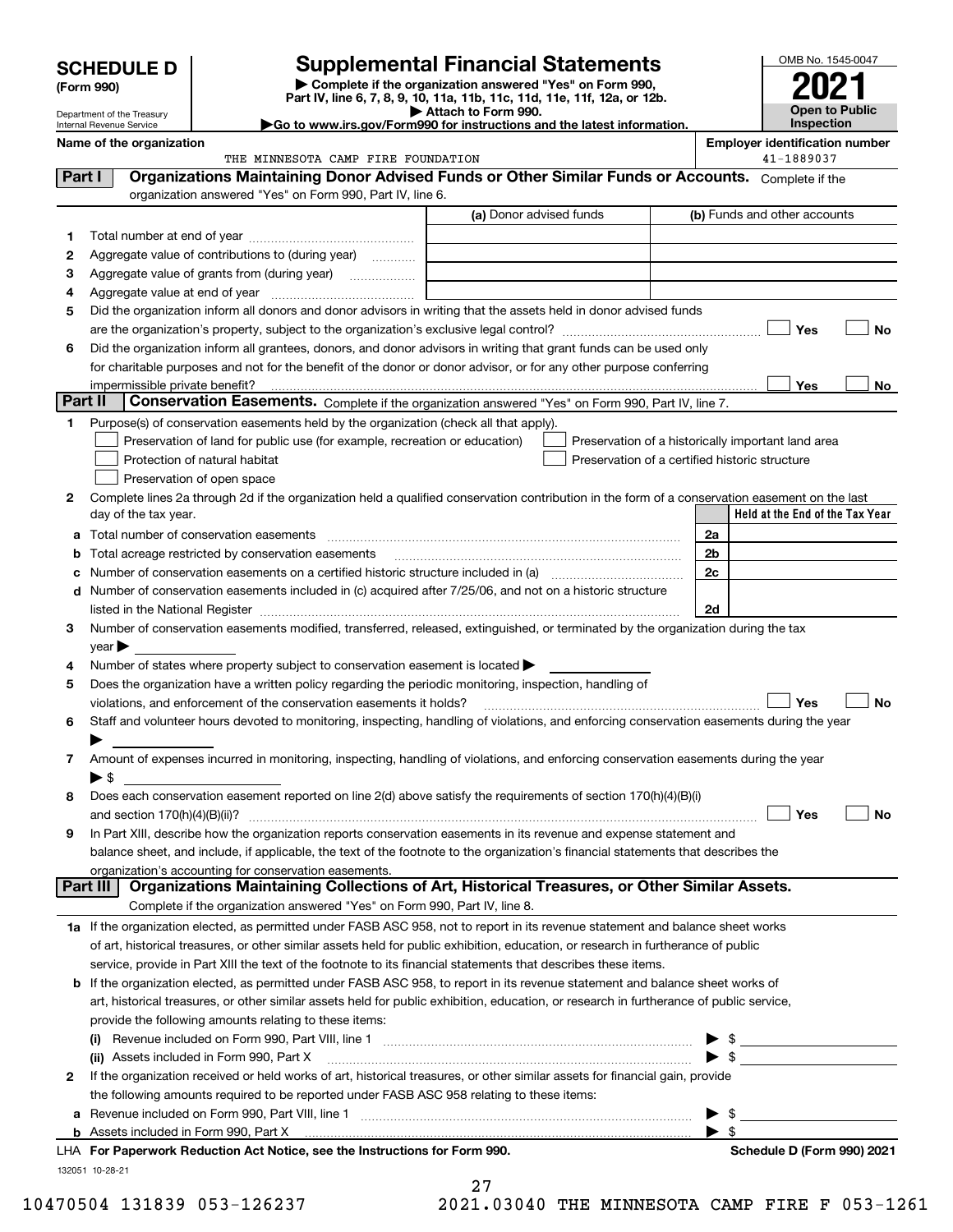|         | <b>SCHEDULE D</b>                                      | <b>Supplemental Financial Statements</b>                                                                                                                                                                                                               |                         |                                                    |                          | OMB No. 1545-0047                          |    |
|---------|--------------------------------------------------------|--------------------------------------------------------------------------------------------------------------------------------------------------------------------------------------------------------------------------------------------------------|-------------------------|----------------------------------------------------|--------------------------|--------------------------------------------|----|
|         | (Form 990)                                             | Complete if the organization answered "Yes" on Form 990,<br>Part IV, line 6, 7, 8, 9, 10, 11a, 11b, 11c, 11d, 11e, 11f, 12a, or 12b.                                                                                                                   |                         |                                                    |                          |                                            |    |
|         | Department of the Treasury<br>Internal Revenue Service | Go to www.irs.gov/Form990 for instructions and the latest information.                                                                                                                                                                                 | Attach to Form 990.     |                                                    |                          | <b>Open to Public</b><br><b>Inspection</b> |    |
|         | Name of the organization                               |                                                                                                                                                                                                                                                        |                         |                                                    |                          | <b>Employer identification number</b>      |    |
|         |                                                        | THE MINNESOTA CAMP FIRE FOUNDATION                                                                                                                                                                                                                     |                         |                                                    |                          | 41-1889037                                 |    |
| Part I  |                                                        | Organizations Maintaining Donor Advised Funds or Other Similar Funds or Accounts. Complete if the                                                                                                                                                      |                         |                                                    |                          |                                            |    |
|         |                                                        | organization answered "Yes" on Form 990, Part IV, line 6.                                                                                                                                                                                              |                         |                                                    |                          |                                            |    |
|         |                                                        |                                                                                                                                                                                                                                                        | (a) Donor advised funds |                                                    |                          | (b) Funds and other accounts               |    |
| 1       |                                                        |                                                                                                                                                                                                                                                        |                         |                                                    |                          |                                            |    |
| 2       |                                                        | Aggregate value of contributions to (during year)                                                                                                                                                                                                      |                         |                                                    |                          |                                            |    |
| З       |                                                        | Aggregate value of grants from (during year)                                                                                                                                                                                                           |                         |                                                    |                          |                                            |    |
| 4       |                                                        |                                                                                                                                                                                                                                                        |                         |                                                    |                          |                                            |    |
| 5       |                                                        | Did the organization inform all donors and donor advisors in writing that the assets held in donor advised funds                                                                                                                                       |                         |                                                    |                          |                                            |    |
|         |                                                        |                                                                                                                                                                                                                                                        |                         |                                                    |                          | Yes                                        | No |
| 6       |                                                        | Did the organization inform all grantees, donors, and donor advisors in writing that grant funds can be used only                                                                                                                                      |                         |                                                    |                          |                                            |    |
|         |                                                        | for charitable purposes and not for the benefit of the donor or donor advisor, or for any other purpose conferring                                                                                                                                     |                         |                                                    |                          |                                            |    |
| Part II | impermissible private benefit?                         | Conservation Easements. Complete if the organization answered "Yes" on Form 990, Part IV, line 7.                                                                                                                                                      |                         |                                                    |                          | Yes                                        | No |
| 1       |                                                        | Purpose(s) of conservation easements held by the organization (check all that apply).                                                                                                                                                                  |                         |                                                    |                          |                                            |    |
|         |                                                        | Preservation of land for public use (for example, recreation or education)                                                                                                                                                                             |                         | Preservation of a historically important land area |                          |                                            |    |
|         |                                                        | Protection of natural habitat                                                                                                                                                                                                                          |                         | Preservation of a certified historic structure     |                          |                                            |    |
|         |                                                        | Preservation of open space                                                                                                                                                                                                                             |                         |                                                    |                          |                                            |    |
| 2       |                                                        | Complete lines 2a through 2d if the organization held a qualified conservation contribution in the form of a conservation easement on the last                                                                                                         |                         |                                                    |                          |                                            |    |
|         | day of the tax year.                                   |                                                                                                                                                                                                                                                        |                         |                                                    |                          | Held at the End of the Tax Year            |    |
| a       |                                                        | Total number of conservation easements                                                                                                                                                                                                                 |                         |                                                    | 2a                       |                                            |    |
|         |                                                        | Total acreage restricted by conservation easements                                                                                                                                                                                                     |                         |                                                    | 2b                       |                                            |    |
|         |                                                        |                                                                                                                                                                                                                                                        |                         |                                                    | 2c                       |                                            |    |
| d       |                                                        | Number of conservation easements included in (c) acquired after 7/25/06, and not on a historic structure                                                                                                                                               |                         |                                                    |                          |                                            |    |
|         |                                                        |                                                                                                                                                                                                                                                        |                         |                                                    | 2d                       |                                            |    |
| 3       |                                                        | Number of conservation easements modified, transferred, released, extinguished, or terminated by the organization during the tax                                                                                                                       |                         |                                                    |                          |                                            |    |
|         | $\vee$ ear                                             |                                                                                                                                                                                                                                                        |                         |                                                    |                          |                                            |    |
| 4       |                                                        | Number of states where property subject to conservation easement is located $\blacktriangleright$                                                                                                                                                      |                         |                                                    |                          |                                            |    |
| 5       |                                                        | Does the organization have a written policy regarding the periodic monitoring, inspection, handling of<br>violations, and enforcement of the conservation easements it holds?                                                                          |                         |                                                    |                          | Yes                                        | No |
| 6       |                                                        | Staff and volunteer hours devoted to monitoring, inspecting, handling of violations, and enforcing conservation easements during the year                                                                                                              |                         |                                                    |                          |                                            |    |
|         |                                                        |                                                                                                                                                                                                                                                        |                         |                                                    |                          |                                            |    |
| 7       |                                                        | Amount of expenses incurred in monitoring, inspecting, handling of violations, and enforcing conservation easements during the year                                                                                                                    |                         |                                                    |                          |                                            |    |
|         | $\blacktriangleright$ \$                               |                                                                                                                                                                                                                                                        |                         |                                                    |                          |                                            |    |
| 8       |                                                        | Does each conservation easement reported on line 2(d) above satisfy the requirements of section 170(h)(4)(B)(i)                                                                                                                                        |                         |                                                    |                          |                                            |    |
|         | and section $170(h)(4)(B)(ii)?$                        |                                                                                                                                                                                                                                                        |                         |                                                    |                          | Yes                                        | No |
| 9       |                                                        | In Part XIII, describe how the organization reports conservation easements in its revenue and expense statement and                                                                                                                                    |                         |                                                    |                          |                                            |    |
|         |                                                        | balance sheet, and include, if applicable, the text of the footnote to the organization's financial statements that describes the                                                                                                                      |                         |                                                    |                          |                                            |    |
|         |                                                        | organization's accounting for conservation easements.                                                                                                                                                                                                  |                         |                                                    |                          |                                            |    |
|         | Part III                                               | Organizations Maintaining Collections of Art, Historical Treasures, or Other Similar Assets.                                                                                                                                                           |                         |                                                    |                          |                                            |    |
|         |                                                        | Complete if the organization answered "Yes" on Form 990, Part IV, line 8.                                                                                                                                                                              |                         |                                                    |                          |                                            |    |
|         |                                                        | 1a If the organization elected, as permitted under FASB ASC 958, not to report in its revenue statement and balance sheet works                                                                                                                        |                         |                                                    |                          |                                            |    |
|         |                                                        | of art, historical treasures, or other similar assets held for public exhibition, education, or research in furtherance of public                                                                                                                      |                         |                                                    |                          |                                            |    |
|         |                                                        | service, provide in Part XIII the text of the footnote to its financial statements that describes these items.<br><b>b</b> If the organization elected, as permitted under FASB ASC 958, to report in its revenue statement and balance sheet works of |                         |                                                    |                          |                                            |    |
|         |                                                        | art, historical treasures, or other similar assets held for public exhibition, education, or research in furtherance of public service,                                                                                                                |                         |                                                    |                          |                                            |    |
|         |                                                        | provide the following amounts relating to these items:                                                                                                                                                                                                 |                         |                                                    |                          |                                            |    |
|         |                                                        | Revenue included on Form 990, Part VIII, line 1 [2000] [2000] [2000] [2000] [2000] [2000] [2000] [2000] [2000                                                                                                                                          |                         |                                                    |                          |                                            |    |
|         |                                                        | (ii) Assets included in Form 990, Part X                                                                                                                                                                                                               |                         |                                                    |                          | $\blacktriangleright$ \$                   |    |
| 2       |                                                        | If the organization received or held works of art, historical treasures, or other similar assets for financial gain, provide                                                                                                                           |                         |                                                    |                          |                                            |    |
|         |                                                        | the following amounts required to be reported under FASB ASC 958 relating to these items:                                                                                                                                                              |                         |                                                    |                          |                                            |    |
|         |                                                        |                                                                                                                                                                                                                                                        |                         |                                                    | $\blacktriangleright$ \$ |                                            |    |

**b** Assets included in Form 990, Part X

132051 10-28-21 **For Paperwork Reduction Act Notice, see the Instructions for Form 990. Schedule D (Form 990) 2021** LHA

 $\blacktriangleright$  \$

<sup>27</sup> 10470504 131839 053-126237 2021.03040 THE MINNESOTA CAMP FIRE F 053-1261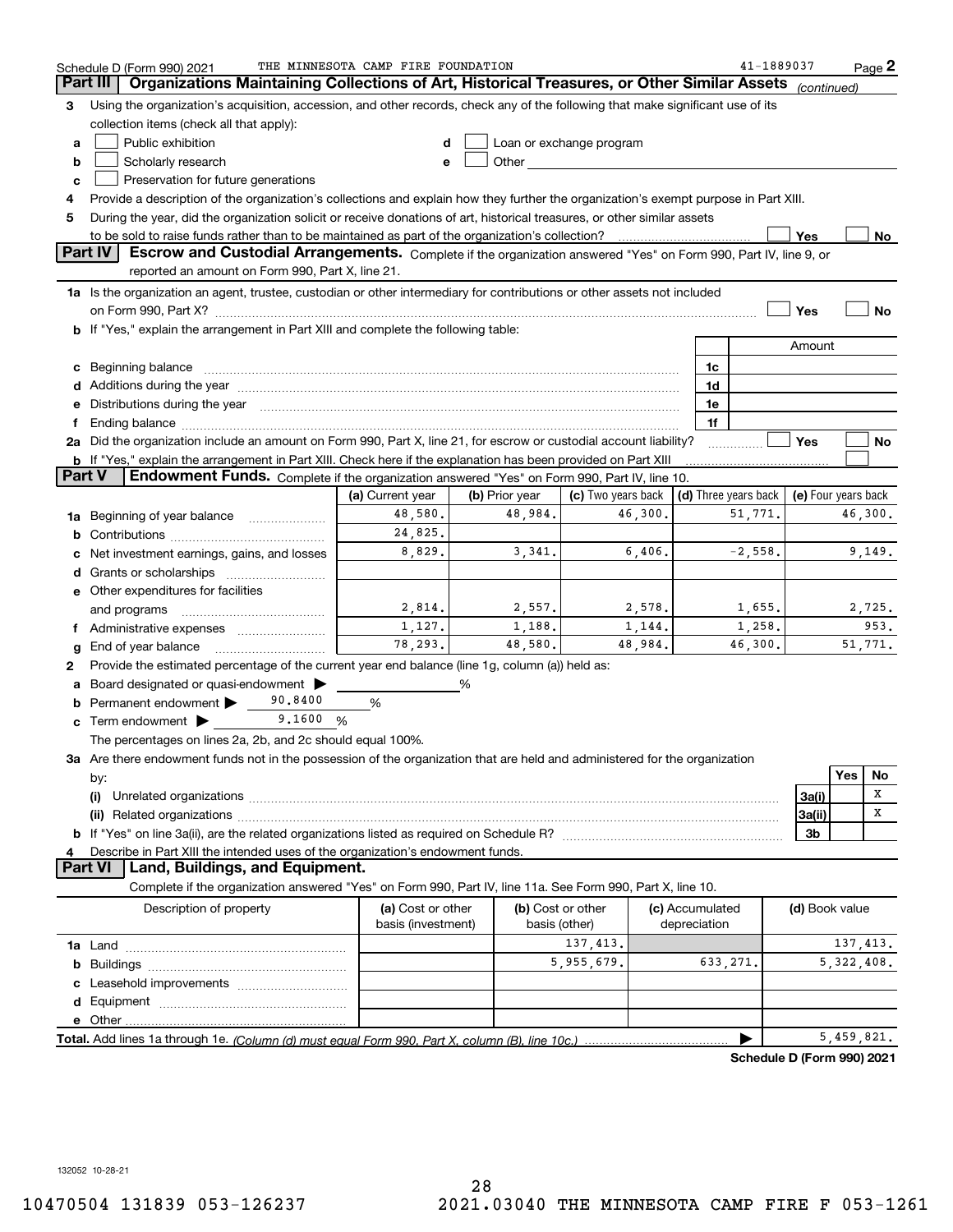|                 | Schedule D (Form 990) 2021                                                                                                                                                                                                                                | THE MINNESOTA CAMP FIRE FOUNDATION |                |                    |                 | 41-1889037                 |                     |            | $Page$ 2 |
|-----------------|-----------------------------------------------------------------------------------------------------------------------------------------------------------------------------------------------------------------------------------------------------------|------------------------------------|----------------|--------------------|-----------------|----------------------------|---------------------|------------|----------|
| <b>Part III</b> | Organizations Maintaining Collections of Art, Historical Treasures, or Other Similar Assets (continued)                                                                                                                                                   |                                    |                |                    |                 |                            |                     |            |          |
| 3               | Using the organization's acquisition, accession, and other records, check any of the following that make significant use of its                                                                                                                           |                                    |                |                    |                 |                            |                     |            |          |
|                 | collection items (check all that apply):                                                                                                                                                                                                                  |                                    |                |                    |                 |                            |                     |            |          |
| a               | Public exhibition<br>Loan or exchange program<br>d                                                                                                                                                                                                        |                                    |                |                    |                 |                            |                     |            |          |
| b               | Scholarly research<br>Other and the control of the control of the control of the control of the control of the control of the control of the control of the control of the control of the control of the control of the control of the control of th<br>e |                                    |                |                    |                 |                            |                     |            |          |
| c               | Preservation for future generations                                                                                                                                                                                                                       |                                    |                |                    |                 |                            |                     |            |          |
| 4               | Provide a description of the organization's collections and explain how they further the organization's exempt purpose in Part XIII.                                                                                                                      |                                    |                |                    |                 |                            |                     |            |          |
| 5               | During the year, did the organization solicit or receive donations of art, historical treasures, or other similar assets                                                                                                                                  |                                    |                |                    |                 |                            |                     |            |          |
|                 |                                                                                                                                                                                                                                                           |                                    |                |                    |                 |                            | Yes                 |            | No       |
|                 | Part IV<br>Escrow and Custodial Arrangements. Complete if the organization answered "Yes" on Form 990, Part IV, line 9, or                                                                                                                                |                                    |                |                    |                 |                            |                     |            |          |
|                 | reported an amount on Form 990, Part X, line 21.                                                                                                                                                                                                          |                                    |                |                    |                 |                            |                     |            |          |
|                 | 1a Is the organization an agent, trustee, custodian or other intermediary for contributions or other assets not included                                                                                                                                  |                                    |                |                    |                 |                            |                     |            |          |
|                 | on Form 990, Part X? [11] matter contracts and contracts and contracts are contracted to the contract of the contract of the contract of the contract of the contract of the contract of the contract of the contract of the c                            |                                    |                |                    |                 |                            | Yes                 |            | No       |
|                 | b If "Yes," explain the arrangement in Part XIII and complete the following table:                                                                                                                                                                        |                                    |                |                    |                 |                            |                     |            |          |
|                 |                                                                                                                                                                                                                                                           |                                    |                |                    |                 |                            | Amount              |            |          |
|                 |                                                                                                                                                                                                                                                           |                                    |                |                    |                 |                            |                     |            |          |
|                 | c Beginning balance manufactured and the contract of Beginning balance manufactured and the contract of the contract of the contract of the contract of the contract of the contract of the contract of the contract of the co                            |                                    |                |                    | 1c              |                            |                     |            |          |
|                 |                                                                                                                                                                                                                                                           |                                    |                |                    | 1d              |                            |                     |            |          |
| е               | Distributions during the year manufactured and an account of the year manufactured and the year manufactured and the                                                                                                                                      |                                    |                |                    | 1e              |                            |                     |            |          |
| f               |                                                                                                                                                                                                                                                           |                                    |                |                    | 1f              |                            |                     |            |          |
|                 | 2a Did the organization include an amount on Form 990, Part X, line 21, for escrow or custodial account liability?                                                                                                                                        |                                    |                |                    |                 |                            | <b>Yes</b>          |            | No       |
| Part V          | <b>b</b> If "Yes," explain the arrangement in Part XIII. Check here if the explanation has been provided on Part XIII                                                                                                                                     |                                    |                |                    |                 |                            |                     |            |          |
|                 | Endowment Funds. Complete if the organization answered "Yes" on Form 990, Part IV, line 10.                                                                                                                                                               |                                    |                |                    |                 |                            |                     |            |          |
|                 |                                                                                                                                                                                                                                                           | (a) Current year                   | (b) Prior year | (c) Two years back |                 | (d) Three years back       | (e) Four years back |            |          |
|                 | 1a Beginning of year balance                                                                                                                                                                                                                              | 48,580.                            | 48,984.        | 46,300.            |                 | 51,771.                    |                     | 46,300.    |          |
| b               |                                                                                                                                                                                                                                                           | 24,825.                            |                |                    |                 |                            |                     |            |          |
|                 | Net investment earnings, gains, and losses                                                                                                                                                                                                                | 8,829.                             | 3,341.         | 6,406.             |                 | $-2,558.$                  |                     | 9,149.     |          |
| d               | Grants or scholarships                                                                                                                                                                                                                                    |                                    |                |                    |                 |                            |                     |            |          |
|                 | e Other expenditures for facilities                                                                                                                                                                                                                       |                                    |                |                    |                 |                            |                     |            |          |
|                 | and programs                                                                                                                                                                                                                                              | 2,814.                             | 2,557.         | 2,578.             |                 | 1,655.                     |                     | 2,725.     |          |
|                 |                                                                                                                                                                                                                                                           | 1,127.                             | 1,188.         | 1,144.             |                 | 1,258.                     |                     |            | 953.     |
| g               | End of year balance                                                                                                                                                                                                                                       | 78,293.                            | 48,580.        | 48,984.            |                 | 46,300.                    |                     | 51,771.    |          |
| 2               | Provide the estimated percentage of the current year end balance (line 1g, column (a)) held as:                                                                                                                                                           |                                    |                |                    |                 |                            |                     |            |          |
| а               | Board designated or quasi-endowment                                                                                                                                                                                                                       |                                    | %              |                    |                 |                            |                     |            |          |
| b               | 90.8400<br>Permanent endowment >                                                                                                                                                                                                                          | %                                  |                |                    |                 |                            |                     |            |          |
|                 | 9.1600%<br>$\mathbf c$ Term endowment $\blacktriangleright$                                                                                                                                                                                               |                                    |                |                    |                 |                            |                     |            |          |
|                 | The percentages on lines 2a, 2b, and 2c should equal 100%.                                                                                                                                                                                                |                                    |                |                    |                 |                            |                     |            |          |
|                 | 3a Are there endowment funds not in the possession of the organization that are held and administered for the organization                                                                                                                                |                                    |                |                    |                 |                            |                     |            |          |
|                 | by:                                                                                                                                                                                                                                                       |                                    |                |                    |                 |                            |                     | Yes        | No       |
|                 | (i)<br>Unrelated organizations [111] March 1999, March 1999, March 1999, March 1999, March 1999, March 1999, March 19                                                                                                                                     |                                    |                |                    |                 |                            | 3a(i)               |            | х        |
|                 |                                                                                                                                                                                                                                                           |                                    |                |                    |                 |                            | 3a(ii)              |            | х        |
|                 |                                                                                                                                                                                                                                                           |                                    |                |                    |                 |                            | 3 <sub>b</sub>      |            |          |
|                 | Describe in Part XIII the intended uses of the organization's endowment funds.                                                                                                                                                                            |                                    |                |                    |                 |                            |                     |            |          |
|                 | Land, Buildings, and Equipment.<br><b>Part VI</b>                                                                                                                                                                                                         |                                    |                |                    |                 |                            |                     |            |          |
|                 | Complete if the organization answered "Yes" on Form 990, Part IV, line 11a. See Form 990, Part X, line 10.                                                                                                                                                |                                    |                |                    |                 |                            |                     |            |          |
|                 | Description of property                                                                                                                                                                                                                                   | (a) Cost or other                  |                | (b) Cost or other  | (c) Accumulated |                            | (d) Book value      |            |          |
|                 |                                                                                                                                                                                                                                                           | basis (investment)                 |                | basis (other)      | depreciation    |                            |                     |            |          |
|                 |                                                                                                                                                                                                                                                           |                                    |                | 137, 413.          |                 |                            |                     | 137, 413.  |          |
|                 |                                                                                                                                                                                                                                                           |                                    |                | 5,955,679.         |                 | 633,271.                   |                     | 5,322,408. |          |
| c               |                                                                                                                                                                                                                                                           |                                    |                |                    |                 |                            |                     |            |          |
|                 |                                                                                                                                                                                                                                                           |                                    |                |                    |                 |                            |                     |            |          |
|                 |                                                                                                                                                                                                                                                           |                                    |                |                    |                 |                            |                     |            |          |
|                 |                                                                                                                                                                                                                                                           |                                    |                |                    |                 |                            |                     | 5,459,821. |          |
|                 |                                                                                                                                                                                                                                                           |                                    |                |                    |                 |                            |                     |            |          |
|                 |                                                                                                                                                                                                                                                           |                                    |                |                    |                 | Schedule D (Form 990) 2021 |                     |            |          |

132052 10-28-21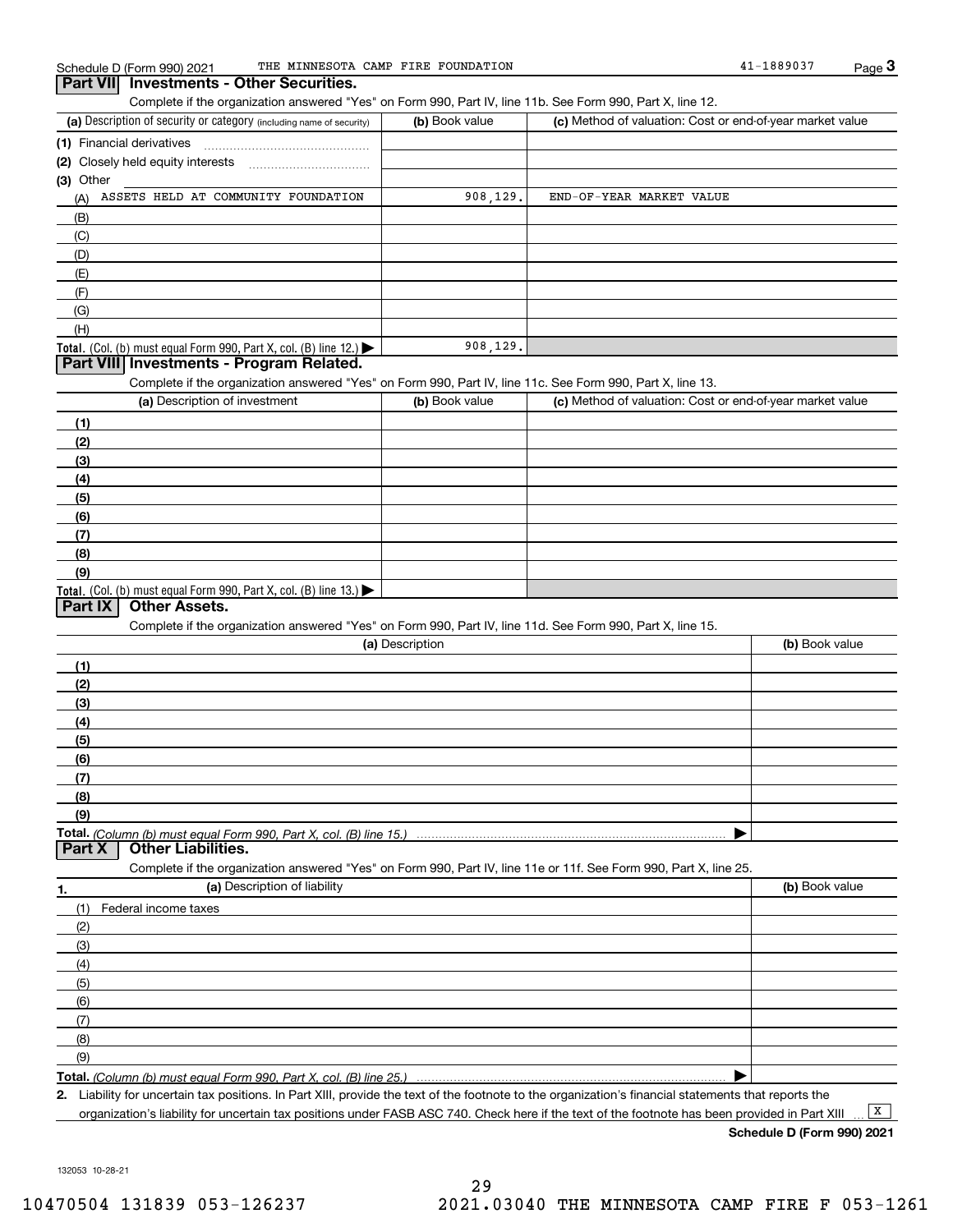Complete if the organization answered "Yes" on Form 990, Part IV, line 11b. See Form 990, Part X, line 12.

| (a) Description of security or category (including name of security)       | (b) Book value | (c) Method of valuation: Cost or end-of-year market value |
|----------------------------------------------------------------------------|----------------|-----------------------------------------------------------|
| (1) Financial derivatives                                                  |                |                                                           |
| (2) Closely held equity interests                                          |                |                                                           |
| (3) Other                                                                  |                |                                                           |
| ASSETS HELD AT COMMUNITY FOUNDATION<br>(A)                                 | 908, 129.      | END-OF-YEAR MARKET VALUE                                  |
| (B)                                                                        |                |                                                           |
| (C)                                                                        |                |                                                           |
| (D)                                                                        |                |                                                           |
| (E)                                                                        |                |                                                           |
| (F)                                                                        |                |                                                           |
| (G)                                                                        |                |                                                           |
| (H)                                                                        |                |                                                           |
| <b>Total.</b> (Col. (b) must equal Form 990, Part X, col. (B) line $12$ .) | 908, 129.      |                                                           |

### **Part VIII Investments - Program Related.**

Complete if the organization answered "Yes" on Form 990, Part IV, line 11c. See Form 990, Part X, line 13.

| (a) Description of investment                                       | (b) Book value | (c) Method of valuation: Cost or end-of-year market value |
|---------------------------------------------------------------------|----------------|-----------------------------------------------------------|
| (1)                                                                 |                |                                                           |
| (2)                                                                 |                |                                                           |
| (3)                                                                 |                |                                                           |
| (4)                                                                 |                |                                                           |
| $\frac{1}{2}$                                                       |                |                                                           |
| (6)                                                                 |                |                                                           |
| (7)                                                                 |                |                                                           |
| (8)                                                                 |                |                                                           |
| (9)                                                                 |                |                                                           |
| Total. (Col. (b) must equal Form 990, Part X, col. (B) line $13.$ ) |                |                                                           |

### **Part IX Other Assets.**

Complete if the organization answered "Yes" on Form 990, Part IV, line 11d. See Form 990, Part X, line 15.

| (a) Description                    | (b) Book value |
|------------------------------------|----------------|
|                                    |                |
| (2)                                |                |
| (3)                                |                |
| (4)                                |                |
| (5)                                |                |
| (6)                                |                |
|                                    |                |
| (8)                                |                |
| (9)                                |                |
|                                    |                |
| <b>Part X</b>   Other Liabilities. |                |

Complete if the organization answered "Yes" on Form 990, Part IV, line 11e or 11f. See Form 990, Part X, line 25.

| 1.            | (a) Description of liability | (b) Book value |
|---------------|------------------------------|----------------|
| (1)           | Federal income taxes         |                |
| (2)           |                              |                |
| $\frac{1}{2}$ |                              |                |
| (4)           |                              |                |
| (5)           |                              |                |
| (6)           |                              |                |
| (7)           |                              |                |
| (8)           |                              |                |
| (9)           |                              |                |
|               |                              |                |

**Total.**  *(Column (b) must equal Form 990, Part X, col. (B) line 25.)* 

**2.**Liability for uncertain tax positions. In Part XIII, provide the text of the footnote to the organization's financial statements that reports the organization's liability for uncertain tax positions under FASB ASC 740. Check here if the text of the footnote has been provided in Part XIII

**Schedule D (Form 990) 2021**

 $\boxed{\mathbf{X}}$ 

<sup>132053 10-28-21</sup>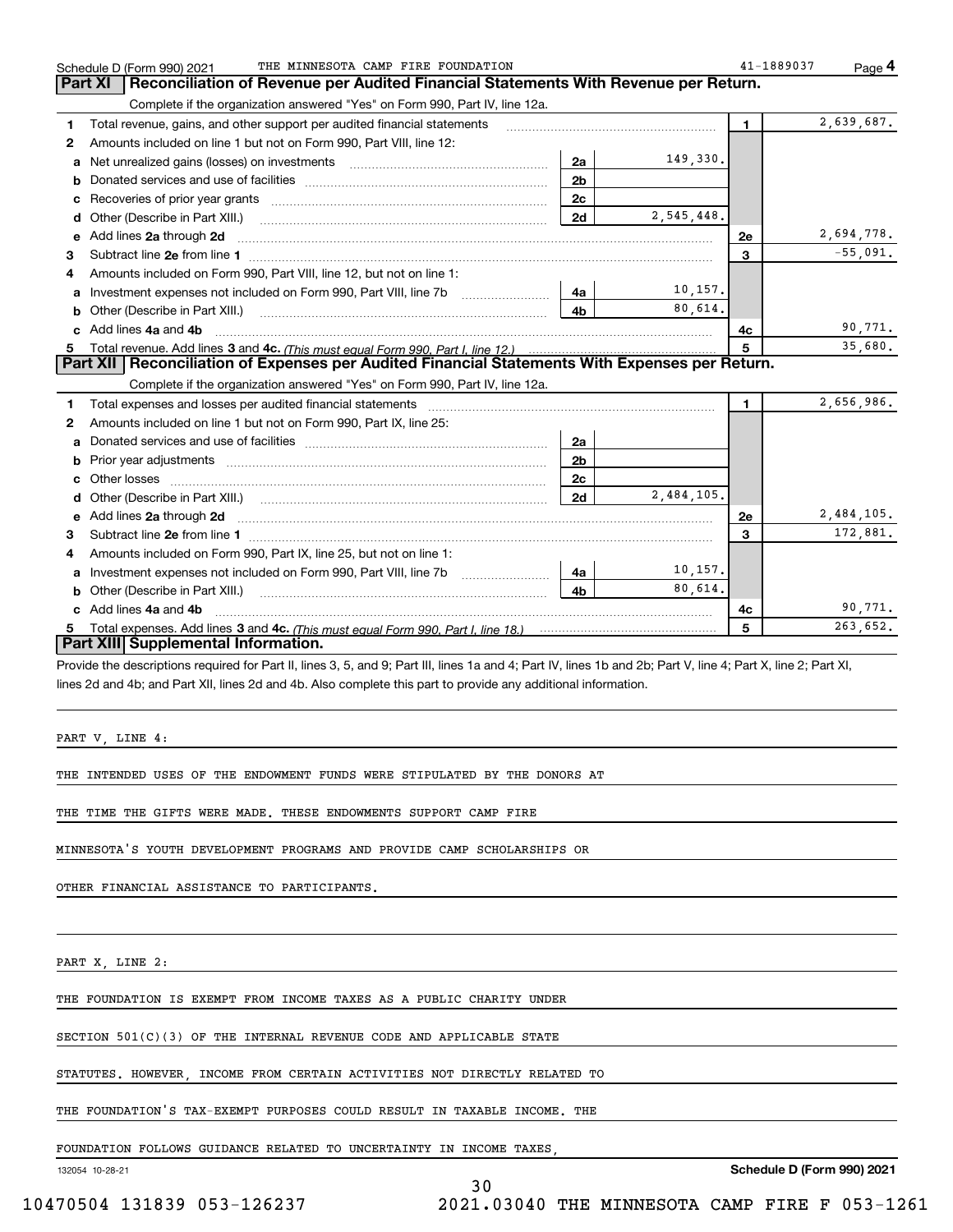|         | THE MINNESOTA CAMP FIRE FOUNDATION<br>Schedule D (Form 990) 2021                                                                                               |                |            | 41-1889037   | Page 4     |
|---------|----------------------------------------------------------------------------------------------------------------------------------------------------------------|----------------|------------|--------------|------------|
| Part XI | Reconciliation of Revenue per Audited Financial Statements With Revenue per Return.                                                                            |                |            |              |            |
|         | Complete if the organization answered "Yes" on Form 990, Part IV, line 12a.                                                                                    |                |            |              |            |
| 1       | Total revenue, gains, and other support per audited financial statements                                                                                       |                |            | $\mathbf{1}$ | 2,639,687. |
| 2       | Amounts included on line 1 but not on Form 990, Part VIII, line 12:                                                                                            |                |            |              |            |
| a       | Net unrealized gains (losses) on investments [11] matter contracts and the unrealized gains (losses) on investments                                            | 2a             | 149,330.   |              |            |
| b       |                                                                                                                                                                | 2 <sub>b</sub> |            |              |            |
| c       |                                                                                                                                                                | 2 <sub>c</sub> |            |              |            |
| d       |                                                                                                                                                                | 2d             | 2,545,448. |              |            |
| е       | Add lines 2a through 2d                                                                                                                                        |                |            | 2e           | 2,694,778. |
| 3       |                                                                                                                                                                |                |            | 3            | $-55,091.$ |
| 4       | Amounts included on Form 990. Part VIII. line 12, but not on line 1:                                                                                           |                |            |              |            |
| a       | Investment expenses not included on Form 990, Part VIII, line 7b                                                                                               | 4a             | 10, 157.   |              |            |
| b       |                                                                                                                                                                | 4 <sub>b</sub> | 80.614.    |              |            |
| C.      | Add lines 4a and 4b                                                                                                                                            |                |            | 4с.          | 90,771.    |
| 5.      |                                                                                                                                                                |                |            | 5            | 35,680.    |
|         | Part XII   Reconciliation of Expenses per Audited Financial Statements With Expenses per Return.                                                               |                |            |              |            |
|         | Complete if the organization answered "Yes" on Form 990, Part IV, line 12a.                                                                                    |                |            |              |            |
| 1       | Total expenses and losses per audited financial statements                                                                                                     |                |            | $\mathbf{1}$ | 2,656,986. |
| 2       | Amounts included on line 1 but not on Form 990, Part IX, line 25:                                                                                              |                |            |              |            |
| a       |                                                                                                                                                                | 2a             |            |              |            |
| b       |                                                                                                                                                                | 2 <sub>b</sub> |            |              |            |
| c       |                                                                                                                                                                | 2c             |            |              |            |
| d       |                                                                                                                                                                | 2d             | 2,484,105. |              |            |
| е       | Add lines 2a through 2d <b>must be a constructed as the constant of the constant of the constant of the construction</b>                                       |                |            | <b>2e</b>    | 2,484,105. |
| 3       |                                                                                                                                                                |                |            | 3            | 172,881.   |
| 4       | Amounts included on Form 990, Part IX, line 25, but not on line 1:                                                                                             |                |            |              |            |
| a       |                                                                                                                                                                | 4a             | 10, 157.   |              |            |
| b       | Other (Describe in Part XIII.) <b>Construction Contract Construction</b> Chemistry Chemistry Chemistry Chemistry Chemistry                                     | 4 <sub>b</sub> | 80.614.    |              |            |
|         | Add lines 4a and 4b                                                                                                                                            |                |            | 4с           | 90,771.    |
| 5.      |                                                                                                                                                                |                |            | 5            | 263,652.   |
|         | Part XIII Supplemental Information.                                                                                                                            |                |            |              |            |
|         | Provide the descriptions required for Part II, lines 3, 5, and 9; Part III, lines 1a and 4; Part IV, lines 1b and 2b; Part V, line 4; Part X, line 2; Part XI, |                |            |              |            |
|         | lines 2d and 4b; and Part XII, lines 2d and 4b. Also complete this part to provide any additional information.                                                 |                |            |              |            |

30

PART V, LINE 4:

THE INTENDED USES OF THE ENDOWMENT FUNDS WERE STIPULATED BY THE DONORS AT

THE TIME THE GIFTS WERE MADE. THESE ENDOWMENTS SUPPORT CAMP FIRE

MINNESOTA'S YOUTH DEVELOPMENT PROGRAMS AND PROVIDE CAMP SCHOLARSHIPS OR

OTHER FINANCIAL ASSISTANCE TO PARTICIPANTS.

PART X, LINE 2:

THE FOUNDATION IS EXEMPT FROM INCOME TAXES AS A PUBLIC CHARITY UNDER

SECTION 501(C)(3) OF THE INTERNAL REVENUE CODE AND APPLICABLE STATE

STATUTES. HOWEVER, INCOME FROM CERTAIN ACTIVITIES NOT DIRECTLY RELATED TO

THE FOUNDATION'S TAX-EXEMPT PURPOSES COULD RESULT IN TAXABLE INCOME. THE

FOUNDATION FOLLOWS GUIDANCE RELATED TO UNCERTAINTY IN INCOME TAXES,

132054 10-28-21

**Schedule D (Form 990) 2021**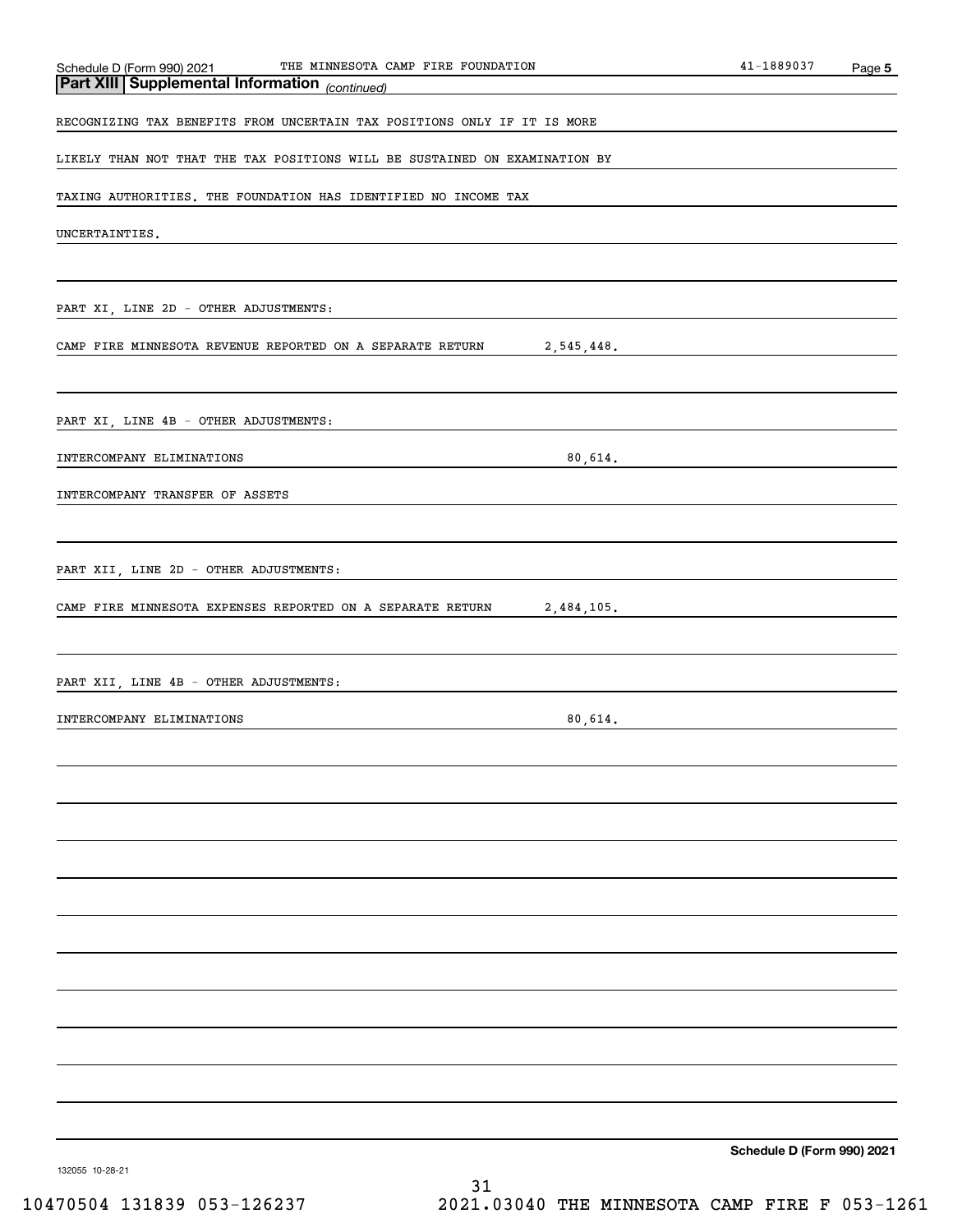| THE MINNESOTA CAMP FIRE FOUNDATION<br>Schedule D (Form 990) 2021           |         | 41-1889037 | Page 5 |
|----------------------------------------------------------------------------|---------|------------|--------|
| Part XIII Supplemental Information (continued)                             |         |            |        |
| RECOGNIZING TAX BENEFITS FROM UNCERTAIN TAX POSITIONS ONLY IF IT IS MORE   |         |            |        |
| LIKELY THAN NOT THAT THE TAX POSITIONS WILL BE SUSTAINED ON EXAMINATION BY |         |            |        |
| TAXING AUTHORITIES. THE FOUNDATION HAS IDENTIFIED NO INCOME TAX            |         |            |        |
| UNCERTAINTIES.                                                             |         |            |        |
|                                                                            |         |            |        |
| PART XI, LINE 2D - OTHER ADJUSTMENTS:                                      |         |            |        |
| 2,545,448.<br>CAMP FIRE MINNESOTA REVENUE REPORTED ON A SEPARATE RETURN    |         |            |        |
| PART XI, LINE 4B - OTHER ADJUSTMENTS:                                      |         |            |        |
| INTERCOMPANY ELIMINATIONS                                                  | 80,614. |            |        |
| INTERCOMPANY TRANSFER OF ASSETS                                            |         |            |        |
| PART XII, LINE 2D - OTHER ADJUSTMENTS:                                     |         |            |        |
| 2,484,105.<br>CAMP FIRE MINNESOTA EXPENSES REPORTED ON A SEPARATE RETURN   |         |            |        |
| PART XII, LINE 4B - OTHER ADJUSTMENTS:                                     |         |            |        |
| INTERCOMPANY ELIMINATIONS                                                  | 80,614. |            |        |
|                                                                            |         |            |        |
|                                                                            |         |            |        |
|                                                                            |         |            |        |
|                                                                            |         |            |        |
|                                                                            |         |            |        |
|                                                                            |         |            |        |
|                                                                            |         |            |        |
|                                                                            |         |            |        |
|                                                                            |         |            |        |

**Schedule D (Form 990) 2021**

132055 10-28-21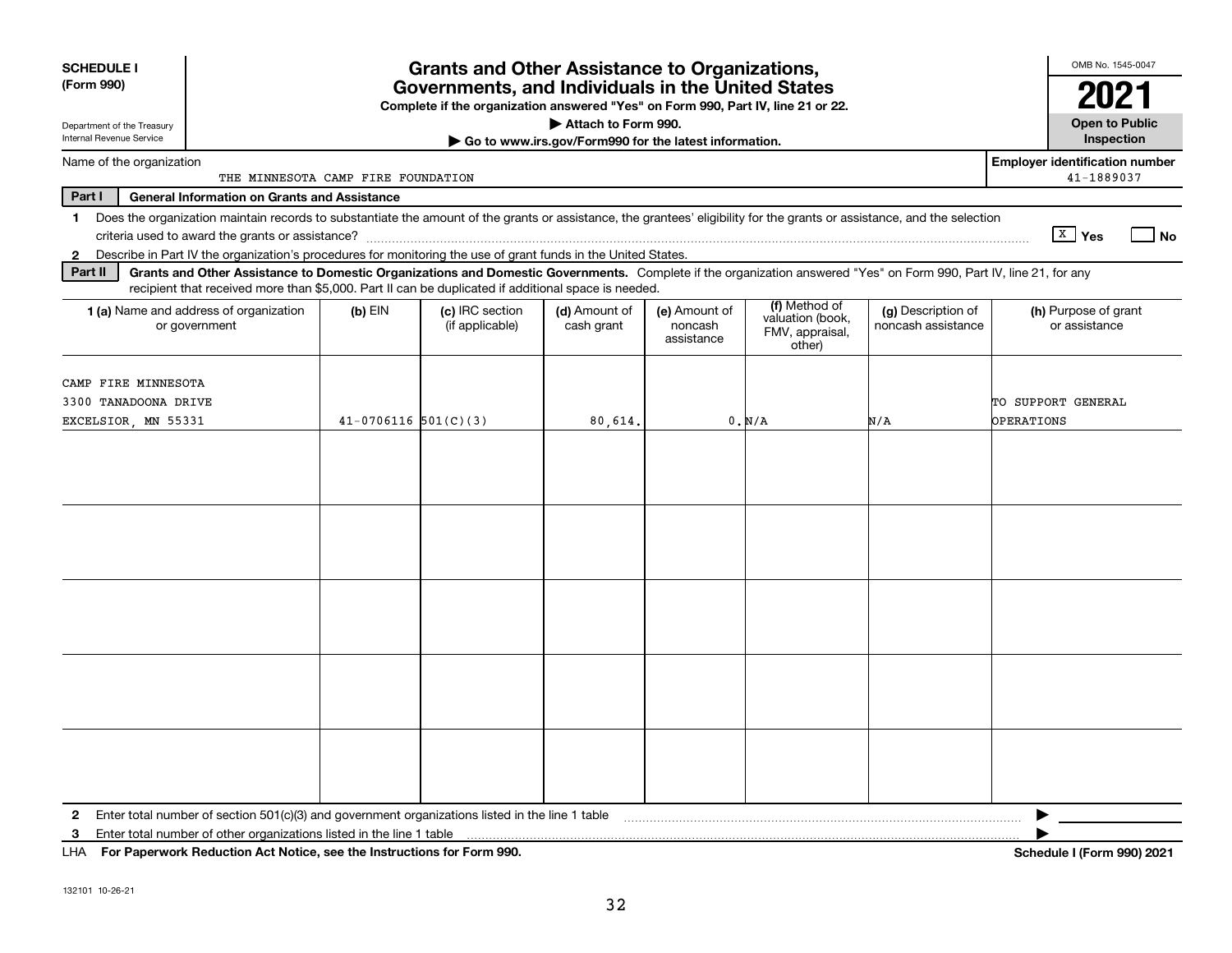| <b>SCHEDULE I</b><br>(Form 990)<br>Department of the Treasury                                                                                                                                                                                                                                                                                                                                                                                                                                                                                                                                           | <b>Grants and Other Assistance to Organizations,</b><br>Governments, and Individuals in the United States<br>Complete if the organization answered "Yes" on Form 990, Part IV, line 21 or 22.<br>Attach to Form 990. |                                    |                                                       |                                        |                                                                |                                          |                                                     |  |  |  |  |  |
|---------------------------------------------------------------------------------------------------------------------------------------------------------------------------------------------------------------------------------------------------------------------------------------------------------------------------------------------------------------------------------------------------------------------------------------------------------------------------------------------------------------------------------------------------------------------------------------------------------|----------------------------------------------------------------------------------------------------------------------------------------------------------------------------------------------------------------------|------------------------------------|-------------------------------------------------------|----------------------------------------|----------------------------------------------------------------|------------------------------------------|-----------------------------------------------------|--|--|--|--|--|
| Internal Revenue Service                                                                                                                                                                                                                                                                                                                                                                                                                                                                                                                                                                                |                                                                                                                                                                                                                      |                                    | Go to www.irs.gov/Form990 for the latest information. |                                        |                                                                |                                          | Inspection                                          |  |  |  |  |  |
| Name of the organization                                                                                                                                                                                                                                                                                                                                                                                                                                                                                                                                                                                | THE MINNESOTA CAMP FIRE FOUNDATION                                                                                                                                                                                   |                                    |                                                       |                                        |                                                                |                                          | <b>Employer identification number</b><br>41-1889037 |  |  |  |  |  |
| Part I<br><b>General Information on Grants and Assistance</b>                                                                                                                                                                                                                                                                                                                                                                                                                                                                                                                                           |                                                                                                                                                                                                                      |                                    |                                                       |                                        |                                                                |                                          |                                                     |  |  |  |  |  |
| Does the organization maintain records to substantiate the amount of the grants or assistance, the grantees' eligibility for the grants or assistance, and the selection<br>1.<br>Describe in Part IV the organization's procedures for monitoring the use of grant funds in the United States.<br>$\mathbf{2}$<br>Part II<br>Grants and Other Assistance to Domestic Organizations and Domestic Governments. Complete if the organization answered "Yes" on Form 990, Part IV, line 21, for any<br>recipient that received more than \$5,000. Part II can be duplicated if additional space is needed. |                                                                                                                                                                                                                      |                                    |                                                       |                                        |                                                                |                                          | $\sqrt{X}$ Yes<br>  No                              |  |  |  |  |  |
| 1 (a) Name and address of organization<br>or government                                                                                                                                                                                                                                                                                                                                                                                                                                                                                                                                                 | $(b)$ EIN                                                                                                                                                                                                            | (c) IRC section<br>(if applicable) | (d) Amount of<br>cash grant                           | (e) Amount of<br>noncash<br>assistance | (f) Method of<br>valuation (book,<br>FMV, appraisal,<br>other) | (g) Description of<br>noncash assistance | (h) Purpose of grant<br>or assistance               |  |  |  |  |  |
| CAMP FIRE MINNESOTA<br>3300 TANADOONA DRIVE<br>EXCELSIOR, MN 55331                                                                                                                                                                                                                                                                                                                                                                                                                                                                                                                                      | $41 - 0706116$ $501(C)(3)$                                                                                                                                                                                           |                                    | 80,614.                                               |                                        | 0. N/A                                                         | N/A                                      | TO SUPPORT GENERAL<br><b>OPERATIONS</b>             |  |  |  |  |  |
|                                                                                                                                                                                                                                                                                                                                                                                                                                                                                                                                                                                                         |                                                                                                                                                                                                                      |                                    |                                                       |                                        |                                                                |                                          |                                                     |  |  |  |  |  |
|                                                                                                                                                                                                                                                                                                                                                                                                                                                                                                                                                                                                         |                                                                                                                                                                                                                      |                                    |                                                       |                                        |                                                                |                                          |                                                     |  |  |  |  |  |
|                                                                                                                                                                                                                                                                                                                                                                                                                                                                                                                                                                                                         |                                                                                                                                                                                                                      |                                    |                                                       |                                        |                                                                |                                          |                                                     |  |  |  |  |  |
|                                                                                                                                                                                                                                                                                                                                                                                                                                                                                                                                                                                                         |                                                                                                                                                                                                                      |                                    |                                                       |                                        |                                                                |                                          |                                                     |  |  |  |  |  |
|                                                                                                                                                                                                                                                                                                                                                                                                                                                                                                                                                                                                         |                                                                                                                                                                                                                      |                                    |                                                       |                                        |                                                                |                                          |                                                     |  |  |  |  |  |
| Enter total number of section 501(c)(3) and government organizations listed in the line 1 table<br>2<br>Enter total number of other organizations listed in the line 1 table<br>3<br>For Paperwork Reduction Act Notice, see the Instructions for Form 990.<br>LHA                                                                                                                                                                                                                                                                                                                                      |                                                                                                                                                                                                                      |                                    |                                                       |                                        |                                                                |                                          | Schedule I (Form 990) 2021                          |  |  |  |  |  |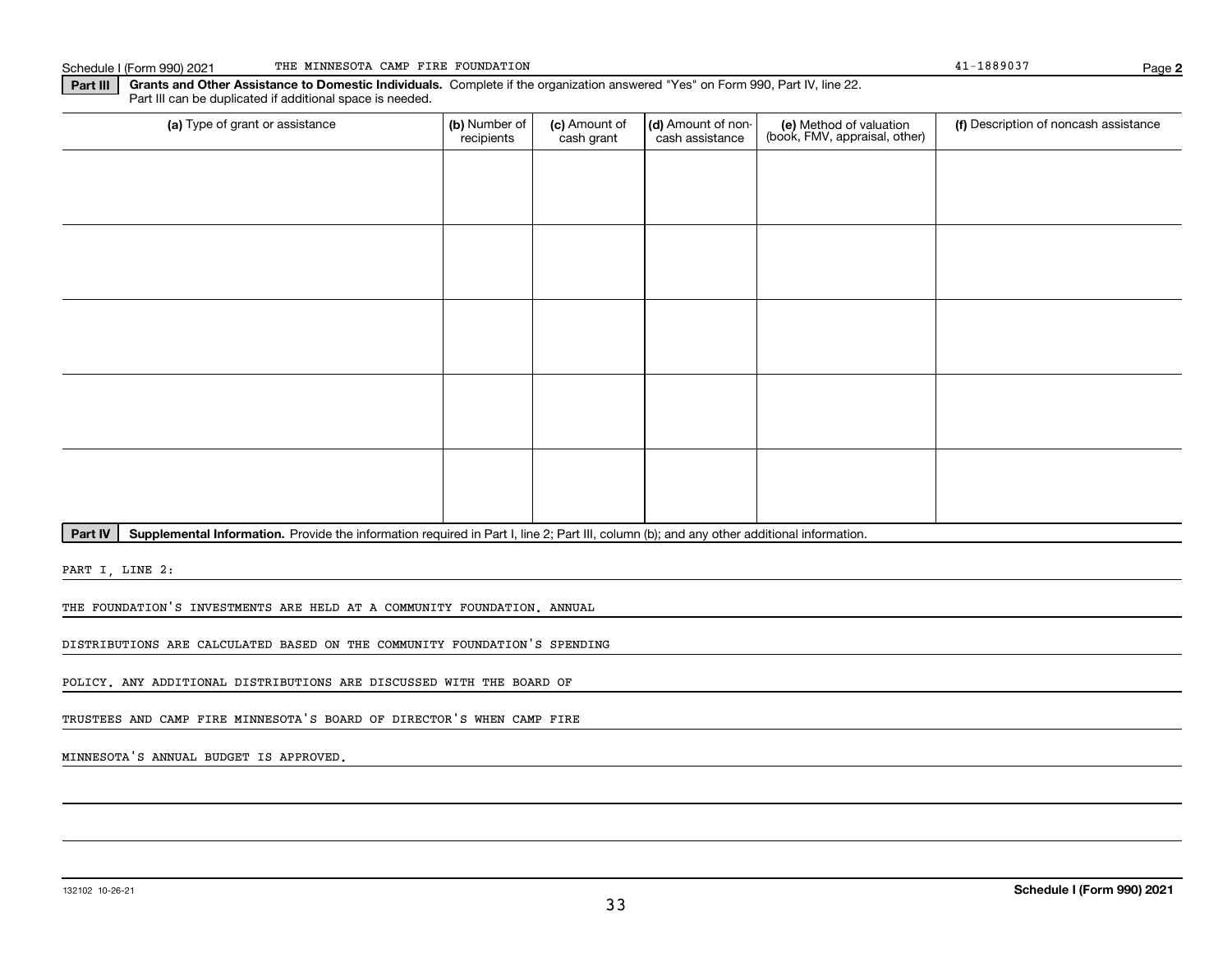Schedule I (Form 990) 2021 Page THE MINNESOTA CAMP FIRE FOUNDATION 41-1889037

**2**

**Part III Grants and Other Assistance to Domestic Individuals.**  Complete if the organization answered "Yes" on Form 990, Part IV, line 22. Part III can be duplicated if additional space is needed.

| (a) Type of grant or assistance | (b) Number of<br>recipients | (c) Amount of<br>cash grant | (d) Amount of non-<br>cash assistance | (e) Method of valuation<br>(book, FMV, appraisal, other) | (f) Description of noncash assistance |
|---------------------------------|-----------------------------|-----------------------------|---------------------------------------|----------------------------------------------------------|---------------------------------------|
|                                 |                             |                             |                                       |                                                          |                                       |
|                                 |                             |                             |                                       |                                                          |                                       |
|                                 |                             |                             |                                       |                                                          |                                       |
|                                 |                             |                             |                                       |                                                          |                                       |
|                                 |                             |                             |                                       |                                                          |                                       |
|                                 |                             |                             |                                       |                                                          |                                       |
|                                 |                             |                             |                                       |                                                          |                                       |
|                                 |                             |                             |                                       |                                                          |                                       |
|                                 |                             |                             |                                       |                                                          |                                       |
|                                 |                             |                             |                                       |                                                          |                                       |

Part IV | Supplemental Information. Provide the information required in Part I, line 2; Part III, column (b); and any other additional information.

PART I, LINE 2:

THE FOUNDATION'S INVESTMENTS ARE HELD AT A COMMUNITY FOUNDATION. ANNUAL

DISTRIBUTIONS ARE CALCULATED BASED ON THE COMMUNITY FOUNDATION'S SPENDING

POLICY. ANY ADDITIONAL DISTRIBUTIONS ARE DISCUSSED WITH THE BOARD OF

TRUSTEES AND CAMP FIRE MINNESOTA'S BOARD OF DIRECTOR'S WHEN CAMP FIRE

MINNESOTA'S ANNUAL BUDGET IS APPROVED.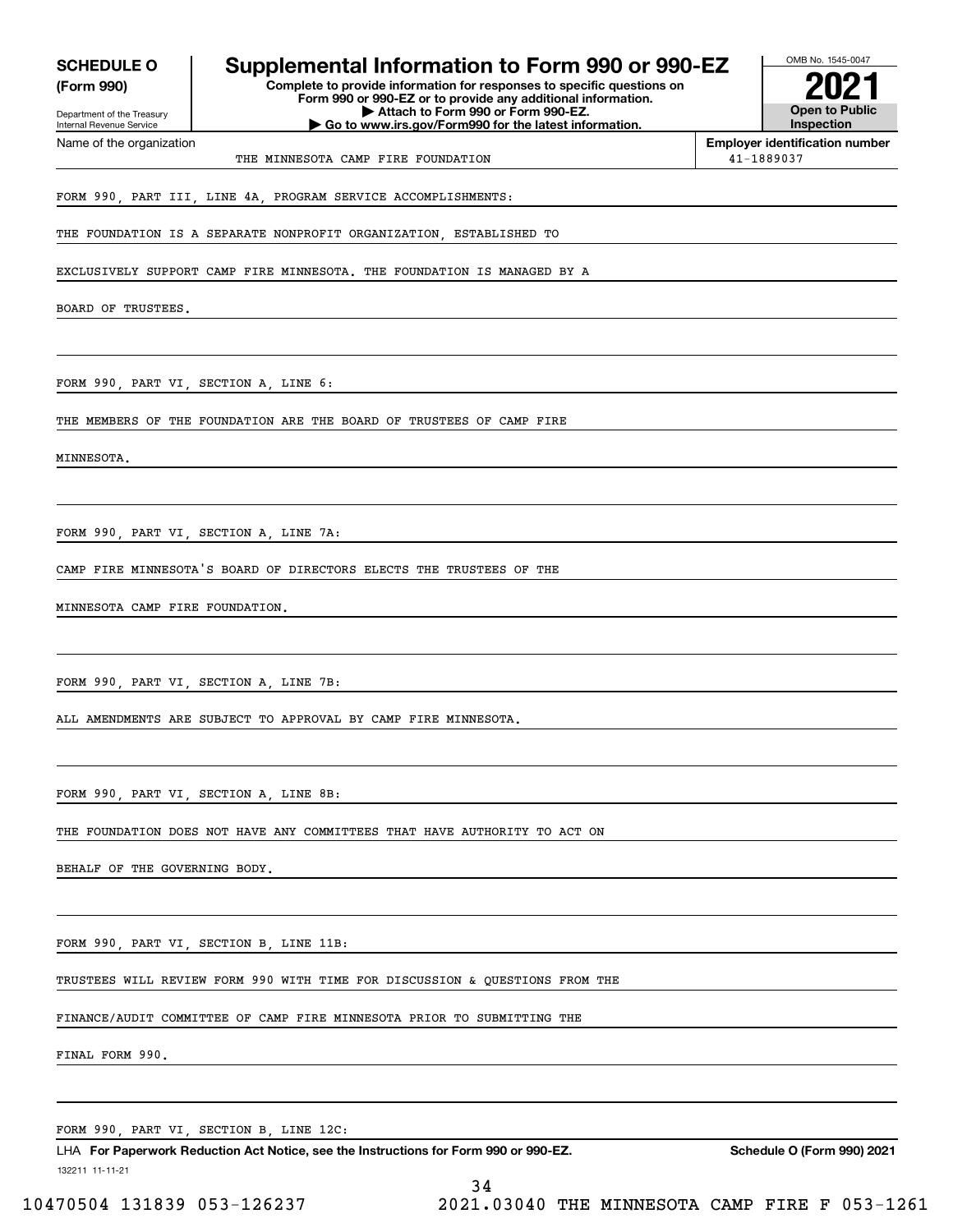| <b>SCHEDULE O</b><br>(Form 990)<br>Department of the Treasury | Supplemental Information to Form 990 or 990-EZ<br>Complete to provide information for responses to specific questions on<br>Form 990 or 990-EZ or to provide any additional information.<br>Attach to Form 990 or Form 990-EZ. | OMB No. 1545-0047<br><b>Open to Public</b>          |
|---------------------------------------------------------------|--------------------------------------------------------------------------------------------------------------------------------------------------------------------------------------------------------------------------------|-----------------------------------------------------|
| Internal Revenue Service                                      | Go to www.irs.gov/Form990 for the latest information.                                                                                                                                                                          | <b>Inspection</b>                                   |
| Name of the organization                                      | THE MINNESOTA CAMP FIRE FOUNDATION                                                                                                                                                                                             | <b>Employer identification number</b><br>41-1889037 |
|                                                               | FORM 990, PART III, LINE 4A, PROGRAM SERVICE ACCOMPLISHMENTS:                                                                                                                                                                  |                                                     |
|                                                               | THE FOUNDATION IS A SEPARATE NONPROFIT ORGANIZATION, ESTABLISHED TO                                                                                                                                                            |                                                     |
|                                                               | EXCLUSIVELY SUPPORT CAMP FIRE MINNESOTA. THE FOUNDATION IS MANAGED BY A                                                                                                                                                        |                                                     |
| BOARD OF TRUSTEES.                                            |                                                                                                                                                                                                                                |                                                     |
|                                                               |                                                                                                                                                                                                                                |                                                     |
| FORM 990, PART VI, SECTION A, LINE 6:                         |                                                                                                                                                                                                                                |                                                     |
|                                                               | THE MEMBERS OF THE FOUNDATION ARE THE BOARD OF TRUSTEES OF CAMP FIRE                                                                                                                                                           |                                                     |
| MINNESOTA.                                                    |                                                                                                                                                                                                                                |                                                     |
|                                                               |                                                                                                                                                                                                                                |                                                     |
|                                                               |                                                                                                                                                                                                                                |                                                     |
|                                                               | FORM 990, PART VI, SECTION A, LINE 7A:                                                                                                                                                                                         |                                                     |
|                                                               | CAMP FIRE MINNESOTA'S BOARD OF DIRECTORS ELECTS THE TRUSTEES OF THE                                                                                                                                                            |                                                     |
| MINNESOTA CAMP FIRE FOUNDATION.                               |                                                                                                                                                                                                                                |                                                     |
|                                                               |                                                                                                                                                                                                                                |                                                     |
|                                                               | FORM 990, PART VI, SECTION A, LINE 7B:                                                                                                                                                                                         |                                                     |
|                                                               | ALL AMENDMENTS ARE SUBJECT TO APPROVAL BY CAMP FIRE MINNESOTA.                                                                                                                                                                 |                                                     |
|                                                               |                                                                                                                                                                                                                                |                                                     |
|                                                               | FORM 990, PART VI, SECTION A, LINE 8B:                                                                                                                                                                                         |                                                     |
|                                                               | THE FOUNDATION DOES NOT HAVE ANY COMMITTEES THAT HAVE AUTHORITY TO ACT ON                                                                                                                                                      |                                                     |
|                                                               |                                                                                                                                                                                                                                |                                                     |
| BEHALF OF THE GOVERNING BODY.                                 |                                                                                                                                                                                                                                |                                                     |
|                                                               | FORM 990, PART VI, SECTION B, LINE 11B:                                                                                                                                                                                        |                                                     |
|                                                               | TRUSTEES WILL REVIEW FORM 990 WITH TIME FOR DISCUSSION & QUESTIONS FROM THE                                                                                                                                                    |                                                     |
|                                                               | FINANCE/AUDIT COMMITTEE OF CAMP FIRE MINNESOTA PRIOR TO SUBMITTING THE                                                                                                                                                         |                                                     |
| FINAL FORM 990.                                               |                                                                                                                                                                                                                                |                                                     |
|                                                               |                                                                                                                                                                                                                                |                                                     |
|                                                               | FORM 990, PART VI, SECTION B, LINE 12C:                                                                                                                                                                                        |                                                     |

132211 11-11-21 LHA For Paperwork Reduction Act Notice, see the Instructions for Form 990 or 990-EZ. Schedule O (Form 990) 2021 34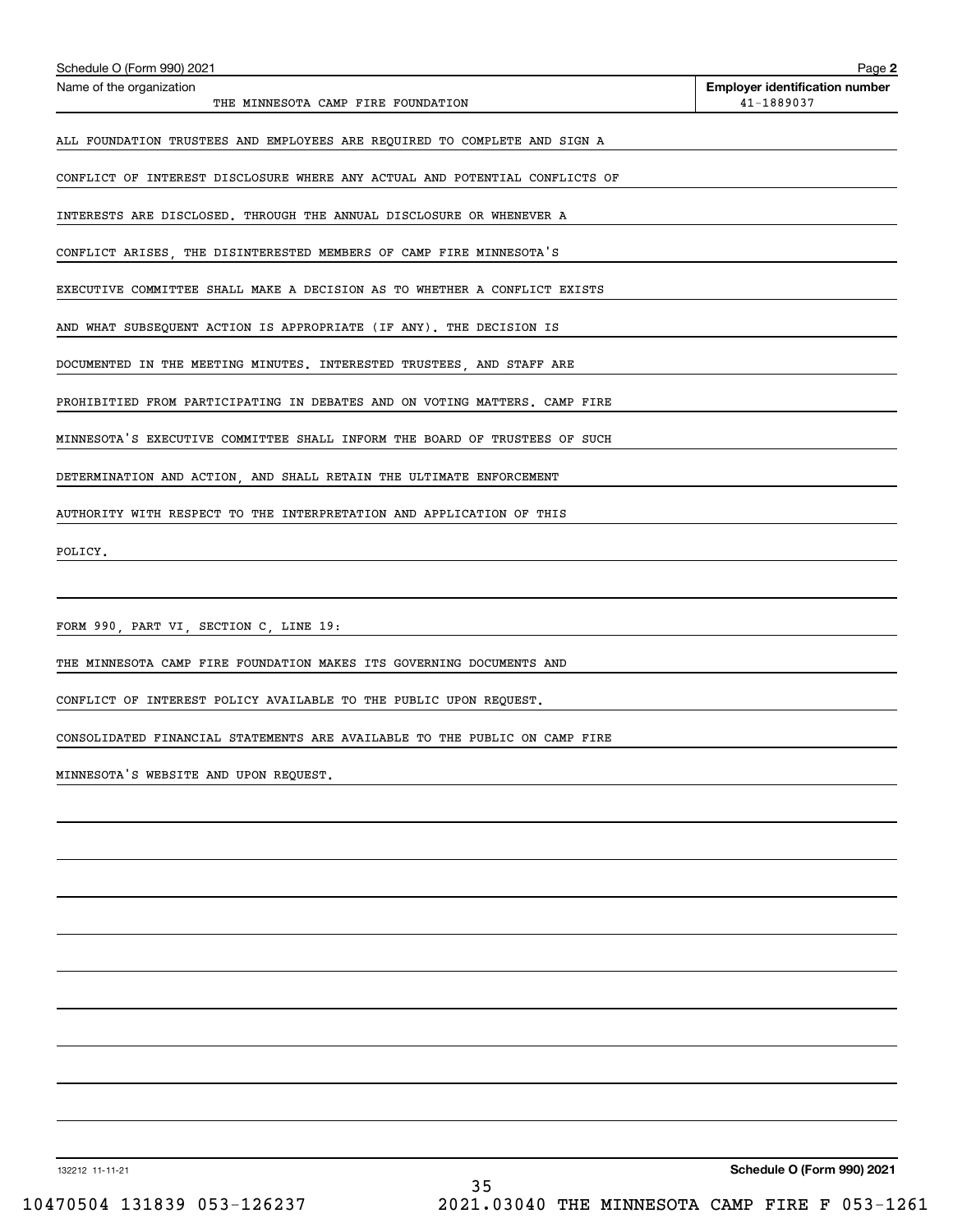| Name of the organization<br><b>Employer identification number</b><br>41-1889037<br>THE MINNESOTA CAMP FIRE FOUNDATION<br>ALL FOUNDATION TRUSTEES AND EMPLOYEES ARE REQUIRED TO COMPLETE AND SIGN A<br>CONFLICT OF INTEREST DISCLOSURE WHERE ANY ACTUAL AND POTENTIAL CONFLICTS OF<br>INTERESTS ARE DISCLOSED. THROUGH THE ANNUAL DISCLOSURE OR WHENEVER A<br>CONFLICT ARISES, THE DISINTERESTED MEMBERS OF CAMP FIRE MINNESOTA'S<br>EXECUTIVE COMMITTEE SHALL MAKE A DECISION AS TO WHETHER A CONFLICT EXISTS<br>AND WHAT SUBSEQUENT ACTION IS APPROPRIATE (IF ANY). THE DECISION IS<br>DOCUMENTED IN THE MEETING MINUTES. INTERESTED TRUSTEES, AND STAFF ARE<br>PROHIBITIED FROM PARTICIPATING IN DEBATES AND ON VOTING MATTERS. CAMP FIRE<br>MINNESOTA'S EXECUTIVE COMMITTEE SHALL INFORM THE BOARD OF TRUSTEES OF SUCH<br>DETERMINATION AND ACTION, AND SHALL RETAIN THE ULTIMATE ENFORCEMENT<br>AUTHORITY WITH RESPECT TO THE INTERPRETATION AND APPLICATION OF THIS<br>POLICY.<br>FORM 990, PART VI, SECTION C, LINE 19:<br>THE MINNESOTA CAMP FIRE FOUNDATION MAKES ITS GOVERNING DOCUMENTS AND<br>CONFLICT OF INTEREST POLICY AVAILABLE TO THE PUBLIC UPON REQUEST.<br>CONSOLIDATED FINANCIAL STATEMENTS ARE AVAILABLE TO THE PUBLIC ON CAMP FIRE<br>MINNESOTA'S WEBSITE AND UPON REQUEST. | Schedule O (Form 990) 2021 | Page 2 |
|---------------------------------------------------------------------------------------------------------------------------------------------------------------------------------------------------------------------------------------------------------------------------------------------------------------------------------------------------------------------------------------------------------------------------------------------------------------------------------------------------------------------------------------------------------------------------------------------------------------------------------------------------------------------------------------------------------------------------------------------------------------------------------------------------------------------------------------------------------------------------------------------------------------------------------------------------------------------------------------------------------------------------------------------------------------------------------------------------------------------------------------------------------------------------------------------------------------------------------------------------------------------------------------------------|----------------------------|--------|
|                                                                                                                                                                                                                                                                                                                                                                                                                                                                                                                                                                                                                                                                                                                                                                                                                                                                                                                                                                                                                                                                                                                                                                                                                                                                                                   |                            |        |
|                                                                                                                                                                                                                                                                                                                                                                                                                                                                                                                                                                                                                                                                                                                                                                                                                                                                                                                                                                                                                                                                                                                                                                                                                                                                                                   |                            |        |
|                                                                                                                                                                                                                                                                                                                                                                                                                                                                                                                                                                                                                                                                                                                                                                                                                                                                                                                                                                                                                                                                                                                                                                                                                                                                                                   |                            |        |
|                                                                                                                                                                                                                                                                                                                                                                                                                                                                                                                                                                                                                                                                                                                                                                                                                                                                                                                                                                                                                                                                                                                                                                                                                                                                                                   |                            |        |
|                                                                                                                                                                                                                                                                                                                                                                                                                                                                                                                                                                                                                                                                                                                                                                                                                                                                                                                                                                                                                                                                                                                                                                                                                                                                                                   |                            |        |
|                                                                                                                                                                                                                                                                                                                                                                                                                                                                                                                                                                                                                                                                                                                                                                                                                                                                                                                                                                                                                                                                                                                                                                                                                                                                                                   |                            |        |
|                                                                                                                                                                                                                                                                                                                                                                                                                                                                                                                                                                                                                                                                                                                                                                                                                                                                                                                                                                                                                                                                                                                                                                                                                                                                                                   |                            |        |
|                                                                                                                                                                                                                                                                                                                                                                                                                                                                                                                                                                                                                                                                                                                                                                                                                                                                                                                                                                                                                                                                                                                                                                                                                                                                                                   |                            |        |
|                                                                                                                                                                                                                                                                                                                                                                                                                                                                                                                                                                                                                                                                                                                                                                                                                                                                                                                                                                                                                                                                                                                                                                                                                                                                                                   |                            |        |
|                                                                                                                                                                                                                                                                                                                                                                                                                                                                                                                                                                                                                                                                                                                                                                                                                                                                                                                                                                                                                                                                                                                                                                                                                                                                                                   |                            |        |
|                                                                                                                                                                                                                                                                                                                                                                                                                                                                                                                                                                                                                                                                                                                                                                                                                                                                                                                                                                                                                                                                                                                                                                                                                                                                                                   |                            |        |
|                                                                                                                                                                                                                                                                                                                                                                                                                                                                                                                                                                                                                                                                                                                                                                                                                                                                                                                                                                                                                                                                                                                                                                                                                                                                                                   |                            |        |
|                                                                                                                                                                                                                                                                                                                                                                                                                                                                                                                                                                                                                                                                                                                                                                                                                                                                                                                                                                                                                                                                                                                                                                                                                                                                                                   |                            |        |
|                                                                                                                                                                                                                                                                                                                                                                                                                                                                                                                                                                                                                                                                                                                                                                                                                                                                                                                                                                                                                                                                                                                                                                                                                                                                                                   |                            |        |
|                                                                                                                                                                                                                                                                                                                                                                                                                                                                                                                                                                                                                                                                                                                                                                                                                                                                                                                                                                                                                                                                                                                                                                                                                                                                                                   |                            |        |
|                                                                                                                                                                                                                                                                                                                                                                                                                                                                                                                                                                                                                                                                                                                                                                                                                                                                                                                                                                                                                                                                                                                                                                                                                                                                                                   |                            |        |
|                                                                                                                                                                                                                                                                                                                                                                                                                                                                                                                                                                                                                                                                                                                                                                                                                                                                                                                                                                                                                                                                                                                                                                                                                                                                                                   |                            |        |
|                                                                                                                                                                                                                                                                                                                                                                                                                                                                                                                                                                                                                                                                                                                                                                                                                                                                                                                                                                                                                                                                                                                                                                                                                                                                                                   |                            |        |
|                                                                                                                                                                                                                                                                                                                                                                                                                                                                                                                                                                                                                                                                                                                                                                                                                                                                                                                                                                                                                                                                                                                                                                                                                                                                                                   |                            |        |
|                                                                                                                                                                                                                                                                                                                                                                                                                                                                                                                                                                                                                                                                                                                                                                                                                                                                                                                                                                                                                                                                                                                                                                                                                                                                                                   |                            |        |
|                                                                                                                                                                                                                                                                                                                                                                                                                                                                                                                                                                                                                                                                                                                                                                                                                                                                                                                                                                                                                                                                                                                                                                                                                                                                                                   |                            |        |
|                                                                                                                                                                                                                                                                                                                                                                                                                                                                                                                                                                                                                                                                                                                                                                                                                                                                                                                                                                                                                                                                                                                                                                                                                                                                                                   |                            |        |
|                                                                                                                                                                                                                                                                                                                                                                                                                                                                                                                                                                                                                                                                                                                                                                                                                                                                                                                                                                                                                                                                                                                                                                                                                                                                                                   |                            |        |
|                                                                                                                                                                                                                                                                                                                                                                                                                                                                                                                                                                                                                                                                                                                                                                                                                                                                                                                                                                                                                                                                                                                                                                                                                                                                                                   |                            |        |
|                                                                                                                                                                                                                                                                                                                                                                                                                                                                                                                                                                                                                                                                                                                                                                                                                                                                                                                                                                                                                                                                                                                                                                                                                                                                                                   |                            |        |
|                                                                                                                                                                                                                                                                                                                                                                                                                                                                                                                                                                                                                                                                                                                                                                                                                                                                                                                                                                                                                                                                                                                                                                                                                                                                                                   |                            |        |
|                                                                                                                                                                                                                                                                                                                                                                                                                                                                                                                                                                                                                                                                                                                                                                                                                                                                                                                                                                                                                                                                                                                                                                                                                                                                                                   |                            |        |

132212 11-11-21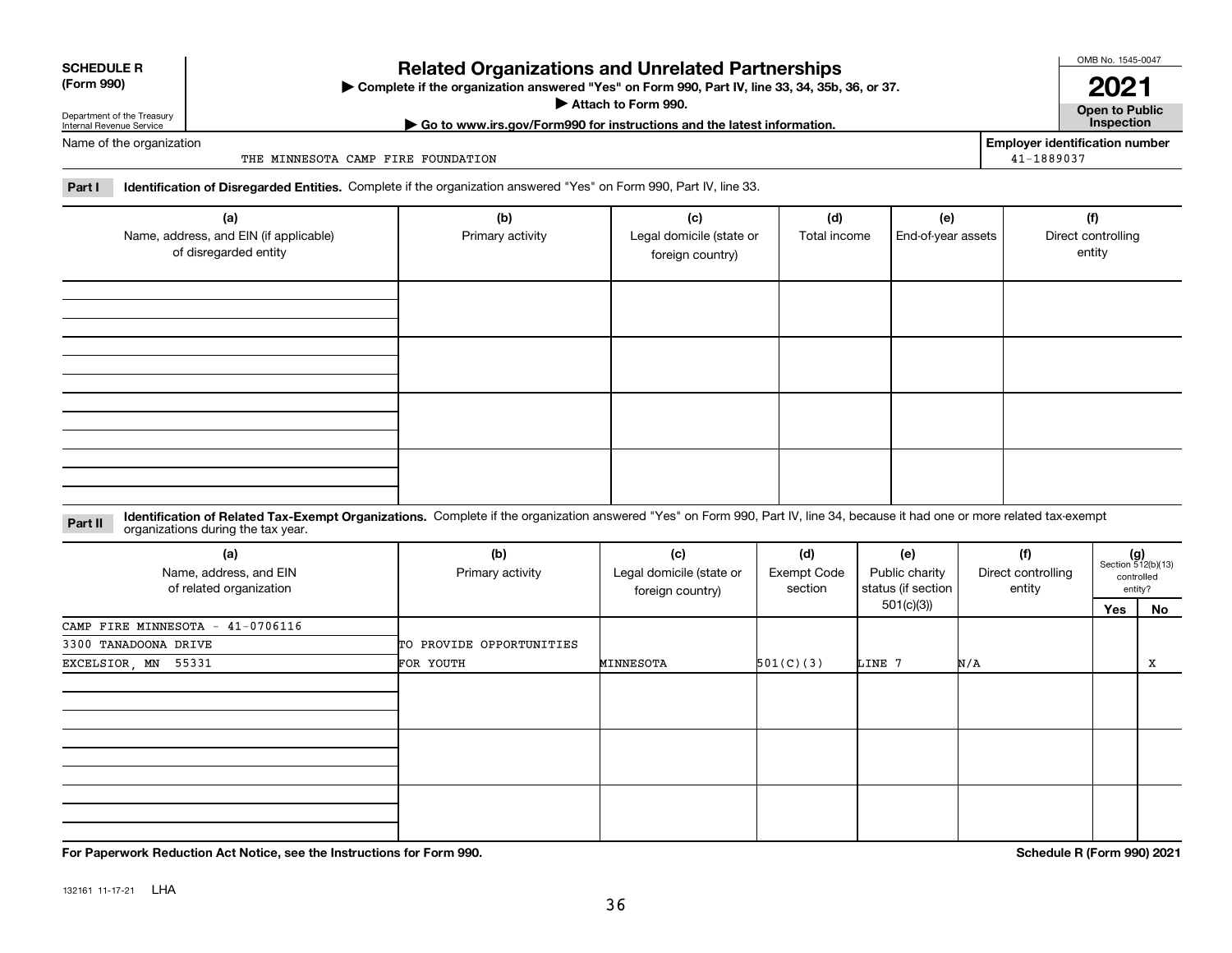| Internal Revenue Service |
|--------------------------|
|                          |

## **Related Organizations and Unrelated Partnerships**

**Complete if the organization answered "Yes" on Form 990, Part IV, line 33, 34, 35b, 36, or 37.** |

**Attach to Form 990.**  |

OMB No. 1545-0047 **2021**

**Open to Public | Go to www.irs.gov/Form990 for instructions and the latest information. Inspection**

**Employer identification number**

41-1889037

Name of the organization

**SCHEDULE R (Form 990)**

THE MINNESOTA CAMP FIRE FOUNDATION

**Part I Identification of Disregarded Entities.**  Complete if the organization answered "Yes" on Form 990, Part IV, line 33.

| (a)<br>Name, address, and EIN (if applicable)<br>of disregarded entity | (b)<br>Primary activity | (c)<br>Legal domicile (state or<br>foreign country) | (d)<br>Total income | (e)<br>End-of-year assets | (f)<br>Direct controlling<br>entity |
|------------------------------------------------------------------------|-------------------------|-----------------------------------------------------|---------------------|---------------------------|-------------------------------------|
|                                                                        |                         |                                                     |                     |                           |                                     |
|                                                                        |                         |                                                     |                     |                           |                                     |
|                                                                        |                         |                                                     |                     |                           |                                     |
|                                                                        |                         |                                                     |                     |                           |                                     |

#### **Identification of Related Tax-Exempt Organizations.** Complete if the organization answered "Yes" on Form 990, Part IV, line 34, because it had one or more related tax-exempt **Part II** organizations during the tax year.

| (a)<br>Name, address, and EIN<br>of related organization | (b)<br>Primary activity  | (c)<br>Legal domicile (state or<br>foreign country) | (d)<br><b>Exempt Code</b><br>section | (e)<br>Public charity<br>status (if section | (f)<br>Direct controlling<br>entity |     | $(g)$<br>Section 512(b)(13)<br>controlled<br>entity? |
|----------------------------------------------------------|--------------------------|-----------------------------------------------------|--------------------------------------|---------------------------------------------|-------------------------------------|-----|------------------------------------------------------|
|                                                          |                          |                                                     |                                      | 501(c)(3))                                  |                                     | Yes | No                                                   |
| CAMP FIRE MINNESOTA - $41-0706116$                       |                          |                                                     |                                      |                                             |                                     |     |                                                      |
| 3300 TANADOONA DRIVE                                     | TO PROVIDE OPPORTUNITIES |                                                     |                                      |                                             |                                     |     |                                                      |
| EXCELSIOR, MN 55331                                      | FOR YOUTH                | MINNESOTA                                           | 501(C)(3)                            | LINE 7                                      | N/A                                 |     | x                                                    |
|                                                          |                          |                                                     |                                      |                                             |                                     |     |                                                      |
|                                                          |                          |                                                     |                                      |                                             |                                     |     |                                                      |
|                                                          |                          |                                                     |                                      |                                             |                                     |     |                                                      |

**For Paperwork Reduction Act Notice, see the Instructions for Form 990. Schedule R (Form 990) 2021**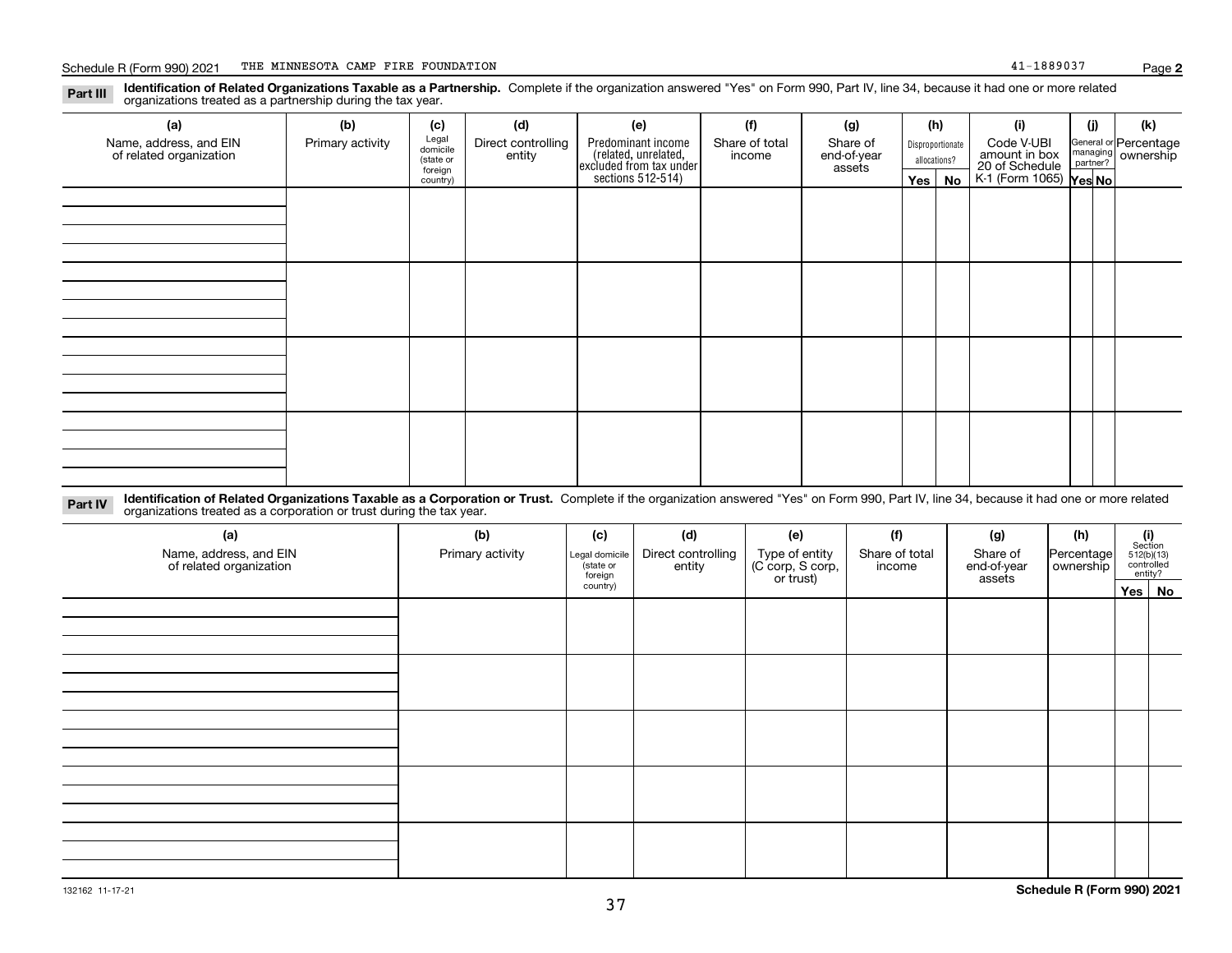**Identification of Related Organizations Taxable as a Partnership.** Complete if the organization answered "Yes" on Form 990, Part IV, line 34, because it had one or more related **Part III** organizations treated as a partnership during the tax year.

| (a)                     | (b)              | (c)                  | (d)                | (e)                                                                 | (f)            | (g)                   |              | (h)              | (i)                                               | (j) | (k)                   |
|-------------------------|------------------|----------------------|--------------------|---------------------------------------------------------------------|----------------|-----------------------|--------------|------------------|---------------------------------------------------|-----|-----------------------|
| Name, address, and EIN  | Primary activity | Legal<br>domicile    | Direct controlling | Predominant income                                                  | Share of total | Share of              |              | Disproportionate | Code V-UBI                                        |     | General or Percentage |
| of related organization |                  | (state or<br>foreign | entity             | related, unrelated,<br>excluded from tax under<br>sections 512-514) | income         | end-of-year<br>assets | allocations? |                  | amount in box                                     |     | managing ownership    |
|                         |                  | country)             |                    |                                                                     |                |                       |              | $Yes \mid No$    | 20 of Schedule Partner?<br>K-1 (Form 1065) Yes No |     |                       |
|                         |                  |                      |                    |                                                                     |                |                       |              |                  |                                                   |     |                       |
|                         |                  |                      |                    |                                                                     |                |                       |              |                  |                                                   |     |                       |
|                         |                  |                      |                    |                                                                     |                |                       |              |                  |                                                   |     |                       |
|                         |                  |                      |                    |                                                                     |                |                       |              |                  |                                                   |     |                       |
|                         |                  |                      |                    |                                                                     |                |                       |              |                  |                                                   |     |                       |
|                         |                  |                      |                    |                                                                     |                |                       |              |                  |                                                   |     |                       |
|                         |                  |                      |                    |                                                                     |                |                       |              |                  |                                                   |     |                       |
|                         |                  |                      |                    |                                                                     |                |                       |              |                  |                                                   |     |                       |
|                         |                  |                      |                    |                                                                     |                |                       |              |                  |                                                   |     |                       |
|                         |                  |                      |                    |                                                                     |                |                       |              |                  |                                                   |     |                       |
|                         |                  |                      |                    |                                                                     |                |                       |              |                  |                                                   |     |                       |
|                         |                  |                      |                    |                                                                     |                |                       |              |                  |                                                   |     |                       |
|                         |                  |                      |                    |                                                                     |                |                       |              |                  |                                                   |     |                       |
|                         |                  |                      |                    |                                                                     |                |                       |              |                  |                                                   |     |                       |
|                         |                  |                      |                    |                                                                     |                |                       |              |                  |                                                   |     |                       |
|                         |                  |                      |                    |                                                                     |                |                       |              |                  |                                                   |     |                       |
|                         |                  |                      |                    |                                                                     |                |                       |              |                  |                                                   |     |                       |

**Identification of Related Organizations Taxable as a Corporation or Trust.** Complete if the organization answered "Yes" on Form 990, Part IV, line 34, because it had one or more related **Part IV** organizations treated as a corporation or trust during the tax year.

| (a)<br>Name, address, and EIN<br>of related organization | (b)<br>Primary activity | (c)<br>Legal domicile<br>(state or<br>foreign | (d)<br>Direct controlling<br>entity | (e)<br>Type of entity<br>(C corp, S corp,<br>or trust) | (f)<br>Share of total<br>income | (g)<br>Share of<br>end-of-year<br>assets | (h)<br>Percentage<br>ownership | $\begin{array}{c} \textbf{(i)}\\ \text{Section}\\ 512 \text{(b)} \text{(13)}\\ \text{controlled}\\ \text{entity?} \end{array}$ |        |  |
|----------------------------------------------------------|-------------------------|-----------------------------------------------|-------------------------------------|--------------------------------------------------------|---------------------------------|------------------------------------------|--------------------------------|--------------------------------------------------------------------------------------------------------------------------------|--------|--|
|                                                          |                         | country)                                      |                                     |                                                        |                                 |                                          |                                |                                                                                                                                | Yes No |  |
|                                                          |                         |                                               |                                     |                                                        |                                 |                                          |                                |                                                                                                                                |        |  |
|                                                          |                         |                                               |                                     |                                                        |                                 |                                          |                                |                                                                                                                                |        |  |
|                                                          |                         |                                               |                                     |                                                        |                                 |                                          |                                |                                                                                                                                |        |  |
|                                                          |                         |                                               |                                     |                                                        |                                 |                                          |                                |                                                                                                                                |        |  |
|                                                          |                         |                                               |                                     |                                                        |                                 |                                          |                                |                                                                                                                                |        |  |
|                                                          |                         |                                               |                                     |                                                        |                                 |                                          |                                |                                                                                                                                |        |  |
|                                                          |                         |                                               |                                     |                                                        |                                 |                                          |                                |                                                                                                                                |        |  |
|                                                          |                         |                                               |                                     |                                                        |                                 |                                          |                                |                                                                                                                                |        |  |
|                                                          |                         |                                               |                                     |                                                        |                                 |                                          |                                |                                                                                                                                |        |  |
|                                                          |                         |                                               |                                     |                                                        |                                 |                                          |                                |                                                                                                                                |        |  |
|                                                          |                         |                                               |                                     |                                                        |                                 |                                          |                                |                                                                                                                                |        |  |
|                                                          |                         |                                               |                                     |                                                        |                                 |                                          |                                |                                                                                                                                |        |  |
|                                                          |                         |                                               |                                     |                                                        |                                 |                                          |                                |                                                                                                                                |        |  |
|                                                          |                         |                                               |                                     |                                                        |                                 |                                          |                                |                                                                                                                                |        |  |
|                                                          |                         |                                               |                                     |                                                        |                                 |                                          |                                |                                                                                                                                |        |  |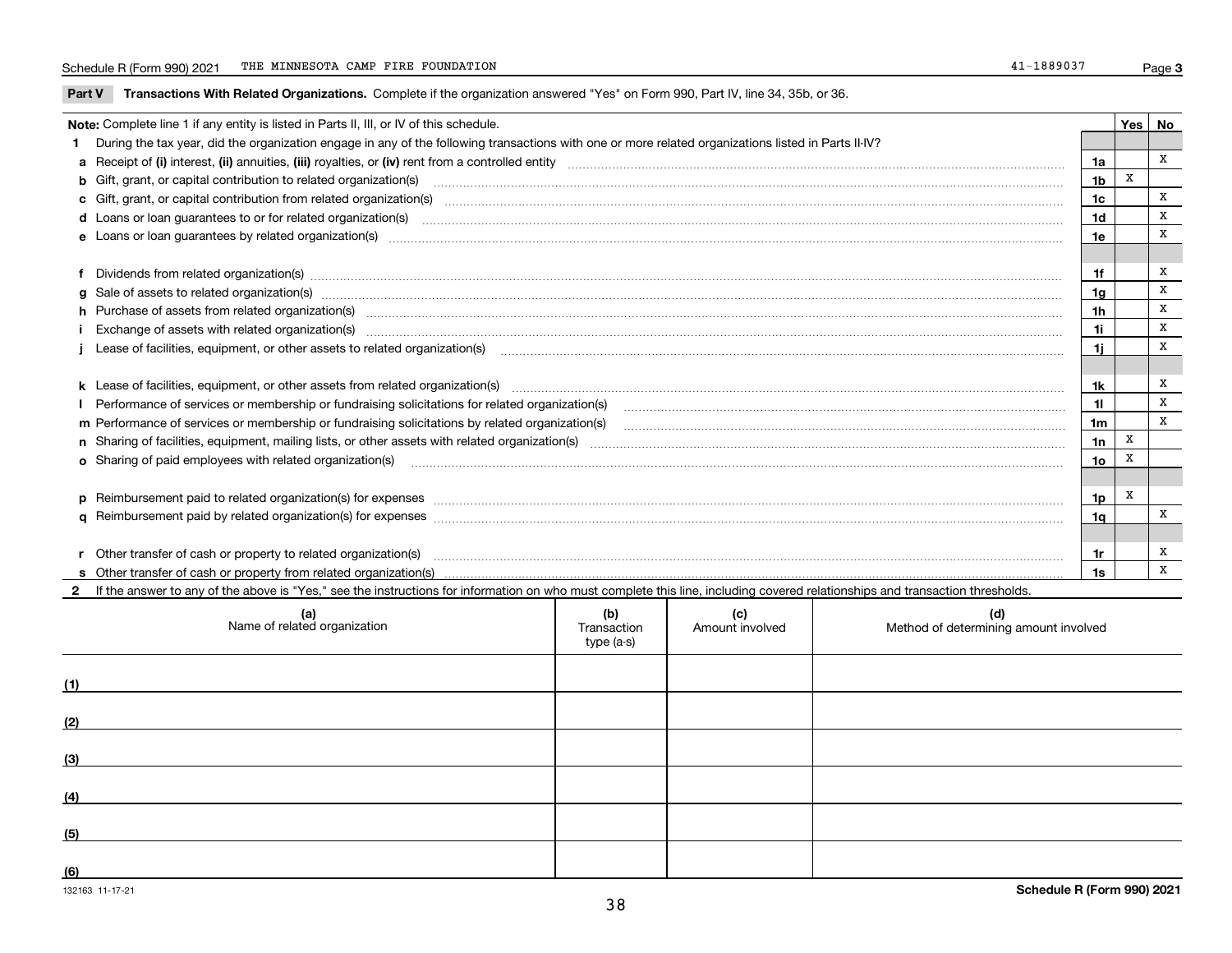**Part V** T**ransactions With Related Organizations.** Complete if the organization answered "Yes" on Form 990, Part IV, line 34, 35b, or 36.

| Note: Complete line 1 if any entity is listed in Parts II, III, or IV of this schedule. |                                                                                                                                                                                                                                |                |   |              |  |
|-----------------------------------------------------------------------------------------|--------------------------------------------------------------------------------------------------------------------------------------------------------------------------------------------------------------------------------|----------------|---|--------------|--|
|                                                                                         | 1 During the tax year, did the organization engage in any of the following transactions with one or more related organizations listed in Parts II-IV?                                                                          |                |   |              |  |
|                                                                                         |                                                                                                                                                                                                                                | 1a             |   | x            |  |
|                                                                                         | b Gift, grant, or capital contribution to related organization(s) material contracts and contribution to related organization(s)                                                                                               | 1b             | X |              |  |
|                                                                                         |                                                                                                                                                                                                                                | 1c             |   | $\mathbf{x}$ |  |
|                                                                                         |                                                                                                                                                                                                                                | 1d             |   | x            |  |
|                                                                                         |                                                                                                                                                                                                                                | 1e             |   | X            |  |
|                                                                                         |                                                                                                                                                                                                                                |                |   |              |  |
|                                                                                         | f Dividends from related organization(s) www.assession.com/www.assession.com/www.assession.com/www.assession.com/www.assession.com/www.assession.com/www.assession.com/www.assession.com/www.assession.com/www.assession.com/w | 1f             |   | x            |  |
|                                                                                         | g Sale of assets to related organization(s) www.assettion.com/www.assettion.com/www.assettion.com/www.assettion.com/www.assettion.com/www.assettion.com/www.assettion.com/www.assettion.com/www.assettion.com/www.assettion.co | 1a             |   | x            |  |
|                                                                                         | h Purchase of assets from related organization(s) www.assettion.com/www.assettion.com/www.assettion.com/www.assettion.com/www.assettion.com/www.assettion.com/www.assettion.com/www.assettion.com/www.assettion.com/www.assett | 1 <sub>h</sub> |   | X            |  |
|                                                                                         | i Exchange of assets with related organization(s) material contents and content to the content of the content of the content of the content of the content of the content of the content of the content of the content of the  | 1i             |   | x            |  |
|                                                                                         |                                                                                                                                                                                                                                | 1i.            |   | X            |  |
|                                                                                         |                                                                                                                                                                                                                                |                |   |              |  |
|                                                                                         |                                                                                                                                                                                                                                | 1k             |   | х            |  |
|                                                                                         |                                                                                                                                                                                                                                | 11             |   | X            |  |
|                                                                                         | m Performance of services or membership or fundraising solicitations by related organization(s)                                                                                                                                | 1 <sub>m</sub> |   | X            |  |
|                                                                                         |                                                                                                                                                                                                                                | 1n             | X |              |  |
|                                                                                         | <b>o</b> Sharing of paid employees with related organization(s)                                                                                                                                                                | 1o             |   |              |  |
|                                                                                         |                                                                                                                                                                                                                                |                |   |              |  |
|                                                                                         | p Reimbursement paid to related organization(s) for expenses [11111] [12] manufacture manufacture manufacture manufacture manufacture manufacture manufacture manufacture manufacture manufacture manufacture manufacture manu | 1p             | x |              |  |
|                                                                                         |                                                                                                                                                                                                                                | 1 <sub>q</sub> |   | X            |  |
|                                                                                         |                                                                                                                                                                                                                                |                |   |              |  |
|                                                                                         | r Other transfer of cash or property to related organization(s)                                                                                                                                                                | 1r             |   | x            |  |
|                                                                                         |                                                                                                                                                                                                                                | 1s             |   | X            |  |
|                                                                                         | 2 If the answer to any of the above is "Yes," see the instructions for information on who must complete this line, including covered relationships and transaction thresholds.                                                 |                |   |              |  |

| (a)<br>Name of related organization | (b)<br>Transaction<br>type (a-s) | (c)<br>Amount involved | (d)<br>Method of determining amount involved |
|-------------------------------------|----------------------------------|------------------------|----------------------------------------------|
| (1)                                 |                                  |                        |                                              |
| (2)                                 |                                  |                        |                                              |
| (3)                                 |                                  |                        |                                              |
| (4)                                 |                                  |                        |                                              |
| (5)                                 |                                  |                        |                                              |
| (6)                                 |                                  |                        |                                              |

 $\overline{\phantom{a}}$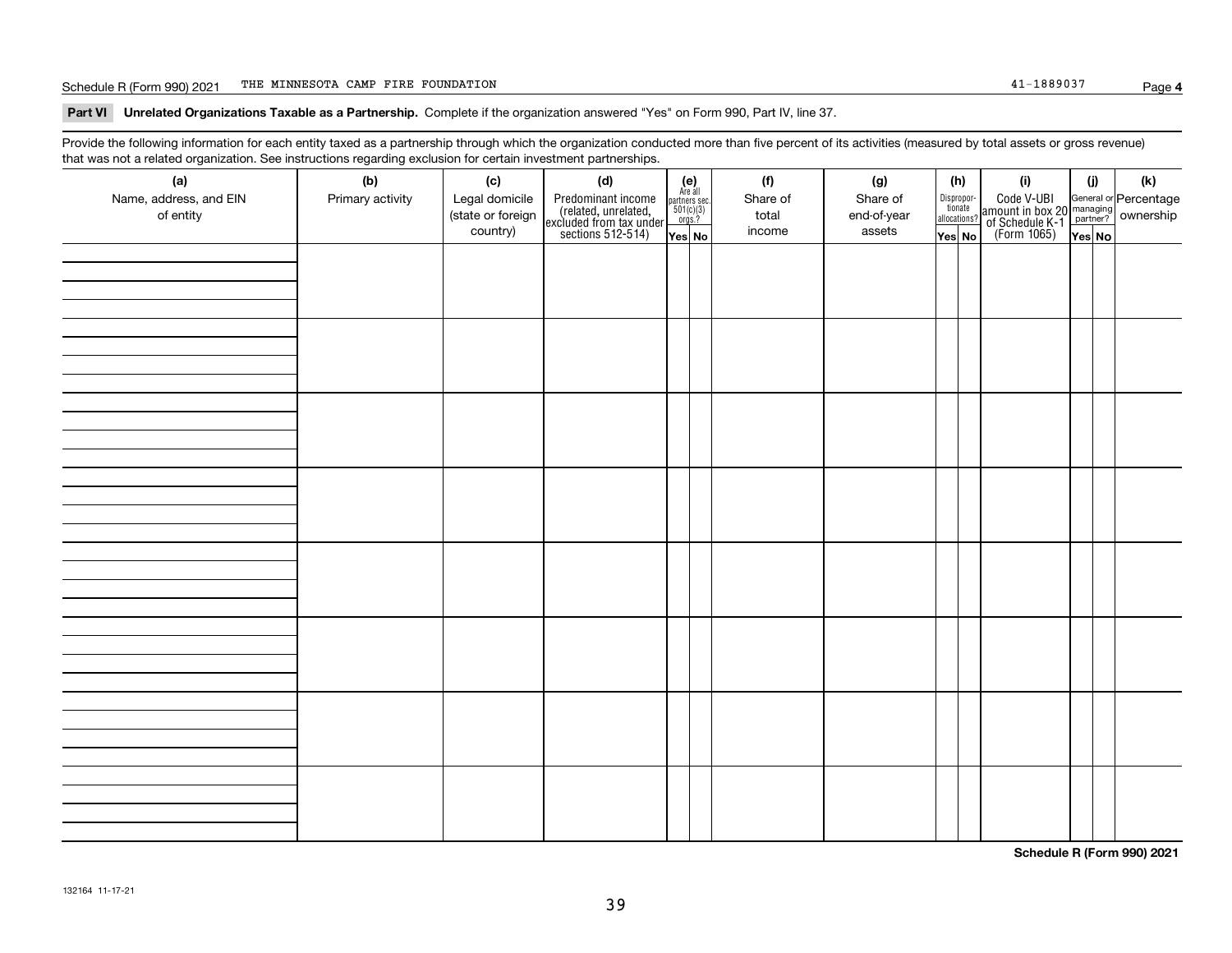#### Schedule R (Form 990) 2021 Page THE MINNESOTA CAMP FIRE FOUNDATION 41-1889037

**Part VI Unrelated Organizations Taxable as a Partnership. Complete if the organization answered "Yes" on Form 990, Part IV, line 37.** 

Provide the following information for each entity taxed as a partnership through which the organization conducted more than five percent of its activities (measured by total assets or gross revenue) that was not a related organization. See instructions regarding exclusion for certain investment partnerships.

| (a)<br>Name, address, and EIN<br>of entity | (b)<br>Primary activity | (c)<br>Legal domicile<br>(state or foreign<br>country) | (d)<br>Predominant income<br>(related, unrelated,<br>excluded from tax under<br>sections 512-514) | $\begin{array}{c} \textbf{(e)}\\ \text{Are all} \\ \text{partners sec.}\\ 501(c)(3)\\ \text{orgs.?} \end{array}$<br>Yes No | (f)<br>Share of<br>total<br>income | (g)<br>Share of<br>end-of-year<br>assets | (h)<br>Dispropor-<br>tionate<br>allocations?<br>Yes No | (i)<br>Code V-UBI<br>amount in box 20 managing<br>of Schedule K-1 partner? ownership<br>(Form 1065)<br>ves No | (i)<br>Yes No | (k) |
|--------------------------------------------|-------------------------|--------------------------------------------------------|---------------------------------------------------------------------------------------------------|----------------------------------------------------------------------------------------------------------------------------|------------------------------------|------------------------------------------|--------------------------------------------------------|---------------------------------------------------------------------------------------------------------------|---------------|-----|
|                                            |                         |                                                        |                                                                                                   |                                                                                                                            |                                    |                                          |                                                        |                                                                                                               |               |     |
|                                            |                         |                                                        |                                                                                                   |                                                                                                                            |                                    |                                          |                                                        |                                                                                                               |               |     |
|                                            |                         |                                                        |                                                                                                   |                                                                                                                            |                                    |                                          |                                                        |                                                                                                               |               |     |
|                                            |                         |                                                        |                                                                                                   |                                                                                                                            |                                    |                                          |                                                        |                                                                                                               |               |     |
|                                            |                         |                                                        |                                                                                                   |                                                                                                                            |                                    |                                          |                                                        |                                                                                                               |               |     |
|                                            |                         |                                                        |                                                                                                   |                                                                                                                            |                                    |                                          |                                                        |                                                                                                               |               |     |
|                                            |                         |                                                        |                                                                                                   |                                                                                                                            |                                    |                                          |                                                        |                                                                                                               |               |     |
|                                            |                         |                                                        |                                                                                                   |                                                                                                                            |                                    |                                          |                                                        |                                                                                                               |               |     |

**Schedule R (Form 990) 2021**